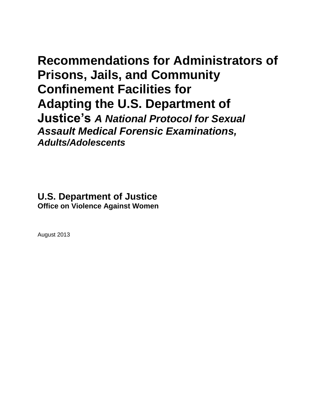# **Recommendations for Administrators of Prisons, Jails, and Community Confinement Facilities for Adapting the U.S. Department of Justice's** *A National Protocol for Sexual Assault Medical Forensic Examinations, Adults/Adolescents*

**U.S. Department of Justice Office on Violence Against Women**

August 2013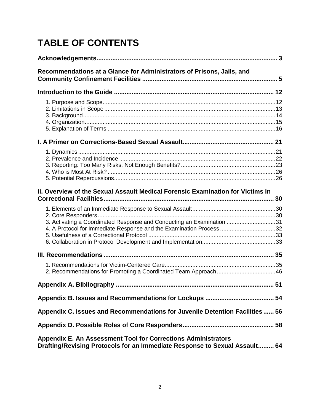# **TABLE OF CONTENTS**

| Recommendations at a Glance for Administrators of Prisons, Jails, and                                                                        |
|----------------------------------------------------------------------------------------------------------------------------------------------|
|                                                                                                                                              |
|                                                                                                                                              |
|                                                                                                                                              |
|                                                                                                                                              |
| II. Overview of the Sexual Assault Medical Forensic Examination for Victims in                                                               |
| 3. Activating a Coordinated Response and Conducting an Examination 31<br>4. A Protocol for Immediate Response and the Examination Process 32 |
|                                                                                                                                              |
|                                                                                                                                              |
|                                                                                                                                              |
|                                                                                                                                              |
| Appendix C. Issues and Recommendations for Juvenile Detention Facilities 56                                                                  |
|                                                                                                                                              |
| Appendix E. An Assessment Tool for Corrections Administrators<br>Drafting/Revising Protocols for an Immediate Response to Sexual Assault 64  |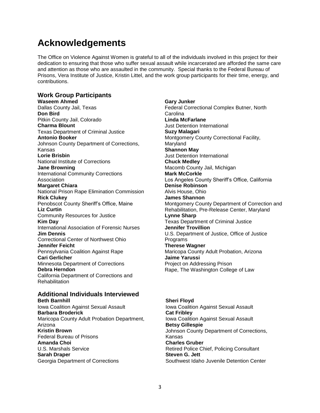# **Acknowledgements**

The Office on Violence Against Women is grateful to all of the individuals involved in this project for their dedication to ensuring that those who suffer sexual assault while incarcerated are afforded the same care and attention as those who are assaulted in the community. Special thanks to the Federal Bureau of Prisons, Vera Institute of Justice, Kristin Littel, and the work group participants for their time, energy, and contributions.

#### **Work Group Participants**

**Waseem Ahmed**  Dallas County Jail, Texas **Don Bird** Pitkin County Jail, Colorado **Charma Blount** Texas Department of Criminal Justice **Antonio Booker** Johnson County Department of Corrections, Kansas **Lorie Brisbin** National Institute of Corrections **Jane Browning** International Community Corrections Association **Margaret Chiara** National Prison Rape Elimination Commission **Rick Clukey**  Penobscot County Sheriff's Office, Maine **Liz Curtin** Community Resources for Justice **Kim Day** International Association of Forensic Nurses **Jim Dennis**  Correctional Center of Northwest Ohio **Jennifer Feicht** Pennsylvania Coalition Against Rape **Cari Gerlicher**  Minnesota Department of Corrections **Debra Herndon**  California Department of Corrections and Rehabilitation

#### **Additional Individuals Interviewed Beth Barnhill** Iowa Coalition Against Sexual Assault

**Barbara Broderick** Maricopa County Adult Probation Department, Arizona **Kristin Brown** Federal Bureau of Prisons **Amanda Choi** U.S. Marshals Service **Sarah Draper** Georgia Department of Corrections

**Gary Junker**  Federal Correctional Complex Butner, North Carolina **Linda McFarlane**  Just Detention International **Suzy Malagari**  Montgomery County Correctional Facility, Maryland **Shannon May** Just Detention International **Chuck Medley**  Macomb County Jail, Michigan **Mark McCorkle**  Los Angeles County Sheriff's Office, California **Denise Robinson** Alvis House, Ohio **James Shannon**  Montgomery County Department of Correction and Rehabilitation, Pre-Release Center, Maryland **Lynne Sharp**  Texas Department of Criminal Justice **Jennifer Trovillion** U.S. Department of Justice, Office of Justice Programs **Therese Wagner** Maricopa County Adult Probation, Arizona **Jaime Yarussi**  Project on Addressing Prison Rape, The Washington College of Law

#### **Sheri Floyd** Iowa Coalition Against Sexual Assault **Cat Fribley** Iowa Coalition Against Sexual Assault **Betsy Gillespie** Johnson County Department of Corrections, Kansas **Charles Gruber** Retired Police Chief, Policing Consultant **Steven G. Jett** Southwest Idaho Juvenile Detention Center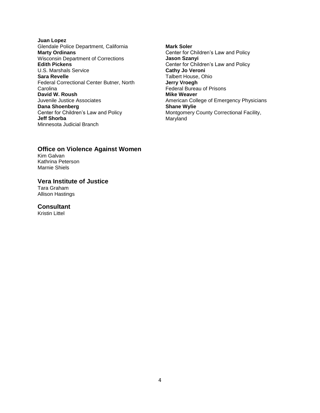- **Juan Lopez** Glendale Police Department, California **Marty Ordinans** Wisconsin Department of Corrections **Edith Pickens** U.S. Marshals Service **Sara Revelle** Federal Correctional Center Butner, North **Carolina David W. Roush** Juvenile Justice Associates **Dana Shoenberg** Center for Children's Law and Policy **Jeff Shorba** Minnesota Judicial Branch
- **Mark Soler** Center for Children's Law and Policy **Jason Szanyi** Center for Children's Law and Policy **Cathy Jo Veroni** Talbert House, Ohio **Jerry Vroegh** Federal Bureau of Prisons **Mike Weaver** American College of Emergency Physicians **Shane Wylie** Montgomery County Correctional Facility, Maryland

#### **Office on Violence Against Women** Kim Galvan

Kathrina Peterson Marnie Shiels

**Vera Institute of Justice** Tara Graham Allison Hastings

### **Consultant**

Kristin Littel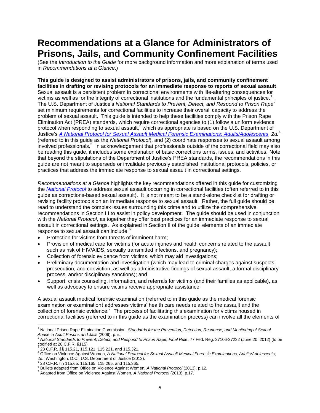# **Recommendations at a Glance for Administrators of Prisons, Jails, and Community Confinement Facilities**

(See the *Introduction to the Guide* for more background information and more explanation of terms used in *Recommendations at a Glance*.)

**This guide is designed to assist administrators of prisons, jails, and community confinement facilities in drafting or revising protocols for an immediate response to reports of sexual assault**. Sexual assault is a persistent problem in correctional environments with life-altering consequences for victims as well as for the integrity of correctional institutions and the fundamental principles of justice.<sup>1</sup> The U.S. Department of Justice's National Standards to Prevent, Detect, and Respond to Prison Rape<sup>2</sup> set minimum requirements for correctional facilities to increase their overall capacity to address the problem of sexual assault. This guide is intended to help these facilities comply with the Prison Rape Elimination Act (PREA) standards, which require correctional agencies to (1) follow a uniform evidence protocol when responding to sexual assault, $3$  which as appropriate is based on the U.S. Department of Justice's *[A National Protocol for Sexual Assault Medical Forensic Examinations: Adults/Adolescents,](https://www.ncjrs.gov/pdffiles1/ovw/241903.pdf) 2d.*<sup>4</sup> (referred to in this guide as the *National Protocol*), and (2) coordinate responses to sexual assault among involved professionals.<sup>5</sup> In acknowledgement that professionals outside of the correctional field may also be reading this guide, it includes some explanation of basic corrections terms, issues, and activities. Note that beyond the stipulations of the Department of Justice's PREA standards, the recommendations in this guide are not meant to supersede or invalidate previously established institutional protocols, policies, or practices that address the immediate response to sexual assault in correctional settings.

*Recommendations at a Glance* highlights the key recommendations offered in this guide for customizing the *[National Protocol](https://www.ncjrs.gov/pdffiles1/ovw/241903.pdf)* to address sexual assault occurring in correctional facilities (often referred to in this guide as corrections-based sexual assault). It is not meant to be a stand-alone checklist for drafting or revising facility protocols on an immediate response to sexual assault. Rather, the full guide should be read to understand the complex issues surrounding this crime and to utilize the comprehensive recommendations in Section III to assist in policy development. The guide should be used in conjunction with the *National Protocol*, as together they offer best practices for an immediate response to sexual assault in correctional settings. As explained in Section II of the guide, elements of an immediate response to sexual assault can include:<sup>6</sup>

- Protection for victims from threats of imminent harm;
- Provision of medical care for victims (for acute injuries and health concerns related to the assault such as risk of HIV/AIDS, sexually transmitted infections, and pregnancy);
- Collection of forensic evidence from victims, which may aid investigations;
- Preliminary documentation and investigation (which may lead to criminal charges against suspects, prosecution, and conviction, as well as administrative findings of sexual assault, a formal disciplinary process, and/or disciplinary sanctions); and
- Support, crisis counseling, information, and referrals for victims (and their families as applicable), as well as advocacy to ensure victims receive appropriate assistance.

A sexual assault medical forensic examination (referred to in this guide as the medical forensic examination or examination) addresses victims' health care needs related to the assault and the collection of forensic evidence.<sup>7</sup> The process of facilitating this examination for victims housed in correctional facilities (referred to in this guide as the examination process) can involve all the elements of

 $\overline{a}$ <sup>1</sup> National Prison Rape Elimination Commission, *Standards for the Prevention, Detection, Response, and Monitoring of Sexual Abuse in Adult Prisons and Jails* (2009), p.iii.

<sup>&</sup>lt;sup>2</sup> National Standards to Prevent, Detect, and Respond to Prison Rape, Final Rule, 77 Fed. Reg. 37106-37232 (June 20, 2012) (to be codified at 28 C.F.R. §115).<br><sup>3</sup> 28 C.F.R. §§ 115.21, 115.121, 115.221, and 115.321.

<sup>4</sup> Office on Violence Against Women, *A National Protocol for Sexual Assault Medical Forensic Examinations, Adults/Adolescents*, 2d., Washington, D.C.: U.S. Department of Justice (2013).<br>5.38 C E B . SS 115 SE . 115 165 . 115 265 . and 115 265

<sup>28</sup> C.F.R. §§ 115.65, 115.165, 115.265, and 115.365.

<sup>6</sup> Bullets adapted from Office on Violence Against Women, *A National Protocol* (2013), p.12.

<sup>7</sup> Adapted from Office on Violence Against Women, *A National Protocol* (2013), p.17.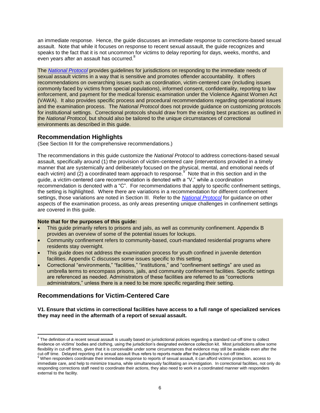an immediate response. Hence, the guide discusses an immediate response to corrections-based sexual assault. Note that while it focuses on response to recent sexual assault, the guide recognizes and speaks to the fact that it is not uncommon for victims to delay reporting for days, weeks, months, and even years after an assault has occurred. $8$ 

The *[National Protocol](https://www.ncjrs.gov/pdffiles1/ovw/241903.pdf)* provides guidelines for jurisdictions on responding to the immediate needs of sexual assault victims in a way that is sensitive and promotes offender accountability. It offers recommendations on overarching issues such as coordination, victim-centered care (including issues commonly faced by victims from special populations), informed consent, confidentiality, reporting to law enforcement, and payment for the medical forensic examination under the Violence Against Women Act (VAWA). It also provides specific process and procedural recommendations regarding operational issues and the examination process. The *National Protocol* does not provide guidance on customizing protocols for institutional settings. Correctional protocols should draw from the existing best practices as outlined in the *National Protocol*, but should also be tailored to the unique circumstances of correctional environments as described in this guide.

### **Recommendation Highlights**

(See Section III for the comprehensive recommendations.)

The recommendations in this guide customize the *National Protocol* to address corrections-based sexual assault, specifically around (1) the provision of victim-centered care (interventions provided in a timely manner that are systemically and deliberately focused on the physical, mental, and emotional needs of each victim) and (2) a coordinated team approach to response.<sup>9</sup> Note that in this section and in the guide, a victim-centered care recommendation is denoted with a "V," while a coordination recommendation is denoted with a "C". For recommendations that apply to specific confinement settings, the setting is highlighted. Where there are variations in a recommendation for different confinement settings, those variations are noted in Section III. Refer to the *[National Protocol](https://www.ncjrs.gov/pdffiles1/ovw/241903.pdf)* for guidance on other aspects of the examination process, as only areas presenting unique challenges in confinement settings are covered in this guide.

#### **Note that for the purposes of this guide:**

- This guide primarily refers to prisons and jails, as well as community confinement. Appendix B provides an overview of some of the potential issues for lockups.
- Community confinement refers to community-based, court-mandated residential programs where residents stay overnight.
- This guide does not address the examination process for youth confined in juvenile detention facilities. Appendix C discusses some issues specific to this setting.
- Correctional "environments," "facilities," "institutions," and "confinement settings" are used as umbrella terms to encompass prisons, jails, and community confinement facilities. Specific settings are referenced as needed. Administrators of these facilities are referred to as "corrections administrators," unless there is a need to be more specific regarding their setting.

## **Recommendations for Victim-Centered Care**

**V1. Ensure that victims in correctional facilities have access to a full range of specialized services they may need in the aftermath of a report of sexual assault.** 

 8 The definition of a recent sexual assault is usually based on jurisdictional policies regarding a standard cut-off time to collect evidence on victims' bodies and clothing, using the jurisdiction's designated evidence collection kit. Most jurisdictions allow some flexibility in cut-off times, given that it is conceivable under some circumstances that evidence may still be available even after the cut-off time. Delayed reporting of a sexual assault thus refers to reports made after the jurisdiction's cut-off time.

<sup>9</sup> When responders coordinate their immediate response to reports of sexual assault, it can afford victims protection, access to immediate care, and help to minimize trauma, while simultaneously facilitating an investigation. In correctional facilities, not only do responding corrections staff need to coordinate their actions, they also need to work in a coordinated manner with responders external to the facility.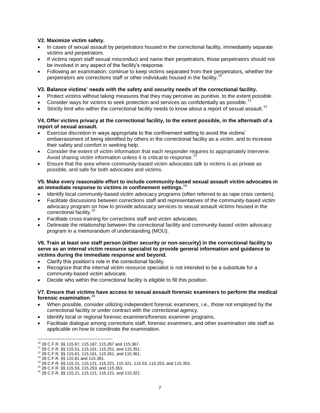#### **V2. Maximize victim safety.**

- In cases of sexual assault by perpetrators housed in the correctional facility, immediately separate victims and perpetrators.
- If victims report staff sexual misconduct and name their perpetrators, those perpetrators should not be involved in any aspect of the facility's response.
- Following an examination, continue to keep victims separated from their perpetrators, whether the perpetrators are corrections staff or other individuals housed in the facility.

#### **V3. Balance victims' needs with the safety and security needs of the correctional facility.**

- Protect victims without taking measures that they may perceive as punitive, to the extent possible.
- Consider ways for victims to seek protection and services as confidentially as possible.<sup>11</sup>
- Strictly limit who within the correctional facility needs to know about a report of sexual assault.<sup>12</sup>

#### **V4. Offer victims privacy at the correctional facility, to the extent possible, in the aftermath of a report of sexual assault.**

- Exercise discretion in ways appropriate to the confinement setting to avoid the victims' embarrassment of being identified by others in the correctional facility as a victim, and to increase their safety and comfort in seeking help.
- Consider the extent of victim information that each responder requires to appropriately intervene. Avoid sharing victim information unless it is critical to response.
- Ensure that the area where community-based victim advocates talk to victims is as private as possible, and safe for both advocates and victims.

#### **V5. Make every reasonable effort to include community-based sexual assault victim advocates in an immediate response to victims in confinement settings.**<sup>14</sup>

- Identify local community-based victim advocacy programs (often referred to as rape crisis centers).
- Facilitate discussions between corrections staff and representatives of the community-based victim advocacy program on how to provide advocacy services to sexual assault victims housed in the correctional facility.<sup>15</sup>
- Facilitate cross-training for corrections staff and victim advocates.
- Delineate the relationship between the correctional facility and community-based victim advocacy program in a memorandum of understanding (MOU).

#### **V6. Train at least one staff person (either security or non-security) in the correctional facility to serve as an internal victim resource specialist to provide general information and guidance to victims during the immediate response and beyond.**

- Clarify this position's role in the correctional facility.
- Recognize that the internal victim resource specialist is not intended to be a substitute for a community-based victim advocate.
- Decide who within the correctional facility is eligible to fill this position.

#### **V7. Ensure that victims have access to sexual assault forensic examiners to perform the medical forensic examination**. 16

- When possible, consider utilizing independent forensic examiners, i.e., those not employed by the correctional facility or under contract with the correctional agency.
- Identify local or regional forensic examiners/forensic examiner programs.
- Facilitate dialogue among corrections staff, forensic examiners, and other examination site staff as applicable on how to coordinate the examination.

 $^{10}$  28 C.F.R. §§ 115.67, 115.167, 115.267 and 115.367.

<sup>11</sup> 28 C.F.R. §§ 115.51, 115.151, 115.251, and 115.351.

<sup>12</sup> 28 C.F.R. §§ 115.61, 115.161, 115.261, and 115.361.

<sup>13</sup> 28 C.F.R. §§ 115.81 and 115.381.

<sup>14</sup> 28 C.F.R. §§ 115.21, 115.121, 115.221, 115.321, 115.53, 115.253, and 115.353.

<sup>15</sup> 28 C.F.R. §§ 115.53, 115.253, and 115.353.

<sup>16</sup> 28 C.F.R. §§ 115.21, 115.121, 115.221, and 115.321.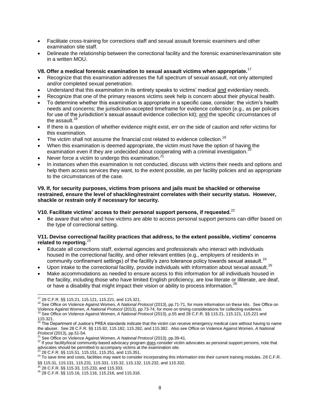- Facilitate cross-training for corrections staff and sexual assault forensic examiners and other examination site staff.
- Delineate the relationship between the correctional facility and the forensic examiner/examination site in a written MOU.

#### **V8. Offer a medical forensic examination to sexual assault victims when appropriate.**<sup>17</sup>

- Recognize that this examination addresses the full spectrum of sexual assault, not only attempted and/or completed sexual penetration.
- Understand that this examination in its entirety speaks to victims' medical and evidentiary needs.
- Recognize that one of the primary reasons victims seek help is concern about their physical health.
- To determine whether this examination is appropriate in a specific case, consider: the victim's health needs and concerns; the jurisdiction-accepted timeframe for evidence collection (e.g., as per policies for use of the jurisdiction's sexual assault evidence collection kit); and the specific circumstances of the assault. $<sup>1</sup>$ </sup>
- If there is a question of whether evidence might exist, err on the side of caution and refer victims for this examination.
- The victim shall not assume the financial cost related to evidence collection.<sup>19</sup>
- When this examination is deemed appropriate, the victim must have the option of having the examination even if they are undecided about cooperating with a criminal investigation.
- Never force a victim to undergo this examination. $2^1$
- In instances when this examination is not conducted, discuss with victims their needs and options and help them access services they want, to the extent possible, as per facility policies and as appropriate to the circumstances of the case.

#### **V9. If, for security purposes, victims from prisons and jails must be shackled or otherwise restrained, ensure the level of shackling/restraint correlates with their security status. However, shackle or restrain only if necessary for security.**

#### **V10. Facilitate victims' access to their personal support persons, if requested***.* 22

 Be aware that when and how victims are able to access personal support persons can differ based on the type of correctional setting.

#### **V11. Devise correctional facility practices that address, to the extent possible, victims' concerns related to reporting.**<sup>23</sup>

- Educate all corrections staff, external agencies and professionals who interact with individuals housed in the correctional facility, and other relevant entities (e.g., employers of residents in community confinement settings) of the facility's zero tolerance policy towards sexual assault.<sup>24</sup>
- Upon intake to the correctional facility, provide individuals with information about sexual assault. $^{25}$
- Make accommodations as needed to ensure access to this information for all individuals housed in the facility, including those who have limited English proficiency, are low literate or illiterate, are deaf, or have a disability that might impact their vision or ability to process information.<sup>26</sup>

<sup>23</sup> 28 C.F.R. §§ 115.51, 115.151, 115.251, and 115.351.

 $\overline{\phantom{a}}$ 17 28 C.F.R. §§ 115.21, 115.121, 115.221, and 115.321.

<sup>18</sup> See Office on Violence Against Women, *A National Protocol* (2013), pp.71-71, for more information on these kits. See Office on Violence Against Women*, A National Protocol* (2013), pp.73-74, for more on timing considerations for collecting evidence.

<sup>19</sup> See Office on Violence Against Women, *A National Protocol* (2013), p.55 and 28 C.F.R. §§ 115.21, 115.121, 115.221 and 115.321.<br><sup>20</sup> The Department of Justice's PREA standards indicate that the victim can receive emergency medical care without having to name

the abuser. See 28 C.F.R. §§ 115.82, 115.182, 115.282, and 115.382. Also see Office on Violence Against Women, *A National Protocol* (2013), pp.51-54.

<sup>21</sup> See Office on Violence Against Women, *A National Protocol* (2013), pp.39-41.

<sup>22</sup> If your facility/local community-based advocacy program does consider victim advocates as personal support persons, note that advocates should be permitted to accompany victims at the examination site.

<sup>&</sup>lt;sup>24</sup> To save time and costs, facilities may want to consider incorporating this information into their current training modules. 28 C.F.R. §§ 115.31, 115.131, 115.231, 115.331, 115.32, 115.132, 115.232, and 115.332.

<sup>25</sup> 28 C.F.R. §§ 115.33, 115.233, and 115.333.

<sup>26</sup> 28 C.F.R. §§ 115.16, 115.116, 115.216, and 115.316.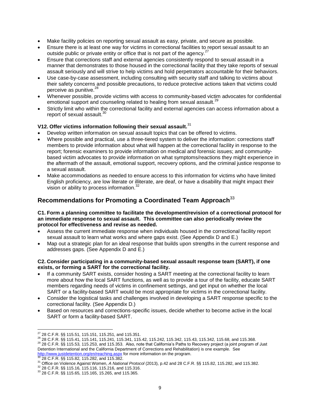- Make facility policies on reporting sexual assault as easy, private, and secure as possible.
- Ensure there is at least one way for victims in correctional facilities to report sexual assault to an outside public or private entity or office that is not part of the agency.<sup>27</sup>
- Ensure that corrections staff and external agencies consistently respond to sexual assault in a manner that demonstrates to those housed in the correctional facility that they take reports of sexual assault seriously and will strive to help victims and hold perpetrators accountable for their behaviors.
- Use case-by-case assessment, including consulting with security staff and talking to victims about their safety concerns and possible precautions, to reduce protective actions taken that victims could perceive as punitive.<sup>28</sup>
- Whenever possible, provide victims with access to community-based victim advocates for confidential emotional support and counseling related to healing from sexual assault.<sup>29</sup>
- Strictly limit who within the correctional facility and external agencies can access information about a report of sexual assault.<sup>30</sup>

#### **V12. Offer victims information following their sexual assault.**<sup>31</sup>

- Develop written information on sexual assault topics that can be offered to victims.
- Where possible and practical, use a three-tiered system to deliver the information: corrections staff members to provide information about what will happen at the correctional facility in response to the report; forensic examiners to provide information on medical and forensic issues; and communitybased victim advocates to provide information on what symptoms/reactions they might experience in the aftermath of the assault, emotional support, recovery options, and the criminal justice response to a sexual assault.
- Make accommodations as needed to ensure access to this information for victims who have limited English proficiency, are low literate or illiterate, are deaf, or have a disability that might impact their vision or ability to process information.<sup>32</sup>

## **Recommendations for Promoting a Coordinated Team Approach** 33

#### **C1. Form a planning committee to facilitate the development/revision of a correctional protocol for an immediate response to sexual assault. This committee can also periodically review the protocol for effectiveness and revise as needed.**

- Assess the current immediate response when individuals housed in the correctional facility report sexual assault to learn what works and where gaps exist. (See Appendix D and E.)
- Map out a strategic plan for an ideal response that builds upon strengths in the current response and addresses gaps. (See Appendix D and E.)

#### **C2. Consider participating in a community-based sexual assault response team (SART), if one exists, or forming a SART for the correctional facility.**

- If a community SART exists, consider hosting a SART meeting at the correctional facility to learn more about how the local SART functions, as well as to provide a tour of the facility, educate SART members regarding needs of victims in confinement settings, and get input on whether the local SART or a facility-based SART would be most appropriate for victims in the correctional facility.
- Consider the logistical tasks and challenges involved in developing a SART response specific to the correctional facility. (See Appendix D.)
- Based on resources and corrections-specific issues, decide whether to become active in the local SART or form a facility-based SART.

 $\overline{\phantom{a}}$  $^{27}$  28 C.F.R. §§ 115.51, 115.151, 115.251, and 115.351.

 $\frac{28}{3}$  28 C.F.R. §§ 115.41, 115.141, 115.241, 115.341, 115.42, 115.242, 115.342, 115.43, 115.342, 115.68, and 115.368.

 $^{29}$  28 C.F.R.  $\frac{88}{31}$  115.53, 115.253, and 115.353. Also, note that California's Paths to Recovery project (a joint program of Just Detention International and the California Department of Corrections and Rehabilitation) is one example. See <http://www.justdetention.org/en/reaching.aspx></u> for more information on the program.<br><sup>30</sup> 28 C.F.R. §§ 115.82, 115.282, and 115.382.

<sup>31</sup> Office on Violence Against Women, *A National Protocol* (2013), p.42 and 28 C.F.R. §§ 115.82, 115.282, and 115.382.

<sup>32</sup> 28 C.F.R. §§ 115.16, 115.116, 115.216, and 115.316.

<sup>33</sup> 28 C.F.R. §§ 115.65, 115.165, 15.265, and 115.365.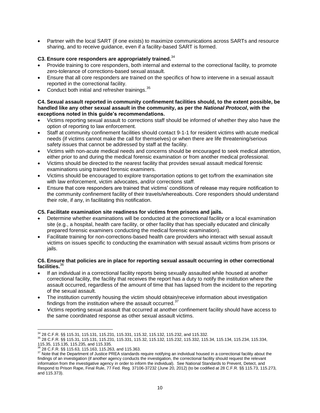Partner with the local SART (if one exists) to maximize communications across SARTs and resource sharing, and to receive guidance, even if a facility-based SART is formed.

#### **C3. Ensure core responders are appropriately trained.**<sup>34</sup>

- Provide training to core responders, both internal and external to the correctional facility, to promote zero-tolerance of corrections-based sexual assault.
- Ensure that all core responders are trained on the specifics of how to intervene in a sexual assault reported in the correctional facility.
- $\bullet$  Conduct both initial and refresher trainings.  $35$

#### **C4. Sexual assault reported in community confinement facilities should, to the extent possible, be handled like any other sexual assault in the community, as per the** *National Protocol***, with the exceptions noted in this guide's recommendations.**

- Victims reporting sexual assault to corrections staff should be informed of whether they also have the option of reporting to law enforcement.
- Staff at community confinement facilities should contact 9-1-1 for resident victims with acute medical needs (if victims cannot make the call for themselves) or when there are life threatening/serious safety issues that cannot be addressed by staff at the facility.
- Victims with non-acute medical needs and concerns should be encouraged to seek medical attention, either prior to and during the medical forensic examination or from another medical professional.
- Victims should be directed to the nearest facility that provides sexual assault medical forensic examinations using trained forensic examiners.
- Victims should be encouraged to explore transportation options to get to/from the examination site with law enforcement, victim advocates, and/or corrections staff.
- Ensure that core responders are trained that victims' conditions of release may require notification to the community confinement facility of their travels/whereabouts. Core responders should understand their role, if any, in facilitating this notification.

#### **C5. Facilitate examination site readiness for victims from prisons and jails.**

- Determine whether examinations will be conducted at the correctional facility or a local examination site (e.g., a hospital, health care facility, or other facility that has specially educated and clinically prepared forensic examiners conducting the medical forensic examination).
- Facilitate training for non-corrections-based health care providers who interact with sexual assault victims on issues specific to conducting the examination with sexual assault victims from prisons or jails.

#### **C6. Ensure that policies are in place for reporting sexual assault occurring in other correctional facilities.**<sup>36</sup>

- If an individual in a correctional facility reports being sexually assaulted while housed at another correctional facility, the facility that receives the report has a duty to notify the institution where the assault occurred, regardless of the amount of time that has lapsed from the incident to the reporting of the sexual assault.
- The institution currently housing the victim should obtain/receive information about investigation findings from the institution where the assault occurred. $37$
- Victims reporting sexual assault that occurred at another confinement facility should have access to the same coordinated response as other sexual assault victims.

<sup>34</sup> 28 C.F.R. §§ 115.31, 115.131, 115.231, 115.331, 115.32, 115.132, 115.232, and 115.332.

<sup>35</sup> 28 C.F.R. §§ 115.31, 115.131, 115.231, 115.331, 115.32, 115.132, 115.232, 115.332, 115.34, 115.134, 115.234, 115.334, 115.35, 115.135, 115.235, and 115.335.

<sup>36</sup> 28 C.F.R. §§ 115.63, 115.163, 115.263, and 115.363.

<sup>&</sup>lt;sup>37</sup> Note that the Department of Justice PREA standards require notifying an individual housed in a correctional facility about the findings of an investigation (if another agency conducts the investigation, the correctional facility should request the relevant information from the investigative agency in order to inform the individual). See National Standards to Prevent, Detect, and Respond to Prison Rape, Final Rule, 77 Fed. Reg. 37106-37232 (June 20, 2012) (to be codified at 28 C.F.R. §§ 115.73, 115.273, and 115.373).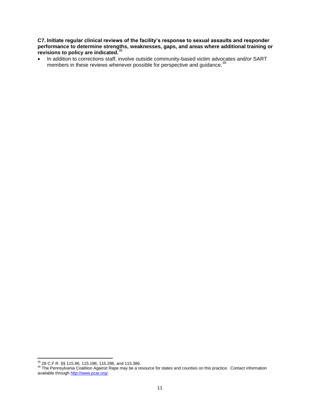**C7. Initiate regular clinical reviews of the facility's response to sexual assaults and responder performance to determine strengths, weaknesses, gaps, and areas where additional training or revisions to policy are indicated.**<sup>38</sup>

• In addition to corrections staff, involve outside community-based victim advocates and/or SART members in these reviews whenever possible for perspective and guidance.<sup>39</sup>

 $\overline{\phantom{a}}$ <sup>38</sup> 28 C.F.R. §§ 115.86, 115.186, 115.286, and 115.386.

<sup>&</sup>lt;sup>39</sup> The Pennsylvania Coalition Against Rape may be a resource for states and counties on this practice. Contact information available through [http://www.pcar.org/.](http://www.pcar.org/)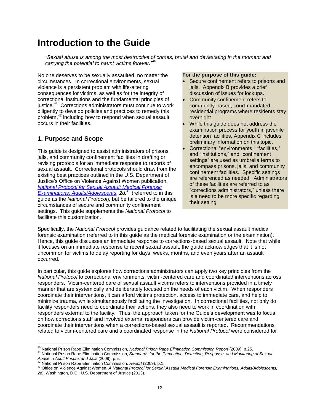## **Introduction to the Guide**

*"Sexual abuse is among the most destructive of crimes, brutal and devastating in the moment and carrying the potential to haunt victims forever."<sup>40</sup>*

No one deserves to be sexually assaulted, no matter the circumstances. In correctional environments, sexual violence is a persistent problem with life-altering consequences for victims, as well as for the integrity of correctional institutions and the fundamental principles of justice.<sup>41</sup> Corrections administrators must continue to work diligently to develop policies and practices to remedy this problem,<sup>42</sup> including how to respond when sexual assault occurs in their facilities.

## **1. Purpose and Scope**

This guide is designed to assist administrators of prisons, jails, and community confinement facilities in drafting or revising protocols for an immediate response to reports of sexual assault. Correctional protocols should draw from the existing best practices outlined in the U.S. Department of Justice's Office on Violence Against Women publication, *[National Protocol for Sexual Assault Medical Forensic](https://www.ncjrs.gov/pdffiles1/ovw/241903.pdf)  [Examinations: Adults/Adolescents,](https://www.ncjrs.gov/pdffiles1/ovw/241903.pdf) 2d.*<sup>43</sup> (referred to in this guide as the *National Protocol*)*,* but be tailored to the unique circumstances of secure and community confinement settings. This guide supplements the *National Protocol* to facilitate this customization.

#### **For the purpose of this guide:**

- Secure confinement refers to prisons and jails. Appendix B provides a brief discussion of issues for lockups.
- Community confinement refers to community-based, court-mandated residential programs where residents stay overnight.
- While this guide does not address the examination process for youth in juvenile detention facilities, Appendix C includes preliminary information on this topic.
- Correctional "environments," "facilities," and "institutions," and "confinement settings" are used as umbrella terms to encompass prisons, jails, and community confinement facilities. Specific settings are referenced as needed. Administrators of these facilities are referred to as "corrections administrators," unless there is a need to be more specific regarding their setting.

Specifically, the *National Protocol* provides guidance related to facilitating the sexual assault medical forensic examination (referred to in this guide as the medical forensic examination or the examination). Hence, this guide discusses an immediate response to corrections-based sexual assault. Note that while it focuses on an immediate response to recent sexual assault, the guide acknowledges that it is not uncommon for victims to delay reporting for days, weeks, months, and even years after an assault occurred.

In particular, this guide explores how corrections administrators can apply two key principles from the *National Protocol* to correctional environments: victim-centered care and coordinated interventions across responders. Victim-centered care of sexual assault victims refers to interventions provided in a timely manner that are systemically and deliberately focused on the needs of each victim. When responders coordinate their interventions, it can afford victims protection, access to immediate care, and help to minimize trauma, while simultaneously facilitating the investigation. In correctional facilities, not only do facility responders need to coordinate their actions, they also need to work in coordination with responders external to the facility. Thus, the approach taken for the Guide's development was to focus on how corrections staff and involved external responders can provide victim-centered care and coordinate their interventions when a corrections-based sexual assault is reported. Recommendations related to victim-centered care and a coordinated response in the *National Protocol* were considered for

 $\overline{a}$ <sup>40</sup> National Prison Rape Elimination Commission, *National Prison Rape Elimination Commission Report* (2009), p.25.

<sup>41</sup> National Prison Rape Elimination Commission, Standards for the Prevention, Detection, Response, and Monitoring of Sexual *Abuse in Adult Prisons and Jails* (2009), p.iii.

<sup>42</sup> National Prison Rape Elimination Commission, *Report* (2009), p.1.

<sup>43</sup> Office on Violence Against Women, *A National Protocol for Sexual Assault Medical Forensic Examinations, Adults/Adolescents, 2d.*, Washington, D.C.: U.S. Department of Justice (2013).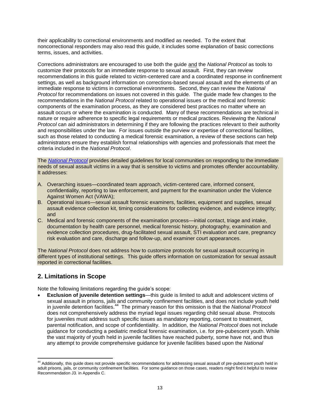their applicability to correctional environments and modified as needed. To the extent that noncorrectional responders may also read this guide, it includes some explanation of basic corrections terms, issues, and activities.

Corrections administrators are encouraged to use both the guide and the *National Protocol* as tools to customize their protocols for an immediate response to sexual assault. First, they can review recommendations in this guide related to victim-centered care and a coordinated response in confinement settings, as well as background information on corrections-based sexual assault and the elements of an immediate response to victims in correctional environments. Second, they can review the *National Protocol* for recommendations on issues not covered in this guide. The guide made few changes to the recommendations in the *National Protocol* related to operational issues or the medical and forensic components of the examination process, as they are considered best practices no matter where an assault occurs or where the examination is conducted. Many of these recommendations are technical in nature or require adherence to specific legal requirements or medical practices. Reviewing the *National Protocol* can aid administrators in determining if they are following the practices relevant to their authority and responsibilities under the law. For issues outside the purview or expertise of correctional facilities, such as those related to conducting a medical forensic examination, a review of these sections can help administrators ensure they establish formal relationships with agencies and professionals that meet the criteria included in the *National Protocol*.

The *[National Protocol](https://www.ncjrs.gov/pdffiles1/ovw/241903.pdf)* provides detailed guidelines for local communities on responding to the immediate needs of sexual assault victims in a way that is sensitive to victims and promotes offender accountability. It addresses:

- A. Overarching issues—coordinated team approach, victim-centered care, informed consent, confidentiality, reporting to law enforcement, and payment for the examination under the Violence Against Women Act (VAWA);
- B. Operational issues—sexual assault forensic examiners, facilities, equipment and supplies, sexual assault evidence collection kit, timing considerations for collecting evidence, and evidence integrity; and
- C. Medical and forensic components of the examination process—initial contact, triage and intake, documentation by health care personnel, medical forensic history, photography, examination and evidence collection procedures, drug-facilitated sexual assault, STI evaluation and care, pregnancy risk evaluation and care, discharge and follow-up, and examiner court appearances.

The *National Protocol* does not address how to customize protocols for sexual assault occurring in different types of institutional settings. This guide offers information on customization for sexual assault reported in correctional facilities.

## **2. Limitations in Scope**

Note the following limitations regarding the guide's scope:

 **Exclusion of juvenile detention settings**—this guide is limited to adult and adolescent victims of sexual assault in prisons, jails and community confinement facilities, and does not include youth held in juvenile detention facilities.<sup>44</sup> The primary reason for this omission is that the *National Protocol* does not comprehensively address the myriad legal issues regarding child sexual abuse. Protocols for iuveniles must address such specific issues as mandatory reporting, consent to treatment, parental notification, and scope of confidentiality. In addition, the *National Protocol* does not include guidance for conducting a pediatric medical forensic examination, i.e. for pre-pubescent youth. While the vast majority of youth held in juvenile facilities have reached puberty, some have not, and thus any attempt to provide comprehensive guidance for juvenile facilities based upon the *National* 

 $\overline{\phantom{a}}$ <sup>44</sup> Additionally, this guide does not provide specific recommendations for addressing sexual assault of pre-pubescent youth held in adult prisons, jails, or community confinement facilities. For some guidance on those cases, readers might find it helpful to review Recommendation J3. in Appendix C.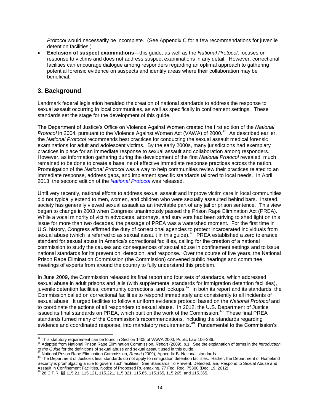*Protocol* would necessarily be incomplete. (See Appendix C for a few recommendations for juvenile detention facilities.)

 **Exclusion of suspect examinations**—this guide, as well as the *National Protocol*, focuses on response to victims and does not address suspect examinations in any detail. However, correctional facilities can encourage dialogue among responders regarding an optimal approach to gathering potential forensic evidence on suspects and identify areas where their collaboration may be beneficial.

## **3. Background**

Landmark federal legislation heralded the creation of national standards to address the response to sexual assault occurring in local communities, as well as specifically in confinement settings. These standards set the stage for the development of this guide.

The Department of Justice's Office on Violence Against Women created the first edition of the *National Protocol* in 2004, pursuant to the Violence Against Women Act (VAWA) of 2000.<sup>45</sup> As described earlier, the *National Protocol* recommends best practices for conducting the sexual assault medical forensic examinations for adult and adolescent victims. By the early 2000s, many jurisdictions had exemplary practices in place for an immediate response to sexual assault and collaboration among responders. However, as information gathering during the development of the first *National Protocol* revealed, much remained to be done to create a baseline of effective immediate response practices across the nation. Promulgation of the *National Protocol* was a way to help communities review their practices related to an immediate response, address gaps, and implement specific standards tailored to local needs. In April 2013, the second edition of the *[National Protocol](https://www.ncjrs.gov/pdffiles1/ovw/241903.pdf)* was released.

Until very recently, national efforts to address sexual assault and improve victim care in local communities did not typically extend to men, women, and children who were sexually assaulted behind bars. Instead, society has generally viewed sexual assault as an inevitable part of any jail or prison sentence. This view began to change in 2003 when Congress unanimously passed the Prison Rape Elimination Act (PREA). While a vocal minority of victim advocates, attorneys, and survivors had been striving to shed light on this issue for more than two decades, the passage of PREA was a watershed moment. For the first time in U.S. history, Congress affirmed the duty of correctional agencies to protect incarcerated individuals from sexual abuse (which is referred to as sexual assault in this guide).<sup>46</sup> PREA established a zero tolerance standard for sexual abuse in America's correctional facilities, calling for the creation of a national commission to study the causes and consequences of sexual abuse in confinement settings and to issue national standards for its prevention, detection, and response. Over the course of five years, the National Prison Rape Elimination Commission (the Commission) convened public hearings and committee meetings of experts from around the country to fully understand this problem.

In June 2009, the Commission released its final report and four sets of standards, which addressed sexual abuse in adult prisons and jails (with supplemental standards for immigration detention facilities), juvenile detention facilities, community corrections, and lockups.<sup>47</sup> In both its report and its standards, the Commission called on correctional facilities to respond immediately and consistently to all incidents of sexual abuse. It urged facilities to follow a uniform evidence protocol based on the *National Protocol* and to coordinate the actions of all responders to sexual abuse. In 2012, the U.S. Department of Justice issued its final standards on PREA, which built on the work of the Commission.<sup>48</sup> These final PREA standards turned many of the Commission's recommendations, including the standards regarding evidence and coordinated response, into mandatory requirements.<sup>49</sup> Fundamental to the Commission's

 $\overline{a}$ <sup>45</sup> This statutory requirement can be found in Section 1405 of VAWA 2000, Public Law 106-386.

<sup>46</sup> Adapted from National Prison Rape Elimination Commission, *Report* (2009), p.1. See the explanation of terms in the *Introduction to the Guide for the definitions of sexual abuse and sexual assault used in this guide.*<br>
<sup>47</sup> the Guide for the definitions of sexual abuse and sexual assault used in this guide.

<sup>47</sup> National Prison Rape Elimination Commission, *Report* (2009), Appendix B. National standards.

Wational Final Integration of Justice's final standards do not apply to immigration detention facilities. Rather, the Department of Homeland Security is promulgating a rule to govern such facilities. See Standards To Prevent, Detected, and Respond to Sexual Abuse and Assault in Confinement Facilities, Notice of Proposed Rulemaking, 77 Fed. Reg. 75300 (Dec. 19, 2012).

<sup>49</sup> 28 C.F.R. §§ 115.21, 115.121, 115.221, 115.321, 115.65, 115.165, 115.265, and 115.365.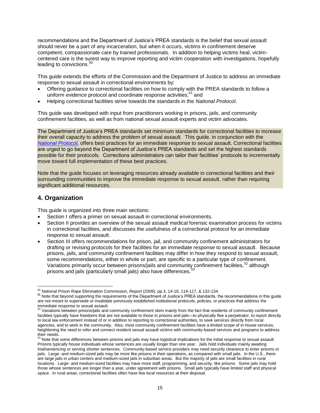recommendations and the Department of Justice's PREA standards is the belief that sexual assault should never be a part of any incarceration, but when it occurs, victims in confinement deserve competent, compassionate care by trained professionals. In addition to helping victims heal, victimcentered care is the surest way to improve reporting and victim cooperation with investigations, hopefully leading to convictions.<sup>50</sup>

This guide extends the efforts of the Commission and the Department of Justice to address an immediate response to sexual assault in correctional environments by:

- Offering guidance to correctional facilities on how to comply with the PREA standards to follow a uniform evidence protocol and coordinate response activities;<sup>51</sup> and
- Helping correctional facilities strive towards the standards in the *National Protocol*.

This guide was developed with input from practitioners working in prisons, jails, and community confinement facilities, as well as from national sexual assault experts and victim advocates.

The Department of Justice's PREA standards set minimum standards for correctional facilities to increase their overall capacity to address the problem of sexual assault. This guide, in conjunction with the *[National Protocol](https://www.ncjrs.gov/pdffiles1/ovw/241903.pdf)*, offers best practices for an immediate response to sexual assault. Correctional facilities are urged to go beyond the Department of Justice's PREA standards and set the highest standards possible for their protocols. Corrections administrators can tailor their facilities' protocols to incrementally move toward full implementation of these best practices.

Note that the guide focuses on leveraging resources already available in correctional facilities and their surrounding communities to improve the immediate response to sexual assault, rather than requiring significant additional resources.

### **4. Organization**

 $\overline{\phantom{a}}$ 

This guide is organized into three main sections:

- Section I offers a primer on sexual assault in correctional environments.
- Section II provides an overview of the sexual assault medical forensic examination process for victims in correctional facilities, and discusses the usefulness of a correctional protocol for an immediate response to sexual assault.
- Section III offers recommendations for prison, jail, and community confinement administrators for drafting or revising protocols for their facilities for an immediate response to sexual assault. Because prisons, jails, and community confinement facilities may differ in how they respond to sexual assault, some recommendations, either in whole or part, are specific to a particular type of confinement. Variations primarily occur between prisons/jails and community confinement facilities.<sup>52</sup> although prisons and jails (particularly small jails) also have differences.<sup>53</sup>

<sup>50</sup> National Prison Rape Elimination Commission, *Report* (2009), pp.3, 14-16, 114-117, & 132-134.

**<sup>51</sup>** Note that beyond supporting the requirements of the Department of Justice's PREA standards, the recommendations in this guide are not meant to supersede or invalidate previously established institutional protocols, policies, or practices that address the

immediate response to sexual assault.<br><sup>52</sup> Variations between prisons/jails and community confinement stem mainly from the fact that residents of community confinement facilities typically have freedoms that are not available to those in prisons and jails—to physically flee a perpetrator, to report directly to local law enforcement instead of or in addition to reporting to correctional authorities, to seek services directly from local agencies, and to work in the community. Also, most community confinement facilities have a limited scope of in-house services, heightening the need to refer and connect resident sexual assault victims with community-based services and programs to address their needs.

<sup>53</sup> Note that some differences between prisons and jails may have logistical implications for the initial response to sexual assault: Prisons typically house individuals whose sentences are usually longer than one year. Jails hold individuals mainly awaiting trial/sentencing or serving shorter sentences. Community-based service providers may need security clearance to enter prisons or jails. Large- and medium-sized jails may be more like prisons in their operations, as compared with small jails. In the U.S., there are large jails in urban centers and medium-sized jails in suburban areas. But the majority of jails are small facilities in rural locations. Large- and medium-sized facilities may have more staff, programming, and security, like prisons. Some jails may hold those whose sentences are longer than a year, under agreement with prisons. Small jails typically have limited staff and physical space. In rural areas, correctional facilities often have few local resources at their disposal.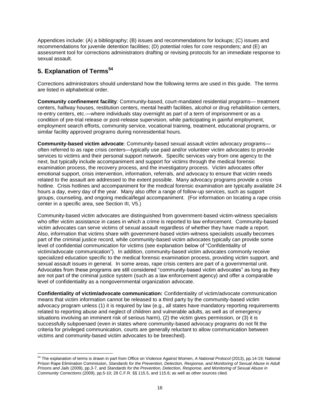Appendices include: (A) a bibliography; (B) issues and recommendations for lockups; (C) issues and recommendations for juvenile detention facilities; (D) potential roles for core responders; and (E) an assessment tool for corrections administrators drafting or revising protocols for an immediate response to sexual assault.

## **5. Explanation of Terms<sup>54</sup>**

 $\overline{a}$ 

Corrections administrators should understand how the following terms are used in this guide. The terms are listed in alphabetical order.

**Community confinement facility***:* Community-based, court-mandated residential programs— treatment centers, halfway houses, restitution centers, mental health facilities, alcohol or drug rehabilitation centers, re-entry centers, etc.—where individuals stay overnight as part of a term of imprisonment or as a condition of pre-trial release or post-release supervision, while participating in gainful employment, employment search efforts, community service, vocational training, treatment, educational programs, or similar facility approved programs during nonresidential hours.

**Community-based victim advocate**: Community-based sexual assault victim advocacy programs often referred to as rape crisis centers—typically use paid and/or volunteer victim advocates to provide services to victims and their personal support network. Specific services vary from one agency to the next, but typically include accompaniment and support for victims through the medical forensic examination process, the recovery process, and the investigatory process. Victim advocates offer emotional support, crisis intervention, information, referrals, and advocacy to ensure that victim needs related to the assault are addressed to the extent possible. Many advocacy programs provide a crisis hotline. Crisis hotlines and accompaniment for the medical forensic examination are typically available 24 hours a day, every day of the year. Many also offer a range of follow-up services, such as support groups, counseling, and ongoing medical/legal accompaniment. (For information on locating a rape crisis center in a specific area, see Section III, V5.)

Community-based victim advocates are distinguished from government-based victim-witness specialists who offer victim assistance in cases in which a crime is reported to law enforcement. Community-based victim advocates can serve victims of sexual assault regardless of whether they have made a report. Also, information that victims share with government-based victim-witness specialists usually becomes part of the criminal justice record, while community-based victim advocates typically can provide some level of confidential communication for victims (see explanation below of "Confidentiality of victim/advocate communication"). In addition, community-based victim advocates commonly receive specialized education specific to the medical forensic examination process, providing victim support, and sexual assault issues in general. In some areas, rape crisis centers are part of a governmental unit. Advocates from these programs are still considered "community-based victim advocates" as long as they are not part of the criminal justice system (such as a law enforcement agency) and offer a comparable level of confidentiality as a nongovernmental organization advocate.

**Confidentiality of victim/advocate communication:** Confidentiality of victim/advocate communication means that victim information cannot be released to a third party by the community-based victim advocacy program unless (1) it is required by law (e.g., all states have mandatory reporting requirements related to reporting abuse and neglect of children and vulnerable adults, as well as of emergency situations involving an imminent risk of serious harm), (2) the victim gives permission, or (3) it is successfully subpoenaed (even in states where community-based advocacy programs do not fit the criteria for privileged communication, courts are generally reluctant to allow communication between victims and community-based victim advocates to be breeched).

<sup>54</sup> The explanation of terms is drawn in part from Office on Violence Against Women, *A National Protocol* (2013), pp.14-19; National Prison Rape Elimination Commission, *Standards for the Prevention, Detection, Response, and Monitoring of Sexual Abuse in Adult Prisons and Jails* (2009), pp.3-7, and *Standards for the Prevention, Detection, Response, and Monitoring of Sexual Abuse in Community Corrections* (2009), pp.5-10; 28 C.F.R. §§ 115.5, and 115.6; as well as other sources cited.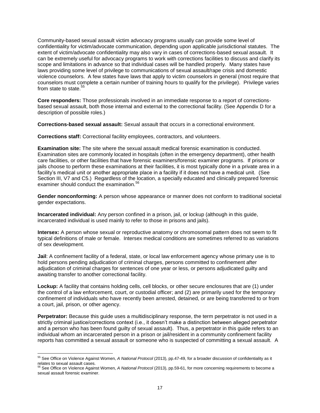Community-based sexual assault victim advocacy programs usually can provide some level of confidentiality for victim/advocate communication, depending upon applicable jurisdictional statutes. The extent of victim/advocate confidentiality may also vary in cases of corrections-based sexual assault. It can be extremely useful for advocacy programs to work with corrections facilities to discuss and clarify its scope and limitations in advance so that individual cases will be handled properly. Many states have laws providing some level of privilege to communications of sexual assault/rape crisis and domestic violence counselors. A few states have laws that apply to victim counselors in general (most require that counselors must complete a certain number of training hours to qualify for the privilege). Privilege varies from state to state.<sup>5</sup>

**Core responders:** Those professionals involved in an immediate response to a report of correctionsbased sexual assault, both those internal and external to the correctional facility. (See Appendix D for a description of possible roles.)

**Corrections-based sexual assault:** Sexual assault that occurs in a correctional environment.

**Corrections staff:** Correctional facility employees, contractors, and volunteers.

**Examination site:** The site where the sexual assault medical forensic examination is conducted. Examination sites are commonly located in hospitals (often in the emergency department), other health care facilities, or other facilities that have forensic examiners/forensic examiner programs. If prisons or jails choose to perform these examinations at their facilities, it is most typically done in a private area in a facility's medical unit or another appropriate place in a facility if it does not have a medical unit. (See Section III, V7 and C5.) Regardless of the location, a specially educated and clinically prepared forensic examiner should conduct the examination.<sup>56</sup>

**Gender nonconforming:** A person whose appearance or manner does not conform to traditional societal gender expectations.

**Incarcerated individual:** Any person confined in a prison, jail, or lockup (although in this guide, incarcerated individual is used mainly to refer to those in prisons and jails).

**Intersex:** A person whose sexual or reproductive anatomy or chromosomal pattern does not seem to fit typical definitions of male or female. Intersex medical conditions are sometimes referred to as variations of sex development.

**Jail**: A confinement facility of a federal, state, or local law enforcement agency whose primary use is to hold persons pending adjudication of criminal charges, persons committed to confinement after adjudication of criminal charges for sentences of one year or less, or persons adjudicated guilty and awaiting transfer to another correctional facility.

**Lockup:** A facility that contains holding cells, cell blocks, or other secure enclosures that are (1) under the control of a law enforcement, court, or custodial officer; and (2) are primarily used for the temporary confinement of individuals who have recently been arrested, detained, or are being transferred to or from a court, jail, prison, or other agency.

**Perpetrator:** Because this guide uses a multidisciplinary response, the term perpetrator is not used in a strictly criminal justice/corrections context (i.e., it doesn't make a distinction between alleged perpetrator and a person who has been found guilty of sexual assault). Thus, a perpetrator in this guide refers to an individual whom an incarcerated person in a prison or jail/resident in a community confinement facility reports has committed a sexual assault or someone who is suspected of committing a sexual assault. A

 $\overline{a}$ 

<sup>55</sup> See Office on Violence Against Women, *A National Protocol* (2013), pp.47-49, for a broader discussion of confidentiality as it

relates to sexual assault cases. <sup>56</sup> See Office on Violence Against Women, *A National Protocol* (2013), pp.59-61, for more concerning requirements to become a sexual assault forensic examiner.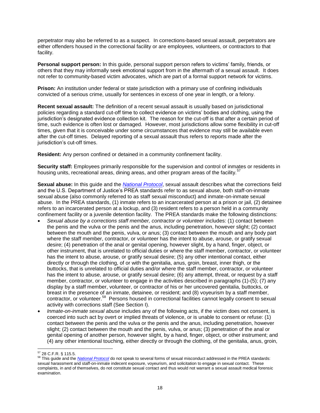perpetrator may also be referred to as a suspect. In corrections-based sexual assault, perpetrators are either offenders housed in the correctional facility or are employees, volunteers, or contractors to that facility.

**Personal support person:** In this guide, personal support person refers to victims' family, friends, or others that they may informally seek emotional support from in the aftermath of a sexual assault. It does not refer to community-based victim advocates, which are part of a formal support network for victims.

**Prison:** An institution under federal or state jurisdiction with a primary use of confining individuals convicted of a serious crime, usually for sentences in excess of one year in length, or a felony.

**Recent sexual assault:** The definition of a recent sexual assault is usually based on jurisdictional policies regarding a standard cut-off time to collect evidence on victims' bodies and clothing, using the jurisdiction's designated evidence collection kit. The reason for the cut-off is that after a certain period of time, such evidence is often lost or damaged. However, most jurisdictions allow some flexibility in cut-off times, given that it is conceivable under some circumstances that evidence may still be available even after the cut-off times. Delayed reporting of a sexual assault thus refers to reports made after the jurisdiction's cut-off times.

**Resident:** Any person confined or detained in a community confinement facility.

**Security staff:** Employees primarily responsible for the supervision and control of inmates or residents in housing units, recreational areas, dining areas, and other program areas of the facility.<sup>57</sup>

**Sexual abuse:** In this guide and the *[National Protocol](https://www.ncjrs.gov/pdffiles1/ovw/241903.pdf)*, sexual assault describes what the corrections field and the U.S. Department of Justice's PREA standards refer to as sexual abuse, both staff-on-inmate sexual abuse (also commonly referred to as staff sexual misconduct) and inmate-on-inmate sexual abuse. In the PREA standards, (1) inmate refers to an incarcerated person at a prison or jail, (2) detainee refers to an incarcerated person at a lockup, and (3) resident refers to a person held in a community confinement facility or a juvenile detention facility. The PREA standards make the following distinctions:

- Sexual abuse by a corrections staff member, contractor or volunteer includes: (1) contact between the penis and the vulva or the penis and the anus, including penetration, however slight; (2) contact between the mouth and the penis, vulva, or anus; (3) contact between the mouth and any body part where the staff member, contractor, or volunteer has the intent to abuse, arouse, or gratify sexual desire; (4) penetration of the anal or genital opening, however slight, by a hand, finger, object, or other instrument, that is unrelated to official duties or where the staff member, contractor, or volunteer has the intent to abuse, arouse, or gratify sexual desire; (5) any other intentional contact, either directly or through the clothing, of or with the genitalia, anus, groin, breast, inner thigh, or the buttocks, that is unrelated to official duties and/or where the staff member, contractor, or volunteer has the intent to abuse, arouse, or gratify sexual desire; (6) any attempt, threat, or request by a staff member, contractor, or volunteer to engage in the activities described in paragraphs (1)-(5); (7) any display by a staff member, volunteer, or contractor of his or her uncovered genitalia, buttocks, or breast in the presence of an inmate, detainee, or resident; and (8) voyeurism by a staff member, contractor, or volunteer.<sup>58</sup> Persons housed in correctional facilities cannot legally consent to sexual activity with corrections staff (See Section I).
- *Inmate-on-inmate sexual abuse* includes any of the following acts, if the victim does not consent, is coerced into such act by overt or implied threats of violence, or is unable to consent or refuse: (1) contact between the penis and the vulva or the penis and the anus, including penetration, however slight; (2) contact between the mouth and the penis, vulva, or anus; (3) penetration of the anal or genital opening of another person, however slight, by a hand, finger, object, or other instrument; and (4) any other intentional touching, either directly or through the clothing, of the genitalia, anus, groin,

 $\overline{\phantom{a}}$ <sup>57</sup> 28 C.F.R. § 115.5.

<sup>58</sup> This guide and the *[National Protocol](https://www.ncjrs.gov/pdffiles1/ovw/241903.pdf)* do not speak to several forms of sexual misconduct addressed in the PREA standards: sexual harassment and staff-on-inmate indecent exposure, voyeurism, and solicitation to engage in sexual contact. These complaints, in and of themselves, do not constitute sexual contact and thus would not warrant a sexual assault medical forensic examination.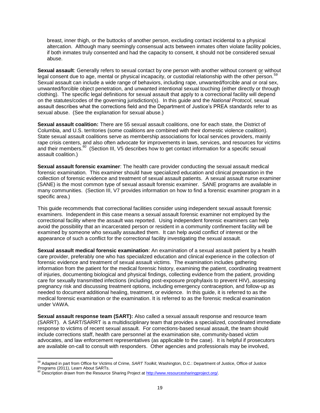breast, inner thigh, or the buttocks of another person, excluding contact incidental to a physical altercation. Although many seemingly consensual acts between inmates often violate facility policies, if both inmates truly consented and had the capacity to consent, it should not be considered sexual abuse.

**Sexual assault**: Generally refers to sexual contact by one person with another without consent or without legal consent due to age, mental or physical incapacity, or custodial relationship with the other person.<sup>59</sup> Sexual assault can include a wide range of behaviors, including rape, unwanted/forcible anal or oral sex, unwanted/forcible object penetration, and unwanted intentional sexual touching (either directly or through clothing). The specific legal definitions for sexual assault that apply to a correctional facility will depend on the statutes/codes of the governing jurisdiction(s). In this guide and the *National Protocol*, sexual assault describes what the corrections field and the Department of Justice's PREA standards refer to as sexual abuse. (See the explanation for sexual abuse.)

**Sexual assault coalition:** There are 55 sexual assault coalitions, one for each state, the District of Columbia, and U.S. territories (some coalitions are combined with their domestic violence coalition). State sexual assault coalitions serve as membership associations for local services providers, mainly rape crisis centers, and also often advocate for improvements in laws, services, and resources for victims and their members.<sup>60</sup> (Section III, V5 describes how to get contact information for a specific sexual assault coalition.)

**Sexual assault forensic examiner**: The health care provider conducting the sexual assault medical forensic examination. This examiner should have specialized education and clinical preparation in the collection of forensic evidence and treatment of sexual assault patients. A sexual assault nurse examiner (SANE) is the most common type of sexual assault forensic examiner. SANE programs are available in many communities. (Section III, V7 provides information on how to find a forensic examiner program in a specific area.)

This guide recommends that correctional facilities consider using independent sexual assault forensic examiners. Independent in this case means a sexual assault forensic examiner not employed by the correctional facility where the assault was reported. Using independent forensic examiners can help avoid the possibility that an incarcerated person or resident in a community confinement facility will be examined by someone who sexually assaulted them. It can help avoid conflict of interest or the appearance of such a conflict for the correctional facility investigating the sexual assault.

**Sexual assault medical forensic examination**: An examination of a sexual assault patient by a health care provider, preferably one who has specialized education and clinical experience in the collection of forensic evidence and treatment of sexual assault victims. The examination includes gathering information from the patient for the medical forensic history, examining the patient, coordinating treatment of injuries, documenting biological and physical findings, collecting evidence from the patient, providing care for sexually transmitted infections (including post-exposure prophylaxis to prevent HIV), assessing pregnancy risk and discussing treatment options, including emergency contraception, and follow-up as needed to document additional healing, treatment, or evidence. In this guide, it is referred to as the medical forensic examination or the examination. It is referred to as the forensic medical examination under VAWA.

**Sexual assault response team (SART):** Also called a sexual assault response and resource team (SARRT). A SART/SARRT is a multidisciplinary team that provides a specialized, coordinated immediate response to victims of recent sexual assault. For corrections-based sexual assault, the team should include corrections staff, health care personnel at the examination site, community-based victim advocates, and law enforcement representatives (as applicable to the case). It is helpful if prosecutors are available on-call to consult with responders. Other agencies and professionals may be involved,

<sup>59</sup> Adapted in part from Office for Victims of Crime, *SART Toolkit*, Washington, D.C.: Department of Justice, Office of Justice Programs (2011), Learn About SARTs.<br><sup>60</sup> Description drawn from the Resource Sharing Project at <u>http://www.resourcesharingproject.org/</u>.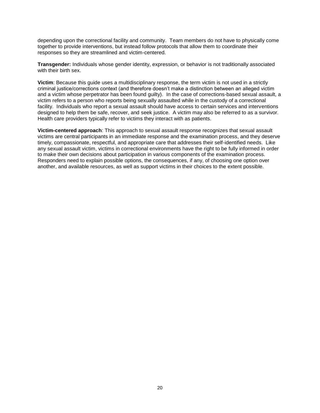depending upon the correctional facility and community. Team members do not have to physically come together to provide interventions, but instead follow protocols that allow them to coordinate their responses so they are streamlined and victim-centered.

**Transgender:** Individuals whose gender identity, expression, or behavior is not traditionally associated with their birth sex.

**Victim**: Because this guide uses a multidisciplinary response, the term victim is not used in a strictly criminal justice/corrections context (and therefore doesn't make a distinction between an alleged victim and a victim whose perpetrator has been found guilty). In the case of corrections-based sexual assault, a victim refers to a person who reports being sexually assaulted while in the custody of a correctional facility. Individuals who report a sexual assault should have access to certain services and interventions designed to help them be safe, recover, and seek justice. A victim may also be referred to as a survivor. Health care providers typically refer to victims they interact with as patients.

**Victim-centered approach**: This approach to sexual assault response recognizes that sexual assault victims are central participants in an immediate response and the examination process, and they deserve timely, compassionate, respectful, and appropriate care that addresses their self-identified needs. Like any sexual assault victim, victims in correctional environments have the right to be fully informed in order to make their own decisions about participation in various components of the examination process. Responders need to explain possible options, the consequences, if any, of choosing one option over another, and available resources, as well as support victims in their choices to the extent possible.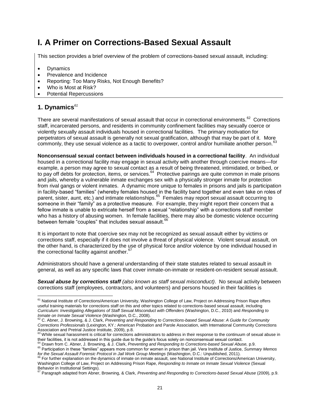## **I. A Primer on Corrections-Based Sexual Assault**

This section provides a brief overview of the problem of corrections-based sexual assault, including:

- Dynamics
- Prevalence and Incidence
- Reporting: Too Many Risks, Not Enough Benefits?
- Who is Most at Risk?
- Potential Repercussions

## **1. Dynamics***<sup>61</sup>*

There are several manifestations of sexual assault that occur in correctional environments.<sup>62</sup> Corrections staff, incarcerated persons, and residents in community confinement facilities may sexually coerce or violently sexually assault individuals housed in correctional facilities. The primary motivation for perpetrators of sexual assault is generally not sexual gratification, although that may be part of it. More commonly, they use sexual violence as a tactic to overpower, control and/or humiliate another person.  $63$ 

**Nonconsensual sexual contact between individuals housed in a correctional facility**. An individual housed in a correctional facility may engage in sexual activity with another through coercive means—for example, a person may agree to sexual contact as a result of being threatened, intimidated, or bribed, or to pay off debts for protection, items, or services.<sup>64</sup> Protective pairings are quite common in male prisons and jails, whereby a vulnerable inmate exchanges sex with a physically stronger inmate for protection from rival gangs or violent inmates. A dynamic more unique to females in prisons and jails is participation in facility-based "families" (whereby females housed in the facility band together and even take on roles of parent, sister, aunt, etc.) and intimate relationships.<sup>65</sup> Females may report sexual assault occurring to someone in their "family" as a protective measure. For example, they might report their concern that a fellow inmate is unable to extricate herself from a sexual "relationship" with a corrections staff member who has a history of abusing women. In female facilities, there may also be domestic violence occurring between female "couples" that includes sexual assault.<sup>66</sup>

It is important to note that coercive sex may not be recognized as sexual assault either by victims or corrections staff, especially if it does not involve a threat of physical violence. Violent sexual assault, on the other hand, is characterized by the use of physical force and/or violence by one individual housed in the correctional facility against another.<sup>67</sup>

Administrators should have a general understanding of their state statutes related to sexual assault in general, as well as any specific laws that cover inmate-on-inmate or resident-on-resident sexual assault.

*Sexual abuse by corrections staff (also known as staff sexual misconduct)*. No sexual activity between corrections staff (employees, contractors, and volunteers) and persons housed in their facilities is

<sup>64</sup> Drawn from C. Abner, J. Browning, & J. Clark, *Preventing and Responding to Corrections-based Sexual Abuse,* p.9.

 $\overline{\phantom{a}}$ <sup>61</sup> National Institute of Corrections/American University, Washington College of Law, Project on Addressing Prison Rape offers useful training materials for corrections staff on this and other topics related to corrections-based sexual assault, including *Curriculum: Investigating Allegations of Staff Sexual Misconduct with Offenders* (Washington, D.C., 2010) and *Responding to* 

*Inmate on Inmate Sexual Violence* (Washington, D.C., 2008). <sup>62</sup> C. Abner, J. Browning, & J. Clark, *Preventing and Responding to Corrections-based Sexual Abuse: A Guide for Community Corrections Professionals* (Lexington, KY.: American Probation and Parole Association, with International Community Corrections Association and Pretrial Justice Institute, 2009), p.8.<br><sup>63</sup> While sexual harassment is critical for corrections administrators to address in their response to the continuum of sexual abuse in

their facilities, it is not addressed in this guide due to the guide's focus solely on nonconsensual sexual contact.

<sup>65</sup> Participation in these "families" appears more common for women in prison than jail. Vera Institute of Justice, *Summary Memos for the Sexual Assault Forensic Protocol in Jail Work Group Meetings* (Washington, D.C.: Unpublished, 2011).

For further explanation on the dynamics of inmate on inmate assault, see National Institute of Corrections/American University, Washington College of Law, Project on Addressing Prison Rape, *Responding to Inmate on Inmate Sexual Violence* (Sexual Behavior in Institutional Settings).

<sup>67</sup> Paragraph adapted from Abner, Browning, & Clark, *Preventing and Responding to Corrections-based Sexual Abuse* (2009), p.9.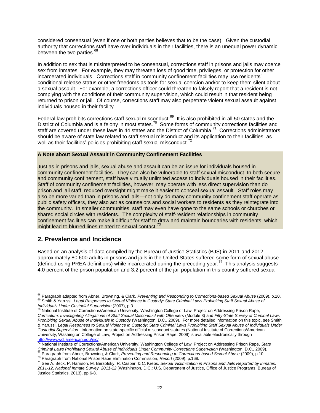considered consensual (even if one or both parties believes that to be the case). Given the custodial authority that corrections staff have over individuals in their facilities, there is an unequal power dynamic between the two parties.<sup>68</sup>

In addition to sex that is misinterpreted to be consensual, corrections staff in prisons and jails may coerce sex from inmates. For example, they may threaten loss of good time, privileges, or protection for other incarcerated individuals. Corrections staff in community confinement facilities may use residents' conditional release status or other freedoms as tools for sexual coercion and/or to keep them silent about a sexual assault. For example, a corrections officer could threaten to falsely report that a resident is not complying with the conditions of their community supervision, which could result in that resident being returned to prison or jail. Of course, corrections staff may also perpetrate violent sexual assault against individuals housed in their facility.

Federal law prohibits corrections staff sexual misconduct.<sup>69</sup> It is also prohibited in all 50 states and the District of Columbia and is a felony in most states.<sup>70</sup> Some forms of community corrections facilities and staff are covered under these laws in 44 states and the District of Columbia.<sup>71</sup> Corrections administrators should be aware of state law related to staff sexual misconduct and its application to their facilities, as well as their facilities' policies prohibiting staff sexual misconduct.<sup>72</sup>

#### **A Note about Sexual Assault in Community Confinement Facilities**

Just as in prisons and jails, sexual abuse and assault can be an issue for individuals housed in community confinement facilities. They can also be vulnerable to staff sexual misconduct. In both secure and community confinement, staff have virtually unlimited access to individuals housed in their facilities. Staff of community confinement facilities, however, may operate with less direct supervision than do prison and jail staff; reduced oversight might make it easier to conceal sexual assault. Staff roles may also be more varied than in prisons and jails—not only do many community confinement staff operate as public safety officers, they also act as counselors and social workers to residents as they reintegrate into the community. In smaller communities, staff may even have gone to the same schools or churches or shared social circles with residents. The complexity of staff-resident relationships in community confinement facilities can make it difficult for staff to draw and maintain boundaries with residents, which might lead to blurred lines related to sexual contact.<sup>73</sup>

#### **2. Prevalence and Incidence**

l

Based on an analysis of data compiled by the Bureau of Justice Statistics (BJS) in 2011 and 2012, approximately 80,600 adults in prisons and jails in the United States suffered some form of sexual abuse  $($ defined using PREA definitions) while incarcerated during the preceding year.<sup>74</sup> This analysis suggests 4.0 percent of the prison population and 3.2 percent of the jail population in this country suffered sexual

<sup>&</sup>lt;sup>68</sup> Paragraph adapted from Abner, Browning, & Clark, *Preventing and Responding to Corrections-based Sexual Abuse (2009)*, p.10. <sup>69</sup> Smith & Yarussi, *Legal Responses to Sexual Violence in Custody: State Criminal Laws Prohibiting Staff Sexual Abuse of* 

*Individuals Under Custodial Supervision* (2007), p.3. <sup>70</sup> National Institute of Corrections/American University, Washington College of Law, Project on Addressing Prison Rape, *Curriculum: Investigating Allegations of Staff Sexual Misconduct with Offenders* (Module 3) and *Fifty-State Survey of Criminal Laws Prohibiting Sexual Abuse of Individuals in Custody* (Washington, D.C., 2009). For more detailed information on this topic, see Smith & Yarussi, *Legal Responses to Sexual Violence in Custody: State Criminal Laws Prohibiting Staff Sexual Abuse of Individuals Under Custodial Supervision*. Information on state-specific official misconduct statutes (National Institute of Corrections/American University, Washington College of Law, Project on Addressing Prison Rape, 2009) is available electronically through http://www.wcl.american.edu/nic/

<sup>71</sup> National Institute of Corrections/American University, Washington College of Law, Project on Addressing Prison Rape, *State Criminal Laws Prohibiting Sexual Abuse of Individuals Under Community Corrections Supervision* (Washington, D.C., 2009). <sup>72</sup> Paragraph from Abner, Browning, & Clark, *Preventing and Responding to Corrections-based Sexual Abuse* (2009), p.10.

<sup>73</sup> Paragraph from National Prison Rape Elimination Commission, *Report* (2009), p.168.

<sup>74</sup> See A. Beck, P. Harrison, M. Berzofsky, R. Caspar, & C. Krebs, *Sexual Victimization in Prisons and Jails Reported by Inmates, 2011-12, National Inmate Survey, 2011-12* (Washington, D.C.: U.S. Department of Justice, Office of Justice Programs, Bureau of Justice Statistics, 2013), pp.6-8.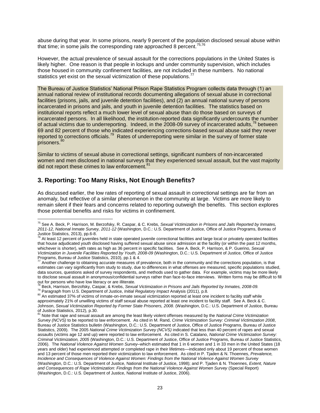abuse during that year. In some prisons, nearly 9 percent of the population disclosed sexual abuse within that time; in some jails the corresponding rate approached 8 percent.  $75,76$ 

However, the actual prevalence of sexual assault for the corrections populations in the United States is likely higher. One reason is that people in lockups and under community supervision, which includes those housed in community confinement facilities, are not included in these numbers. No national statistics yet exist on the sexual victimization of these populations.<sup>77</sup>

The Bureau of Justice Statistics' National Prison Rape Statistics Program collects data through (1) an annual national review of institutional records documenting allegations of sexual abuse in correctional facilities (prisons, jails, and juvenile detention facilities), and (2) an annual national survey of persons incarcerated in prisons and jails, and youth in juvenile detention facilities. The statistics based on institutional reports reflect a much lower level of sexual abuse than do those based on surveys of incarcerated persons. In all likelihood, the institution-reported data significantly undercounts the number of actual victims due to underreporting. Indeed, in the 2008-09 survey of incarcerated adults,<sup>78</sup> between 69 and 82 percent of those who indicated experiencing corrections-based sexual abuse said they never reported to corrections officials.<sup>79</sup> Rates of underreporting were similar in the survey of former state prisoners.<sup>8</sup>

Similar to victims of sexual abuse in correctional settings, significant numbers of non-incarcerated women and men disclosed in national surveys that they experienced sexual assault, but the vast majority did not report these crimes to law enforcement.<sup>81</sup>

### **3. Reporting: Too Many Risks, Not Enough Benefits?**

As discussed earlier, the low rates of reporting of sexual assault in correctional settings are far from an anomaly, but reflective of a similar phenomenon in the community at large. Victims are more likely to remain silent if their fears and concerns related to reporting outweigh the benefits. This section explores those potential benefits and risks for victims in confinement.

 $\overline{a}$ <sup>75</sup> See A. Beck, P. Harrison, M. Berzofsky, R. Caspar, & C. Krebs, *Sexual Victimization in Prisons and Jails Reported by Inmates, 2011-12, National Inmate Survey, 2011-12* (Washington, D.C.: U.S. Department of Justice, Office of Justice Programs, Bureau of

Justice Statistics, 2013), pp.6-8.<br><sup>76</sup> At least 12 percent of juveniles held in state operated juvenile correctional facilities and large local or privately operated facilities that house adjudicated youth disclosed having suffered sexual abuse since admission at the facility (or within the past 12 months, whichever is shorter), with rates as high as 36 percent in specific facilities. See A. Beck, P. Harrison, & P. Guerino, *Sexual Victimization in Juvenile Facilities Reported by Youth, 2008-09* (Washington, D.C.: U.S. Department of Justice, Office of Justice

Programs, Bureau of Justice Statistics, 2010), pp.1 & 4.<br><sup>77</sup> Another challenge to obtaining accurate measures of prevalence, both in the community and the corrections population, is that estimates can vary significantly from study to study, due to differences in what offenses are measured, specific populations studied, data sources, questions asked of survey respondents, and methods used to gather data. For example, victims may be more likely to disclose sexual assault in anonymous/confidential surveys rather than face-to-face interviews. Written forms may be difficult to fill out for persons who have low literacy or are illiterate.

<sup>78</sup> Beck, Harrison, Berzofsky, Caspar, & Krebs, *Sexual Victimization in Prisons and Jails Reported by Inmates, 2008-09.* <sup>79</sup> Paragraph from U.S. Department of Justice, *Initial Regulatory Impact* Analysis (2011), p.8*.*

<sup>80</sup> An estimated 37% of victims of inmate-on-inmate sexual victimization reported at least one incident to facility staff while approximately 21% of unwilling victims of staff sexual abuse reported at least one incident to facility staff. See A. Beck & C. Johnson, *Sexual Victimization Reported by Former State Prisoners, 2008*. (Washington, D.C.: U.S. Department of Justice, Bureau

of Justice Statistics, 2012), p.30. <sup>81</sup> Note that rape and sexual assault are among the least likely violent offenses measured by the *National Crime Victimization Survey (NCVS)* to be reported to law enforcement. As cited in M. Rand, *Crime Victimization Survey: Criminal Victimization 2008*, Bureau of Justice Statistics bulletin (Washington, D.C.: U.S. Department of Justice, Office of Justice Programs, Bureau of Justice Statistics, 2009). The 2005 *National Crime Victimization Survey (NCVS)* indicated that less than 40 percent of rapes and sexual assaults (victims age 12 and up) were reported to law enforcement. As cited in S. Catalano, *National Crime Victimization Survey: Criminal Victimization, 2005* (Washington, D.C.: U.S. Department of Justice, Office of Justice Programs, Bureau of Justice Statistics, 2006). The *National Violence Against Women Survey–*which estimated that 1 in 6 women and 1 in 33 men in the United States (18 years and older) had experienced attempted or completed rape in their lifetimes—indicated only about 19 percent of those women and 13 percent of those men reported their victimization to law enforcement. As cited in P. Tjaden & N. Thoennes, *Prevalence, Incidence and Consequences of Violence Against Women: Findings from the National Violence Against Women Survey*  (Washington, D.C.: U.S. Department of Justice, National Institute of Justice, 1998); and P. Tjaden & N. Thoennes, *Extent, Nature and Consequences of Rape Victimization: Findings from the National Violence Against Women Survey* (Special Report) (Washington, D.C.: U.S. Department of Justice, National Institute of Justice, 2006).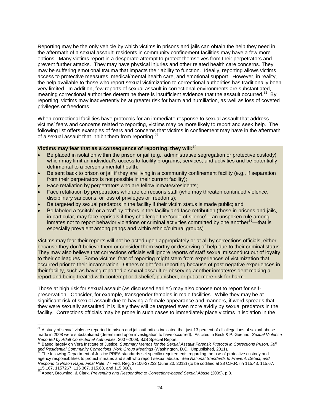Reporting may be the only vehicle by which victims in prisons and jails can obtain the help they need in the aftermath of a sexual assault; residents in community confinement facilities may have a few more options. Many victims report in a desperate attempt to protect themselves from their perpetrators and prevent further attacks. They may have physical injuries and other related health care concerns. They may be suffering emotional trauma that impacts their ability to function. Ideally, reporting allows victims access to protective measures, medical/mental health care, and emotional support. However, in reality, the help available to those who report sexual victimization to correctional authorities has traditionally been very limited. In addition, few reports of sexual assault in correctional environments are substantiated, meaning correctional authorities determine there is insufficient evidence that the assault occurred.<sup>82</sup> By reporting, victims may inadvertently be at greater risk for harm and humiliation, as well as loss of coveted privileges or freedoms.

When correctional facilities have protocols for an immediate response to sexual assault that address victims' fears and concerns related to reporting, victims may be more likely to report and seek help. The following list offers examples of fears and concerns that victims in confinement may have in the aftermath of a sexual assault that inhibit them from reporting.<sup>83</sup>

#### **Victims may fear that as a consequence of reporting, they will:**<sup>84</sup>

- Be placed in isolation within the prison or jail (e.g., administrative segregation or protective custody) which may limit an individual's access to facility programs, services, and activities and be potentially detrimental to a person's mental health;
- Be sent back to prison or jail if they are living in a community confinement facility (e.g., if separation from their perpetrators is not possible in their current facility);
- Face retaliation by perpetrators who are fellow inmates/residents;
- Face retaliation by perpetrators who are corrections staff (who may threaten continued violence, disciplinary sanctions, or loss of privileges or freedoms);
- Be targeted by sexual predators in the facility if their victim status is made public; and
- Be labeled a "snitch" or a "rat" by others in the facility and face retribution (those in prisons and jails, in particular, may face reprisals if they challenge the "code of silence"—an unspoken rule among inmates not to report behavior violations or criminal activities committed by one another<sup>85</sup>—that is especially prevalent among gangs and within ethnic/cultural groups).

Victims may fear their reports will not be acted upon appropriately or at all by corrections officials, either because they don't believe them or consider them worthy or deserving of help due to their criminal status. They may also believe that corrections officials will ignore reports of staff sexual misconduct out of loyalty to their colleagues. Some victims' fear of reporting might stem from experiences of victimization that occurred prior to their incarceration. Others might fear reporting because of past negative experiences in their facility, such as having reported a sexual assault or observing another inmate/resident making a report and being treated with contempt or disbelief, punished, or put at more risk for harm.

Those at high risk for sexual assault (as discussed earlier) may also choose not to report for selfpreservation. Consider, for example, transgender females in male facilities. While they may be at significant risk of sexual assault due to having a female appearance and manners, if word spreads that they were sexually assaulted, it is likely they will be targeted even more avidly by sexual predators in the facility. Corrections officials may be prone in such cases to immediately place victims in isolation in the

 $\overline{a}$  $82$  A study of sexual violence reported to prison and jail authorities indicated that just 13 percent of all allegations of sexual abuse made in 2008 were substantiated (determined upon investigation to have occurred). As cited in Beck & P. Guerino, *Sexual Violence* 

*Reported by Adult Correctional Authorities,* 2007-2008, BJS Special Report. <sup>83</sup> Based largely on Vera Institute of Justice, *Summary Memos for the Sexual Assault Forensic Protocol in Corrections Prison, Jail,*  and Residential Community Corrections Work Group Meetings (Washington, D.C.: Unpublished, 2011).<br><sup>84</sup> The following Department of Justice PDF 6 and 2007 Meetings (Washington, D.C.: Unpublished, 2011).

The following Department of Justice PREA standards set specific requirements regarding the use of protective custody and agency responsibilities to protect inmates and staff who report sexual abuse. See *National Standards to Prevent, Detect, and Respond to Prison Rape, Final Rule*, 77 Fed. Reg. 37106-37232 (June 20, 2012) (to be codified at 28 C.F.R. §§ 115.43, 115.67, 115.167, 1157267, 115.367, 115.68, and 115.368).

<sup>85</sup> Abner, Browning, & Clark, *Preventing and Responding to Corrections-based Sexual Abuse* (2009), p.8.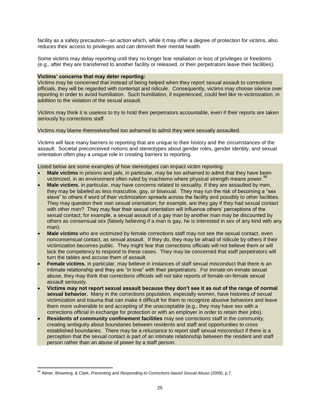facility as a safety precaution—an action which, while it may offer a degree of protection for victims, also reduces their access to privileges and can diminish their mental health.

Some victims may delay reporting until they no longer fear retaliation or loss of privileges or freedoms (e.g., after they are transferred to another facility or released, or their perpetrators leave their facilities).

#### **Victims' concerns that may deter reporting:**

Victims may be concerned that instead of being helped when they report sexual assault to corrections officials, they will be regarded with contempt and ridicule. Consequently, victims may choose silence over reporting in order to avoid humiliation. Such humiliation, if experienced, could feel like re-victimization, in addition to the violation of the sexual assault.

Victims may think it is useless to try to hold their perpetrators accountable, even if their reports are taken seriously by corrections staff.

Victims may blame themselves/feel too ashamed to admit they were sexually assaulted.

Victims will face many barriers to reporting that are unique to their history and the circumstances of the assault. Societal preconceived notions and stereotypes about gender roles, gender identity, and sexual orientation often play a unique role in creating barriers to reporting.

Listed below are some examples of how stereotypes can impact victim reporting:

- **Male victims** in prisons and jails, in particular, may be too ashamed to admit that they have been victimized, in an environment often ruled by machismo where physical strength means power.<sup>86</sup>
- **Male victims**, in particular, may have concerns related to sexuality. If they are assaulted by men, they may be labeled as less masculine, gay, or bisexual. They may run the risk of becoming a "sex slave" to others if word of their victimization spreads across the facility and possibly to other facilities. They may question their own sexual orientation; for example, are they gay if they had sexual contact with other men? They may fear their sexual orientation will influence others' perceptions of the sexual contact; for example, a sexual assault of a gay man by another man may be discounted by others as consensual sex (falsely believing if a man is gay, he is interested in sex of any kind with any man).
- **Male victims** who are victimized by female corrections staff may not see the sexual contact, even nonconsensual contact, as sexual assault. If they do, they may be afraid of ridicule by others if their victimization becomes public. They might fear that corrections officials will not believe them or will lack the competency to respond to these cases. They may be concerned that staff perpetrators will turn the tables and accuse them of assault.
- **Female victims**, in particular, may believe in instances of staff sexual misconduct that there is an intimate relationship and they are "in love" with their perpetrators. For inmate-on-inmate sexual abuse, they may think that corrections officials will not take reports of female-on-female sexual assault seriously.
- **Victims may not report sexual assault because they don't see it as out of the range of normal sexual behavior.** Many in the corrections population, especially women, have histories of sexual victimization and trauma that can make it difficult for them to recognize abusive behaviors and leave them more vulnerable to and accepting of the unacceptable (e.g., they may have sex with a corrections official in exchange for protection or with an employer in order to retain their jobs).
- **Residents of community confinement facilities** may see corrections staff in the community, creating ambiguity about boundaries between residents and staff and opportunities to cross established boundaries. There may be a reluctance to report staff sexual misconduct if there is a perception that the sexual contact is part of an intimate relationship between the resident and staff person rather than an abuse of power by a staff person.

<sup>86</sup> Abner, Browning, & Clark, *Preventing and Responding to Corrections-based Sexual Abuse* (2009), p.7.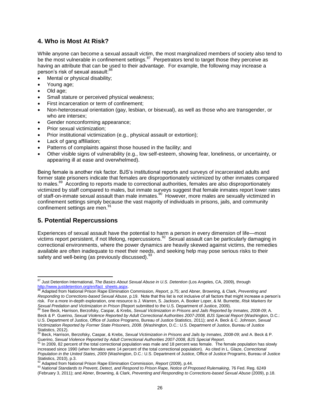## **4. Who is Most At Risk?**

While anyone can become a sexual assault victim, the most marginalized members of society also tend to be the most vulnerable in confinement settings. $87$  Perpetrators tend to target those they perceive as having an attribute that can be used to their advantage. For example, the following may increase a person's risk of sexual assault: 88

- Mental or physical disability;
- Young age;
- Old age;
- Small stature or perceived physical weakness;
- First incarceration or term of confinement;
- Non-heterosexual orientation (gay, lesbian, or bisexual), as well as those who are transgender, or who are intersex;
- Gender nonconforming appearance;
- Prior sexual victimization;
- Prior institutional victimization (e.g., physical assault or extortion);
- Lack of gang affiliation:
- Patterns of complaints against those housed in the facility; and
- Other visible signs of vulnerability (e.g., low self-esteem, showing fear, loneliness, or uncertainty, or appearing ill at ease and overwhelmed).

Being female is another risk factor. BJS's institutional reports and surveys of incarcerated adults and former state prisoners indicate that females are disproportionately victimized by other inmates compared to males.<sup>89</sup> According to reports made to correctional authorities, females are also disproportionately victimized by staff compared to males, but inmate surveys suggest that female inmates report lower rates of staff-on-inmate sexual assault than male inmates.<sup>90</sup> However, more males are sexually victimized in confinement settings simply because the vast majority of individuals in prisons, jails, and community confinement settings are men.<sup>91</sup>

## **5. Potential Repercussions**

Experiences of sexual assault have the potential to harm a person in every dimension of life—most victims report persistent, if not lifelong, repercussions.<sup>92</sup> Sexual assault can be particularly damaging in correctional environments, where the power dynamics are heavily skewed against victims, the remedies available are often inadequate to meet their needs, and seeking help may pose serious risks to their safety and well-being (as previously discussed).<sup>9</sup>

 $\overline{\phantom{a}}$ <sup>87</sup> Just Detention International, *The Basics About Sexual Abuse in U.S. Detention* (Los Angeles, CA, 2009), through [http://www.justdetention.org/en/fact\\_sheets.aspx.](http://www.justdetention.org/en/fact_sheets.aspx) <sup>88</sup> Adapted from National Prison Rape Elimination Commission, *Report*, p.75; and Abner, Browning, & Clark, *Preventing and* 

*Responding to Corrections-based Sexual Abuse*, p.19. Note that this list is not inclusive of all factors that might increase a person's risk. For a more in-depth exploration, one resource is J. Warren, S. Jackson, A. Booker Loper, & M. Burnette, *Risk Markers for*  Sex*ual Predation and Victimization in Prison* (Report submitted to the U.S. Department of Justice, 2009).<br><sup>89</sup> See Beck, Harrison, Berzofsky, Caspar, & Krebs, *Sexual Victimization in Prisons and Jails Reported by Inmates* 

Beck & P. Guerino, *Sexual Violence Reported by Adult Correctional Authorities 2007-2008, BJS Special Report* (Washington, D.C.: U.S. Department of Justice, Office of Justice Programs, Bureau of Justice Statistics, 2011); and A. Beck & C. Johnson, *Sexual Victimization Reported by Former State Prisoners, 2008*. (Washington, D.C.: U.S. Department of Justice, Bureau of Justice

Statistics, 2012). <sup>90</sup> Beck, Harrison, Berzofsky, Caspar, & Krebs, *Sexual Victimization in Prisons and Jails by Inmates, 2008-09*; and A. Beck & P. Guerino, *Sexual Violence Reported by Adult Correctional Authorities 2007-2008, BJS Special Report*.

In 2009, 82 percent of the total correctional population was male and 18 percent was female. The female population has slowly increased since 1990 (when females were 14 percent of the total correctional population). As cited in L. Glaze, *Correctional Population in the United States, 2009* (Washington, D.C.: U.S. Department of Justice, Office of Justice Programs, Bureau of Justice Statistics, 2010), p.3.

<sup>92</sup> Adapted from National Prison Rape Elimination Commission, *Report* (2009), p.44.

<sup>93</sup> National Standards to Prevent, Detect, and Respond to Prison Rape, Notice of Proposed Rulemaking, 76 Fed. Reg. 6249 (February 3, 2011); and Abner, Browning, & Clark, *Preventing and Responding to Corrections-based Sexual Abuse* (2009), p.18.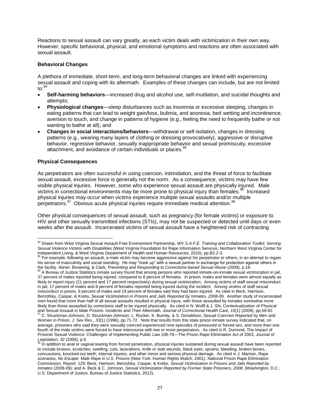Reactions to sexual assault can vary greatly, as each victim deals with victimization in their own way. However, specific behavioral, physical, and emotional symptoms and reactions are often associated with sexual assault.

#### **Behavioral Changes**

A plethora of immediate, short-term, and long-term behavioral changes are linked with experiencing sexual assault and coping with its aftermath. Examples of these changes can include, but are not limited to: $<sup>9</sup>$ </sup>

- **Self-harming behaviors**—increased drug and alcohol use, self-mutilation, and suicidal thoughts and attempts;
- **Physiological changes**—sleep disturbances such as insomnia or excessive sleeping, changes in eating patterns that can lead to weight gain/loss, bulimia, and anorexia, bed wetting and incontinence, aversion to touch, and change in patterns of hygiene (e.g., feeling the need to frequently bathe or not wanting to bathe at all); and
- **Changes in social interactions/behaviors***—*withdrawal or self-isolation, changes in dressing patterns (e.g., wearing many layers of clothing or dressing provocatively), aggressive or disruptive behavior, regressive behavior, sexually inappropriate behavior and sexual promiscuity, excessive attachment, and avoidance of certain individuals or places.<sup>9</sup>

#### **Physical Consequences**

As perpetrators are often successful in using coercion, intimidation, and the threat of force to facilitate sexual assault, excessive force is generally not the norm. As a consequence, victims may have few visible physical injuries. However, some who experience sexual assault are physically injured. Male victims in correctional environments may be more prone to physical injury than females.<sup>96</sup> Increased physical injuries may occur when victims experience multiple sexual assaults and/or multiple perpetrators.<sup>97</sup> Obvious acute physical injuries require immediate medical attention.<sup>98</sup>

Other physical consequences of sexual assault, such as pregnancy (for female victims) or exposure to HIV and other sexually transmitted infections (STIs), may not be suspected or detected until days or even weeks after the assault. Incarcerated victims of sexual assault have a heightened risk of contracting

the facility. Abner, Browning, & Clark, *Preventing and Responding to Corrections-based Sexual Abuse* (2009), p.18.<br><sup>96</sup> A Bureau of Justice Statistics inmate survey found that among persons who reported inmate-on-inmate s 37 percent of males reported being injured, compared to 8 percent of females. In prison, males and females were almost equally as likely to report injury (21 percent and 17 percent respectively) during sexual victimization. Among victims of staff sexual misconduct in jail, 17 percent of males and 8 percent of females reported being injured during the incident. Among victims of staff sexual misconduct in prison, 9 percent of males and 19 percent of females said they had been injured. As cited in Beck, Harrison, Berzofsky, Caspar, & Krebs, *Sexual Victimization in Prisons and Jails Reported by Inmates, 2008-09.* Another study of incarcerated men found that more than half of all sexual assaults resulted in physical injury, with those assaulted by inmates somewhat more likely than those assaulted by corrections staff to be injured physically. As cited in N. Wolff & J. Shi, Contextualization of Physical and Sexual Assault in Male Prisons: Incidents and Their Aftermath. *Journal of Correctional Health Care, 15*(1) (2009), pp.58-82.  $97$  C. Struckman-Johnson, D. Struckman-Johnson, L. Rucker, K. Bumby, & S. Donaldson, Sexual Coercion Reported by Men and

 $\overline{\phantom{a}}$ <sup>94</sup> Drawn from West Virginia Sexual Assault Free Environment Partnership, *WV S.A.F.E. Training and Collaboration Toolkit: Serving Sexual Violence Victims with Disabilities* (West Virginia Foundation for Rape Information Services, Northern West Virginia Center for Independent Living, & West Virginia Department of Health and Human Resources, 2010), pp.B2.2-3.

<sup>&</sup>lt;sup>95</sup> For example, following an assault, a male victim may become aggressive against his perpetrator or others, in an attempt to regain his sense of masculinity and social standing. He may "hook up" with a sexual partner in exchange for protection against others in

Women in Prison, *J. Sex Res*., *33*(1) (1996), pp.71-72. Note that results from this state prison inmate survey indicated that, on average, prisoners who said they were sexually coerced experienced nine episodes of pressured or forced sex, and more than one fourth of the male victims were forced to have intercourse with two or more perpetrators. As cited in R. Dumond, The Impact of Prisoner Sexual Violence: Challenges of Implementing Public Law 108-79—The Prison Rape Elimination Act of 2003, *Journal of Legislation*, *32* (2006), p.6.

In addition to anal or vaginal tearing from forced penetration, physical injuries sustained during sexual assault have been reported to include bruises, scratches, swelling, cuts, lacerations, knife or stab wounds, black eyes, sprains, bleeding, broken bones, concussions, knocked-out teeth, internal injuries, and other minor and serious physical damage. As cited in J. Mariner, Rape scenarios, *No Escape: Male Rape in U.S. Prisons* (New York: Human Rights Watch, 2001), National Prison Rape Elimination Commission, *Report*, 129; Beck, Harrison, Berzofsky, Caspar, & Krebs, *Sexual Victimization in Prisons and Jails Reported by Inmates* (2008*-*09); and A. Beck & C. Johnson, *Sexual Victimization Reported by Former State Prisoners, 2008*. (Washington, D.C.: U.S. Department of Justice, Bureau of Justice Statistics, 2012)*.*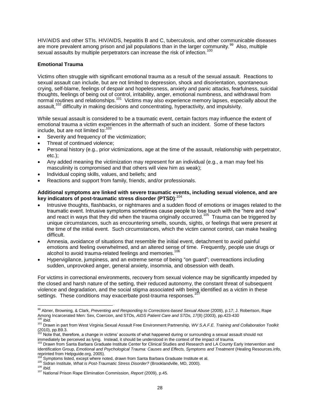HIV/AIDS and other STIs. HIV/AIDS, hepatitis B and C, tuberculosis, and other communicable diseases are more prevalent among prison and jail populations than in the larger community. $99$  Also, multiple sexual assaults by multiple perpetrators can increase the risk of infection.<sup>100</sup>

#### **Emotional Trauma**

Victims often struggle with significant emotional trauma as a result of the sexual assault. Reactions to sexual assault can include, but are not limited to depression, shock and disorientation, spontaneous crying, self-blame, feelings of despair and hopelessness, anxiety and panic attacks, fearfulness, suicidal thoughts, feelings of being out of control, irritability, anger, emotional numbness, and withdrawal from normal routines and relationships.<sup>101</sup> Victims may also experience memory lapses, especially about the assault,<sup>102</sup> difficulty in making decisions and concentrating, hyperactivity, and impulsivity.

While sexual assault is considered to be a traumatic event, certain factors may influence the extent of emotional trauma a victim experiences in the aftermath of such an incident. Some of these factors include, but are not limited to:<sup>103</sup>

- Severity and frequency of the victimization;
- Threat of continued violence;
- Personal history (e.g., prior victimizations, age at the time of the assault, relationship with perpetrator, etc.);
- Any added meaning the victimization may represent for an individual (e.g., a man may feel his masculinity is compromised and that others will view him as weak);
- Individual coping skills, values, and beliefs; and
- Reactions and support from family, friends, and/or professionals.

#### **Additional symptoms are linked with severe traumatic events, including sexual violence, and are key indicators of post-traumatic stress disorder (PTSD)**: 104

- Intrusive thoughts, flashbacks, or nightmares and a sudden flood of emotions or images related to the traumatic event. Intrusive symptoms sometimes cause people to lose touch with the "here and now" and react in ways that they did when the trauma originally occurred.<sup>105</sup> Trauma can be triggered by unique circumstances, such as encountering smells, sounds, sights, or feelings that were present at the time of the initial event. Such circumstances, which the victim cannot control, can make healing difficult.
- Amnesia, avoidance of situations that resemble the initial event, detachment to avoid painful emotions and feeling overwhelmed, and an altered sense of time. Frequently, people use drugs or alcohol to avoid trauma-related feelings and memories.<sup>106</sup>
- Hypervigilance, jumpiness, and an extreme sense of being "on guard"; overreactions including sudden, unprovoked anger, general anxiety, insomnia, and obsession with death.

For victims in correctional environments, recovery from sexual violence may be significantly impeded by the closed and harsh nature of the setting, their reduced autonomy, the constant threat of subsequent violence and degradation, and the social stigma associated with being identified as a victim in these settings. These conditions may exacerbate post-trauma responses.<sup>10</sup>

 $\overline{\phantom{a}}$ <sup>99</sup> Abner, Browning, & Clark, *Preventing and Responding to Corrections-based Sexual Abuse* (2009), p.17; J. Robertson, Rape Among Incarcerated Men: Sex, Coercion, and STDs, *AIDS Patient Care and STDs, 17*(8) (2003), pp.423-430 <sup>100</sup> *Ibid.*

<sup>101</sup> Drawn in part from West Virginia Sexual Assault Free Environment Partnership, *WV S.A.F.E. Training and Collaboration Toolkit* (2010), pp.B9.3.<br><sup>102</sup> Note that, therefore, a change in victims' accounts of what happened during or surrounding a sexual assault should not

immediately be perceived as lying. Instead, it should be understood in the context of the impact of trauma.<br><sup>103</sup> Drawn from Santa Barbara Graduate Institute Center for Clinical Studies and Research and LA County Early Int Identification Group, *Emotional and Psychological Trauma: Causes and Effects, Symptoms and Treatment* (Healing Resources.info, reprinted from Helpguide.org, 2005).

Symptoms listed, except where noted, drawn from Santa Barbara Graduate Institute et al.

<sup>105</sup> Sidran Institute, *What is Post-Traumatic Stress Disorder?* (Brooklandville, MD, 2000).

<sup>106</sup> *Ibid.*

<sup>107</sup> National Prison Rape Elimination Commission, *Report* (2009), p.45.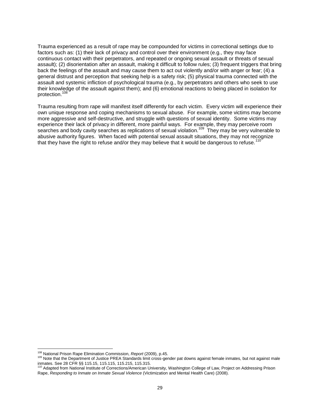Trauma experienced as a result of rape may be compounded for victims in correctional settings due to factors such as: (1) their lack of privacy and control over their environment (e.g., they may face continuous contact with their perpetrators, and repeated or ongoing sexual assault or threats of sexual assault); (2) disorientation after an assault, making it difficult to follow rules; (3) frequent triggers that bring back the feelings of the assault and may cause them to act out violently and/or with anger or fear; (4) a general distrust and perception that seeking help is a safety risk; (5) physical trauma connected with the assault and systemic infliction of psychological trauma (e.g., by perpetrators and others who seek to use their knowledge of the assault against them); and (6) emotional reactions to being placed in isolation for protection.<sup>108</sup>

Trauma resulting from rape will manifest itself differently for each victim. Every victim will experience their own unique response and coping mechanisms to sexual abuse. For example, some victims may become more aggressive and self-destructive, and struggle with questions of sexual identity. Some victims may experience their lack of privacy in different, more painful ways. For example, they may perceive room searches and body cavity searches as replications of sexual violation.<sup>109</sup> They may be very vulnerable to abusive authority figures. When faced with potential sexual assault situations, they may not recognize that they have the right to refuse and/or they may believe that it would be dangerous to refuse.

 $\overline{\phantom{a}}$ <sup>108</sup> National Prison Rape Elimination Commission, *Report* (2009), p.45.

<sup>&</sup>lt;sup>109</sup> Note that the Department of Justice PREA Standards limit cross-gender pat downs against female inmates, but not against male

inmates. See 28 CFR §§ 115.15, 115.115, 115.215, 115.315.<br><sup>110</sup> Adapted from National Institute of Corrections/American University, Washington College of Law, Project on Addressing Prison Rape, *Responding to Inmate on Inmate Sexual Violence* (Victimization and Mental Health Care) (2008).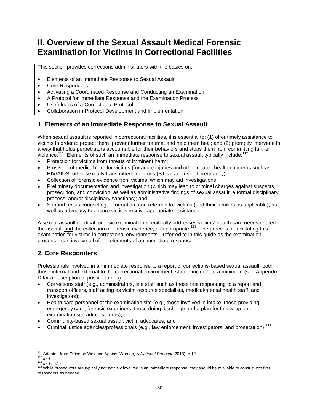## **II. Overview of the Sexual Assault Medical Forensic Examination for Victims in Correctional Facilities**

This section provides corrections administrators with the basics on:

- Elements of an Immediate Response to Sexual Assault
- Core Responders
- Activating a Coordinated Response and Conducting an Examination
- A Protocol for Immediate Response and the Examination Process
- Usefulness of a Correctional Protocol
- Collaboration in Protocol Development and Implementation

## **1. Elements of an Immediate Response to Sexual Assault**

When sexual assault is reported in correctional facilities, it is essential to: (1) offer timely assistance to victims in order to protect them, prevent further trauma, and help them heal; and (2) promptly intervene in a way that holds perpetrators accountable for their behaviors and stops them from committing further violence.<sup>111</sup> Elements of such an immediate response to sexual assault typically include:<sup>1</sup>

- Protection for victims from threats of imminent harm;
- Provision of medical care for victims (for acute injuries and other related health concerns such as HIV/AIDS, other sexually transmitted infections (STIs), and risk of pregnancy);
- Collection of forensic evidence from victims, which may aid investigations;
- Preliminary documentation and investigation (which may lead to criminal charges against suspects, prosecution, and conviction, as well as administrative findings of sexual assault, a formal disciplinary process, and/or disciplinary sanctions); and
- Support, crisis counseling, information, and referrals for victims (and their families as applicable), as well as advocacy to ensure victims receive appropriate assistance.

A sexual assault medical forensic examination specifically addresses victims' health care needs related to the assault <u>and</u> the collection of forensic evidence, as appropriate.<sup>113</sup> The process of facilitating this examination for victims in correctional environments—referred to in this guide as the examination process—can involve all of the elements of an immediate response.

## **2. Core Responders**

Professionals involved in an immediate response to a report of corrections-based sexual assault, both those internal and external to the correctional environment, should include, at a minimum (see Appendix D for a description of possible roles):

- Corrections staff (e.g., administrators, line staff such as those first responding to a report and transport officers, staff acting as victim resource specialists, medical/mental health staff, and investigators);
- Health care personnel at the examination site (e.g., those involved in intake, those providing emergency care, forensic examiners, those doing discharge and a plan for follow-up, and examination site administrators);
- Community-based sexual assault victim advocates; and
- Criminal justice agencies/professionals (e.g., law enforcement, investigators, and prosecution).<sup>114</sup>

 $\overline{\phantom{a}}$ <sup>111</sup> Adapted from Office on Violence Against Women, *A National Protocol* (2013), p.12.

<sup>112</sup> *Ibid.*

<sup>113</sup> *Ibid.*, p.17

<sup>&</sup>lt;sup>114</sup> While prosecutors are typically not actively involved in an immediate response, they should be available to consult with first responders as needed.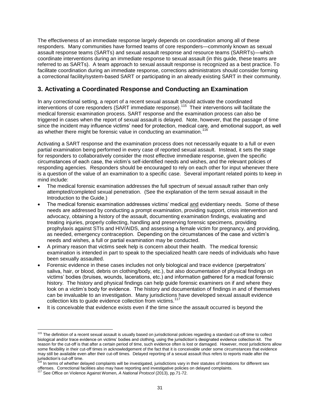The effectiveness of an immediate response largely depends on coordination among all of these responders. Many communities have formed teams of core responders—commonly known as sexual assault response teams (SARTs) and sexual assault response and resource teams (SARRTs)—which coordinate interventions during an immediate response to sexual assault (in this guide, these teams are referred to as SARTs). A team approach to sexual assault response is recognized as a best practice. To facilitate coordination during an immediate response, corrections administrators should consider forming a correctional facility/system-based SART or participating in an already existing SART in their community.

## **3. Activating a Coordinated Response and Conducting an Examination**

In any correctional setting, a report of a recent sexual assault should activate the coordinated interventions of core responders (SART immediate response).<sup>115</sup> Their interventions will facilitate the medical forensic examination process. SART response and the examination process can also be triggered in cases when the report of sexual assault is delayed. Note, however, that the passage of time since the incident may influence victims' need for protection, medical care, and emotional support, as well as whether there might be forensic value in conducting an examination.<sup>116</sup>

Activating a SART response and the examination process does not necessarily equate to a full or even partial examination being performed in every case of reported sexual assault. Instead, it sets the stage for responders to collaboratively consider the most effective immediate response, given the specific circumstances of each case, the victim's self-identified needs and wishes, and the relevant policies of responding agencies. Responders should be encouraged to rely on each other for input whenever there is a question of the value of an examination to a specific case. Several important related points to keep in mind include:

- The medical forensic examination addresses the full spectrum of sexual assault rather than only attempted/completed sexual penetration. (See the explanation of the term sexual assault in the Introduction to the Guide.)
- The medical forensic examination addresses victims' medical and evidentiary needs. Some of these needs are addressed by conducting a prompt examination, providing support, crisis intervention and advocacy, obtaining a history of the assault, documenting examination findings, evaluating and treating injuries, properly collecting, handling and preserving forensic specimens, providing prophylaxis against STIs and HIV/AIDS, and assessing a female victim for pregnancy, and providing, as needed, emergency contraception. Depending on the circumstances of the case and victim's needs and wishes, a full or partial examination may be conducted.
- A primary reason that victims seek help is concern about their health. The medical forensic examination is intended in part to speak to the specialized health care needs of individuals who have been sexually assaulted.
- Forensic evidence in these cases includes not only biological and trace evidence (perpetrators' saliva, hair, or blood, debris on clothing/body, etc.), but also documentation of physical findings on victims' bodies (bruises, wounds, lacerations, etc.) and information gathered for a medical forensic history. The history and physical findings can help guide forensic examiners on if and where they look on a victim's body for evidence. The history and documentation of findings in and of themselves can be invaluable to an investigation. Many jurisdictions have developed sexual assault evidence collection kits to guide evidence collection from victims.<sup>117</sup>
- It is conceivable that evidence exists even if the time since the assault occurred is beyond the

 $\overline{\phantom{a}}$ <sup>115</sup> The definition of a recent sexual assault is usually based on jurisdictional policies regarding a standard cut-off time to collect biological and/or trace evidence on victims' bodies and clothing, using the jurisdiction's designated evidence collection kit. The reason for the cut-off is that after a certain period of time, such evidence often is lost or damaged. However, most jurisdictions allow some flexibility in their cut-off times in acknowledgement of the fact that it is conceivable under some circumstances that evidence may still be available even after their cut-off times. Delayed reporting of a sexual assault thus refers to reports made after the jurisdiction's cut-off time.

 $6$  In terms of whether delayed complaints will be investigated, jurisdictions vary in their statutes of limitations for different sex offenses. Correctional facilities also may have reporting and investigative policies on delayed complaints.

<sup>5</sup>ee Office on Violence Against Women, *A National Protocol* (2013), pp.71-72.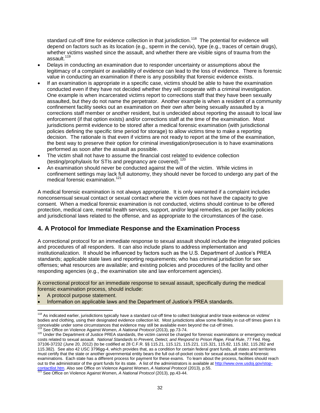standard cut-off time for evidence collection in that jurisdiction.<sup>118</sup> The potential for evidence will depend on factors such as its location (e.g., sperm in the cervix), type (e.g., traces of certain drugs), whether victims washed since the assault, and whether there are visible signs of trauma from the assault.<sup>119</sup>

- Delays in conducting an examination due to responder uncertainty or assumptions about the legitimacy of a complaint or availability of evidence can lead to the loss of evidence. There is forensic value in conducting an examination if there is any possibility that forensic evidence exists.
- If an examination is appropriate in a specific case, victims should be able to have the examination conducted even if they have not decided whether they will cooperate with a criminal investigation. One example is when incarcerated victims report to corrections staff that they have been sexually assaulted, but they do not name the perpetrator. Another example is when a resident of a community confinement facility seeks out an examination on their own after being sexually assaulted by a corrections staff member or another resident, but is undecided about reporting the assault to local law enforcement (if that option exists) and/or corrections staff at the time of the examination. Most jurisdictions permit evidence to be stored after a medical forensic examination (with jurisdictional policies defining the specific time period for storage) to allow victims time to make a reporting decision. The rationale is that even if victims are not ready to report at the time of the examination, the best way to preserve their option for criminal investigation/prosecution is to have examinations performed as soon after the assault as possible.
- The victim shall not have to assume the financial cost related to evidence collection (testing/prophylaxis for STIs and pregnancy are covered).<sup>120</sup>
- An examination should never be conducted against the will of the victim. While victims in confinement settings may lack full autonomy, they should never be forced to undergo any part of the medical forensic examination.<sup>121</sup>

A medical forensic examination is not always appropriate. It is only warranted if a complaint includes nonconsensual sexual contact or sexual contact where the victim does not have the capacity to give consent. When a medical forensic examination is not conducted, victims should continue to be offered protection, medical care, mental health services, support, and/or legal remedies, as per facility policies and jurisdictional laws related to the offense, and as appropriate to the circumstances of the case.

## **4. A Protocol for Immediate Response and the Examination Process**

A correctional protocol for an immediate response to sexual assault should include the integrated policies and procedures of all responders. It can also include plans to address implementation and institutionalization. It should be influenced by factors such as the U.S. Department of Justice's PREA standards; applicable state laws and reporting requirements; who has criminal jurisdiction for sex offenses; what resources are available; and existing policies and procedures of the facility and other responding agencies (e.g., the examination site and law enforcement agencies).

A correctional protocol for an immediate response to sexual assault, specifically during the medical forensic examination process, should include:

- A protocol purpose statement.
- Information on applicable laws and the Department of Justice's PREA standards.

See Office on Violence Against Women, *A National Protocol* (2013), pp.73-74.

 $\overline{\phantom{a}}$ <sup>118</sup> As indicated earlier, jurisdictions typically have a standard cut-off time to collect biological and/or trace evidence on victims' bodies and clothing, using their designated evidence collection kit. Most jurisdictions allow some flexibility in cut-off times given it is conceivable under some circumstances that evidence conceived into yurisdictions allow some flexibility<br><sup>119</sup> See Office on Victorias Agricumstances that evidence may still be available even beyond the cut-off times.

<sup>&</sup>lt;sup>120</sup> Under the Department of Justice PREA standards, the victim cannot be charged for forensic examinations or emergency medical costs related to sexual assault. *National Standards to Prevent, Detect, and Respond to Prison Rape, Final Rule*, 77 Fed. Reg. 37106-37232 (June 20, 2012) (to be codified at 28 C.F.R. §§ 115.21, 115.121, 115.221, 115.321, 115.82, 115.182, 115.282 and 115.382). See also 42 USC 3796gg-4, which provides that, as a condition for certain federal grant funds, all states and territories must certify that the state or another governmental entity bears the full out-of-pocket costs for sexual assault medical forensic examinations. Each state has a different process for payment for these exams. To learn about the process, facilities should reach out to the administrator of the grant funds for its state. A list of the administrators is available a[t http://www.ovw.usdoj.gov/stop](http://www.ovw.usdoj.gov/stop-contactlist.htm)contactlist.htm</u>. Also see Office on Violence Against Women, *A National Protocol* (2013), p.55.<br><sup>121</sup> See Office on Violence Against Women, *A National Protocol* (2013), pp.43-44.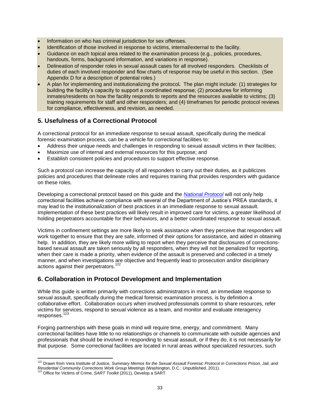- Information on who has criminal jurisdiction for sex offenses.
- Identification of those involved in response to victims, internal/external to the facility.
- Guidance on each topical area related to the examination process (e.g., policies, procedures, handouts, forms, background information, and variations in response).
- Delineation of responder roles in sexual assault cases for all involved responders. Checklists of duties of each involved responder and flow charts of response may be useful in this section. (See Appendix D for a description of potential roles.)
- A plan for implementing and institutionalizing the protocol**.** The plan might include: (1) strategies for building the facility's capacity to support a coordinated response; (2) procedures for informing inmates/residents on how the facility responds to reports and the resources available to victims; (3) training requirements for staff and other responders; and (4) timeframes for periodic protocol reviews for compliance, effectiveness, and revision, as needed.

## **5. Usefulness of a Correctional Protocol**

A correctional protocol for an immediate response to sexual assault, specifically during the medical forensic examination process, can be a vehicle for correctional facilities to:

- Address their unique needs and challenges in responding to sexual assault victims in their facilities;
- Maximize use of internal and external resources for this purpose; and
- Establish consistent policies and procedures to support effective response.

Such a protocol can increase the capacity of all responders to carry out their duties, as it publicizes policies and procedures that delineate roles and requires training that provides responders with guidance on these roles.

Developing a correctional protocol based on this guide and the *[National Protocol](https://www.ncjrs.gov/pdffiles1/ovw/241903.pdf)* will not only help correctional facilities achieve compliance with several of the Department of Justice's PREA standards, it may lead to the institutionalization of best practices in an immediate response to sexual assault. Implementation of these best practices will likely result in improved care for victims, a greater likelihood of holding perpetrators accountable for their behaviors, and a better coordinated response to sexual assault.

Victims in confinement settings are more likely to seek assistance when they perceive that responders will work together to ensure that they are safe, informed of their options for assistance, and aided in obtaining help. In addition, they are likely more willing to report when they perceive that disclosures of correctionsbased sexual assault are taken seriously by all responders, when they will not be penalized for reporting, when their care is made a priority, when evidence of the assault is preserved and collected in a timely manner, and when investigations are objective and frequently lead to prosecution and/or disciplinary actions against their perpetrators.<sup>122</sup>

## **6. Collaboration in Protocol Development and Implementation**

While this guide is written primarily with corrections administrators in mind, an immediate response to sexual assault, specifically during the medical forensic examination process, is by definition a collaborative effort. Collaboration occurs when involved professionals commit to share resources, refer victims for services, respond to sexual violence as a team, and monitor and evaluate interagency responses.<sup>123</sup>

Forging partnerships with these goals in mind will require time, energy, and commitment. Many correctional facilities have little to no relationships or channels to communicate with outside agencies and professionals that should be involved in responding to sexual assault, or if they do, it is not necessarily for that purpose. Some correctional facilities are located in rural areas without specialized resources, such

 $\overline{\phantom{a}}$ <sup>122</sup> Drawn from Vera Institute of Justice, *Summary Memos for the Sexual Assault Forensic Protocol in Corrections Prison, Jail, and Residential Community Corrections Work Group Meetings* (Washington, D.C.: Unpublished, 2011).

<sup>&</sup>lt;sup>23</sup> Office for Victims of Crime, *SART Toolkit* (2011), Develop a SART.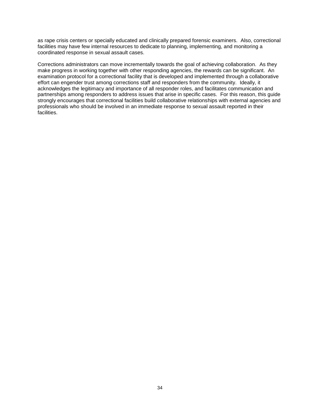as rape crisis centers or specially educated and clinically prepared forensic examiners. Also, correctional facilities may have few internal resources to dedicate to planning, implementing, and monitoring a coordinated response in sexual assault cases.

Corrections administrators can move incrementally towards the goal of achieving collaboration. As they make progress in working together with other responding agencies, the rewards can be significant. An examination protocol for a correctional facility that is developed and implemented through a collaborative effort can engender trust among corrections staff and responders from the community. Ideally, it acknowledges the legitimacy and importance of all responder roles, and facilitates communication and partnerships among responders to address issues that arise in specific cases. For this reason, this guide strongly encourages that correctional facilities build collaborative relationships with external agencies and professionals who should be involved in an immediate response to sexual assault reported in their facilities.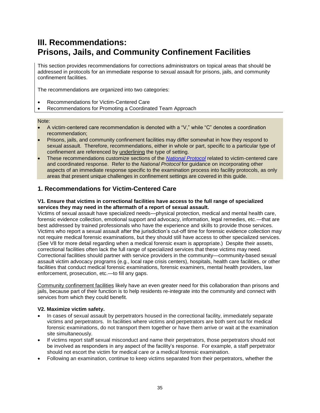## **III. Recommendations: Prisons, Jails, and Community Confinement Facilities**

This section provides recommendations for corrections administrators on topical areas that should be addressed in protocols for an immediate response to sexual assault for prisons, jails, and community confinement facilities.

The recommendations are organized into two categories:

- Recommendations for Victim-Centered Care
- Recommendations for Promoting a Coordinated Team Approach

Note:

- A victim-centered care recommendation is denoted with a "V," while "C" denotes a coordination recommendation;
- Prisons, jails, and community confinement facilities may differ somewhat in how they respond to sexual assault. Therefore, recommendations, either in whole or part, specific to a particular type of confinement are referenced by underlining the type of setting.
- These recommendations customize sections of the *[National Protocol](https://www.ncjrs.gov/pdffiles1/ovw/241903.pdf)* related to victim-centered care and coordinated response. Refer to the *National Protocol* for guidance on incorporating other aspects of an immediate response specific to the examination process into facility protocols, as only areas that present unique challenges in confinement settings are covered in this guide.

## **1. Recommendations for Victim-Centered Care**

#### **V1. Ensure that victims in correctional facilities have access to the full range of specialized services they may need in the aftermath of a report of sexual assault.**

Victims of sexual assault have specialized needs—physical protection, medical and mental health care, forensic evidence collection, emotional support and advocacy, information, legal remedies, etc.—that are best addressed by trained professionals who have the experience and skills to provide those services. Victims who report a sexual assault after the jurisdiction's cut-off time for forensic evidence collection may not require medical forensic examinations, but they should still have access to other specialized services. (See V8 for more detail regarding when a medical forensic exam is appropriate.) Despite their assets, correctional facilities often lack the full range of specialized services that these victims may need. Correctional facilities should partner with service providers in the community—community-based sexual assault victim advocacy programs (e.g., local rape crisis centers), hospitals, health care facilities, or other facilities that conduct medical forensic examinations, forensic examiners, mental health providers, law enforcement, prosecution, etc.—to fill any gaps.

Community confinement facilities likely have an even greater need for this collaboration than prisons and jails, because part of their function is to help residents re-integrate into the community and connect with services from which they could benefit.

#### **V2. Maximize victim safety.**

- In cases of sexual assault by perpetrators housed in the correctional facility, immediately separate victims and perpetrators. In facilities where victims and perpetrators are both sent out for medical forensic examinations, do not transport them together or have them arrive or wait at the examination site simultaneously.
- If victims report staff sexual misconduct and name their perpetrators, those perpetrators should not be involved as responders in any aspect of the facility's response. For example, a staff perpetrator should not escort the victim for medical care or a medical forensic examination.
- Following an examination, continue to keep victims separated from their perpetrators, whether the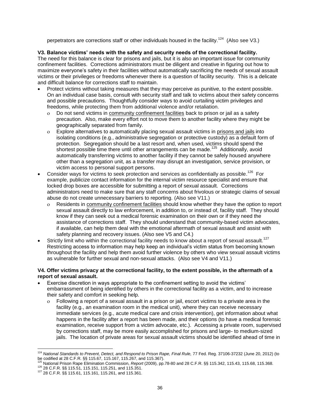perpetrators are corrections staff or other individuals housed in the facility.<sup>124</sup> (Also see V3.)

#### **V3. Balance victims' needs with the safety and security needs of the correctional facility.**

The need for this balance is clear for prisons and jails, but it is also an important issue for community confinement facilities. Corrections administrators must be diligent and creative in figuring out how to maximize everyone's safety in their facilities without automatically sacrificing the needs of sexual assault victims or their privileges or freedoms whenever there is a question of facility security. This is a delicate and difficult balance for corrections staff to maintain.

- Protect victims without taking measures that they may perceive as punitive, to the extent possible. On an individual case basis, consult with security staff and talk to victims about their safety concerns and possible precautions. Thoughtfully consider ways to avoid curtailing victim privileges and freedoms, while protecting them from additional violence and/or retaliation.
	- Do not send victims in community confinement facilities back to prison or jail as a safety precaution. Also, make every effort not to move them to another facility where they might be geographically separated from family.
	- o Explore alternatives to automatically placing sexual assault victims in prisons and jails into isolating conditions (e.g., administrative segregation or protective custody) as a default form of protection. Segregation should be a last resort and, when used, victims should spend the shortest possible time there until other arrangements can be made.<sup>125</sup> Additionally, avoid automatically transferring victims to another facility if they cannot be safely housed anywhere other than a segregation unit, as a transfer may disrupt an investigation, service provision, or victim access to personal support persons.
- Consider ways for victims to seek protection and services as confidentially as possible.<sup>126</sup> For example, publicize contact information for the internal victim resource specialist and ensure that locked drop boxes are accessible for submitting a report of sexual assault. Corrections administrators need to make sure that any staff concerns about frivolous or strategic claims of sexual abuse do not create unnecessary barriers to reporting. (Also see V11.)
	- Residents in community confinement facilities should know whether they have the option to report sexual assault directly to law enforcement, in addition to, or instead of, facility staff. They should know if they can seek out a medical forensic examination on their own or if they need the assistance of corrections staff. They should understand that community-based victim advocates, if available, can help them deal with the emotional aftermath of sexual assault and assist with safety planning and recovery issues. (Also see V5 and C4.)
- Strictly limit who within the correctional facility needs to know about a report of sexual assault.<sup>127</sup> Restricting access to information may help keep an individual's victim status from becoming known throughout the facility and help them avoid further violence by others who view sexual assault victims as vulnerable for further sexual and non-sexual attacks. (Also see V4 and V11.)

#### **V4. Offer victims privacy at the correctional facility, to the extent possible, in the aftermath of a report of sexual assault.**

- Exercise discretion in ways appropriate to the confinement setting to avoid the victims' embarrassment of being identified by others in the correctional facility as a victim, and to increase their safety and comfort in seeking help.
	- Following a report of a sexual assault in a prison or jail, escort victims to a private area in the facility (e.g., an examination room in the medical unit), where they can receive necessary immediate services (e.g., acute medical care and crisis intervention), get information about what happens in the facility after a report has been made, and their options (to have a medical forensic examination, receive support from a victim advocate, etc.). Accessing a private room, supervised by corrections staff, may be more easily accomplished for prisons and large- to medium-sized jails. The location of private areas for sexual assault victims should be identified ahead of time in

<sup>124</sup> *National Standards to Prevent, Detect, and Respond to Prison Rape, Final Rule,* 77 Fed. Reg. 37106-37232 (June 20, 2012) (to be codified at 28 C.F.R. §§ 115.67, 115.167, 115.267, and 115.367).<br><sup>125</sup> Notingal Driver, D.F.R. §§ 115.67, 115.167, 115.267, and 115.367).

<sup>125</sup> National Prison Rape Elimination Commission, *Report* (2009), pp.78-80 and 28 C.F.R. §§ 115.342, 115.43, 115.68, 115.368. <sup>126</sup> 28 C.F.R. §§ 115.51, 115.151, 115.251, and 115.351.

<sup>127</sup> 28 C.F.R. §§ 115.61, 115.161, 115.261, and 115.361.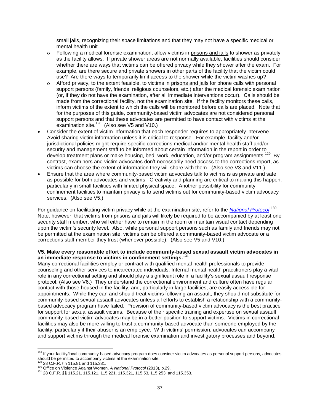small jails, recognizing their space limitations and that they may not have a specific medical or mental health unit.

- Following a medical forensic examination, allow victims in prisons and jails to shower as privately as the facility allows. If private shower areas are not normally available, facilities should consider whether there are ways that victims can be offered privacy while they shower after the exam. For example, are there secure and private showers in other parts of the facility that the victim could use? Are there ways to temporarily limit access to the shower while the victim washes up?
- Afford privacy, to the extent feasible, to victims in prisons and jails for phone calls with personal support persons (family, friends, religious counselors, etc.) after the medical forensic examination (or, if they do not have the examination, after all immediate interventions occur). Calls should be made from the correctional facility, not the examination site. If the facility monitors these calls, inform victims of the extent to which the calls will be monitored before calls are placed. Note that for the purposes of this guide, community-based victim advocates are not considered personal support persons and that these advocates are permitted to have contact with victims at the examination site. $^{128}$  (Also see V5 and V10.)
- Consider the extent of victim information that each responder requires to appropriately intervene. Avoid sharing victim information unless it is critical to response. For example, facility and/or jurisdictional policies might require specific corrections medical and/or mental health staff and/or security and management staff to be informed about certain information in the report in order to develop treatment plans or make housing, bed, work, education, and/or program assignments.<sup>129</sup> Bv contrast, examiners and victim advocates don't necessarily need access to the corrections report, as victims can choose the extent of information they will share with them. (Also see V3 and V11.)
- Ensure that the area where community-based victim advocates talk to victims is as private and safe as possible for both advocates and victims. Creativity and planning are critical to making this happen, particularly in small facilities with limited physical space. Another possibility for community confinement facilities to maintain privacy is to send victims out for community-based victim advocacy services. (Also see V5.)

For guidance on facilitating victim privacy while at the examination site, refer to the *[National Protocol](https://www.ncjrs.gov/pdffiles1/ovw/241903.pdf)*. 130 Note, however, that victims from prisons and jails will likely be required to be accompanied by at least one security staff member, who will either have to remain in the room or maintain visual contact depending upon the victim's security level. Also, while personal support persons such as family and friends may not be permitted at the examination site, victims can be offered a community-based victim advocate or a corrections staff member they trust (whenever possible). (Also see V5 and V10.)

#### **V5. Make every reasonable effort to include community-based sexual assault victim advocates in an immediate response to victims in confinement settings.**<sup>131</sup>

Many correctional facilities employ or contract with qualified mental health professionals to provide counseling and other services to incarcerated individuals. Internal mental health practitioners play a vital role in any correctional setting and should play a significant role in a facility's sexual assault response protocol. (Also see V6.) They understand the correctional environment and culture often have regular contact with those housed in the facility, and, particularly in large facilities, are easily accessible for appointments. While they can and should treat victims following an assault, they should not substitute for community-based sexual assault advocates unless all efforts to establish a relationship with a communitybased advocacy program have failed. Provision of community-based victim advocacy is the best practice for support for sexual assault victims. Because of their specific training and expertise on sexual assault, community-based victim advocates may be in a better position to support victims. Victims in correctional facilities may also be more willing to trust a community-based advocate than someone employed by the facility, particularly if their abuser is an employee. With victims' permission, advocates can accompany and support victims through the medical forensic examination and investigatory processes and beyond,

<sup>&</sup>lt;sup>128</sup> If your facility/local community-based advocacy program does consider victim advocates as personal support persons, advocates should be permitted to accompany victims at the examination site.

<sup>129</sup> 28 C.F.R. §§ 115.81 and 115.381.

<sup>130</sup> Office on Violence Against Women, *A National Protocol* (2013), p.29.

<sup>131</sup> 28 C.F.R. §§ 115.21, 115.121, 115.221, 115.321, 115.53, 115.253, and 115.353.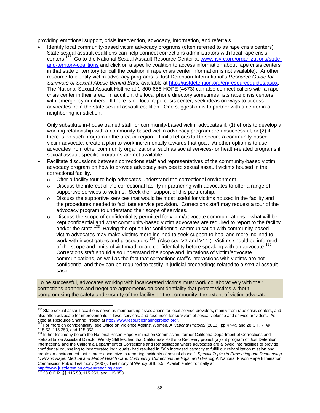providing emotional support, crisis intervention, advocacy, information, and referrals.

 Identify local community-based victim advocacy programs (often referred to as rape crisis centers). State sexual assault coalitions can help connect corrections administrators with local rape crisis centers.<sup>132</sup> Go to the National Sexual Assault Resource Center at [www.nsvrc.org/organizations/state](http://www.nsvrc.org/organizations/state-and-territory-coalitions)[and-territory-coalitions](http://www.nsvrc.org/organizations/state-and-territory-coalitions) and click on a specific coalition to access information about rape crisis centers in that state or territory (or call the coalition if rape crisis center information is not available). Another resource to identify victim advocacy programs is Just Detention International's *Resource Guide for Survivors of Sexual Abuse Behind Bars,* available at [http://justdetention.org/en/resourceguides.aspx.](http://justdetention.org/en/resourceguides.aspx) The National Sexual Assault Hotline at 1-800-656-HOPE (4673) can also connect callers with a rape crisis center in their area. In addition, the local phone directory sometimes lists rape crisis centers with emergency numbers. If there is no local rape crisis center, seek ideas on ways to access advocates from the state sexual assault coalition. One suggestion is to partner with a center in a neighboring jurisdiction.

Only substitute in-house trained staff for community-based victim advocates if: (1) efforts to develop a working relationship with a community-based victim advocacy program are unsuccessful; or (2) if there is no such program in the area or region. If initial efforts fail to secure a community-based victim advocate, create a plan to work incrementally towards that goal. Another option is to use advocates from other community organizations, such as social services- or health-related programs if sexual assault specific programs are not available.

- Facilitate discussions between corrections staff and representatives of the community-based victim advocacy program on how to provide advocacy services to sexual assault victims housed in the correctional facility.
	- Offer a facility tour to help advocates understand the correctional environment.
	- Discuss the interest of the correctional facility in partnering with advocates to offer a range of supportive services to victims. Seek their support of this partnership.
	- Discuss the supportive services that would be most useful for victims housed in the facility and the procedures needed to facilitate service provision. Corrections staff may request a tour of the advocacy program to understand their scope of services.
	- Discuss the scope of confidentiality permitted for victim/advocate communications—what will be kept confidential and what community-based victim advocates are required to report to the facility and/or the state.<sup>133</sup> Having the option for confidential communication with community-based victim advocates may make victims more inclined to seek support to heal and more inclined to work with investigators and prosecutors.<sup>134</sup> (Also see V3 and V11.) Victims should be informed of the scope and limits of victim/advocate confidentiality before speaking with an advocate.<sup>1</sup> Corrections staff should also understand the scope and limitations of victim/advocate communications, as well as the fact that corrections staff's interactions with victims are not confidential and they can be required to testify in judicial proceedings related to a sexual assault case.

To be successful, advocates working with incarcerated victims must work collaboratively with their corrections partners and negotiate agreements on confidentiality that protect victims without compromising the safety and security of the facility. In the community, the extent of victim-advocate

<sup>&</sup>lt;sup>132</sup> State sexual assault coalitions serve as membership associations for local service providers, mainly from rape crisis centers, and also often advocate for improvements in laws, services, and resources for survivors of sexual violence and service providers. As cited at Resource Sharing Project a[t http://www.resourcesharingproject.org/.](http://www.resourcesharingproject.org/)

<sup>&</sup>lt;sup>13</sup> For more on confidentiality, see Office on Violence Against Women, *A National Protocol* (2013), pp.47-49 and 28 C.F.R. §§ 115.53, 115.253, and 115.353.<br><sup>134</sup> In her testimony before the National Prison Rape Elimination Commission, former California Department of Corrections and

Rehabilitation Assistant Director Wendy Still testified that California's Paths to Recovery project (a joint program of Just Detention International and the California Department of Corrections and Rehabilitation where advocates are allowed into facilities to provide confidential counseling to incarcerated individuals) had resulted in "[a]n increased capacity to fulfill our rehabilitation mission and create an environment that is more conducive to reporting incidents of sexual abuse." *Special Topics in Preventing and Responding to Prison Rape: Medical and Mental Health Care, Community Corrections Settings, and Oversight,* National Prison Rape Elimination Commission Public Testimony (2007), Testimony of Wendy Still, p.5. Available electronically at

<sup>&</sup>lt;u>http://www.justdetention.org/en/reaching.aspx</u>.<br><sup>135</sup> 28 C.F.R. §§ 115.53, 115.253, and 115.353.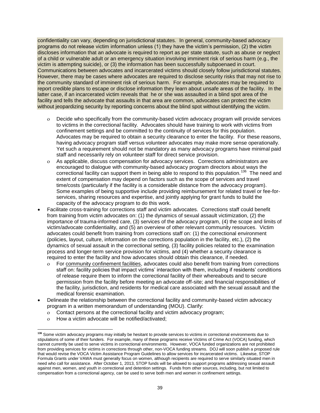confidentiality can vary, depending on jurisdictional statutes. In general, community-based advocacy programs do not release victim information unless (1) they have the victim's permission, (2) the victim discloses information that an advocate is required to report as per state statute, such as abuse or neglect of a child or vulnerable adult or an emergency situation involving imminent risk of serious harm (e.g., the victim is attempting suicide), or (3) the information has been successfully subpoenaed in court. Communications between advocates and incarcerated victims should closely follow jurisdictional statutes. However, there may be cases where advocates are required to disclose security risks that may not rise to the community standard of imminent risk of serious harm. For example, advocates may be required to report credible plans to escape or disclose information they learn about unsafe areas of the facility. In the latter case, if an incarcerated victim reveals that he or she was assaulted in a blind spot area of the facility and tells the advocate that assaults in that area are common, advocates can protect the victim without jeopardizing security by reporting concerns about the blind spot without identifying the victim.

- Decide who specifically from the community-based victim advocacy program will provide services to victims in the correctional facility. Advocates should have training to work with victims from confinement settings and be committed to the continuity of services for this population. Advocates may be required to obtain a security clearance to enter the facility. For these reasons, having advocacy program staff versus volunteer advocates may make more sense operationally. Yet such a requirement should not be mandatory as many advocacy programs have minimal paid staff and necessarily rely on volunteer staff for direct service provision.
- As applicable, discuss compensation for advocacy services. Corrections administrators are encouraged to dialogue with community-based advocacy program directors about ways the correctional facility can support them in being able to respond to this population.<sup>136</sup> The need and extent of compensation may depend on factors such as the scope of services and travel time/costs (particularly if the facility is a considerable distance from the advocacy program). Some examples of being supportive include providing reimbursement for related travel or fee-forservices, sharing resources and expertise, and jointly applying for grant funds to build the capacity of the advocacy program to do this work.
- Facilitate cross-training for corrections staff and victim advocates. Corrections staff could benefit from training from victim advocates on: (1) the dynamics of sexual assault victimization, (2) the importance of trauma-informed care, (3) services of the advocacy program, (4) the scope and limits of victim/advocate confidentiality, and (5) an overview of other relevant community resources. Victim advocates could benefit from training from corrections staff on: (1) the correctional environment (policies, layout, culture, information on the corrections population in the facility, etc.), (2) the dynamics of sexual assault in the correctional setting, (3) facility policies related to the examination process and longer-term service provision for victims, and (4) whether a security clearance is required to enter the facility and how advocates should obtain this clearance, if needed.
	- o For community confinement facilities, advocates could also benefit from training from corrections staff on: facility policies that impact victims' interaction with them, including if residents' conditions of release require them to inform the correctional facility of their whereabouts and to secure permission from the facility before meeting an advocate off-site; and financial responsibilities of the facility, jurisdiction, and residents for medical care associated with the sexual assault and the medical forensic examination.
- Delineate the relationship between the correctional facility and community-based victim advocacy program in a written memorandum of understanding (MOU). Clarify:
	- Contact persons at the correctional facility and victim advocacy program;
	- How a victim advocate will be notified/activated;

 $\overline{\phantom{a}}$ **<sup>136</sup>** Some victim advocacy programs may initially be hesitant to provide services to victims in correctional environments due to stipulations of some of their funders. For example, many of these programs receive Victims of Crime Act (VOCA) funding, which cannot currently be used to serve victims in correctional environments. However, VOCA funded organizations are not prohibited from providing services for victims in corrections through other, non-VOCA funding streams. DOJ will soon publish a proposed rule that would revise the VOCA Victim Assistance Program Guidelines to allow services for incarcerated victims. Likewise, STOP Formula Grants under VAWA must generally focus on women, although recipients are required to serve similarly situated men in need who call for assistance. After October 1, 2013, STOP funds will be allowed to support programs addressing sexual assault against men, women, and youth in correctional and detention settings. Funds from other sources, including, but not limited to compensation from a correctional agency, can be used to serve both men and women in confinement settings.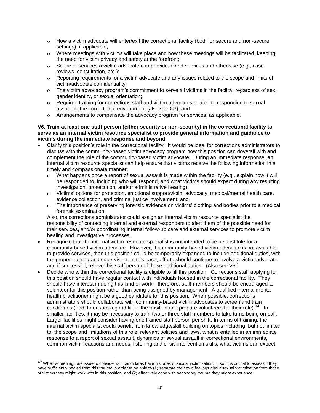- How a victim advocate will enter/exit the correctional facility (both for secure and non-secure settings), if applicable;
- Where meetings with victims will take place and how these meetings will be facilitated, keeping the need for victim privacy and safety at the forefront;
- Scope of services a victim advocate can provide, direct services and otherwise (e.g., case reviews, consultation, etc.);
- Reporting requirements for a victim advocate and any issues related to the scope and limits of victim/advocate confidentiality;
- The victim advocacy program's commitment to serve all victims in the facility, regardless of sex, gender identity, or sexual orientation;
- Required training for corrections staff and victim advocates related to responding to sexual assault in the correctional environment (also see C3); and
- Arrangements to compensate the advocacy program for services, as applicable.

#### **V6. Train at least one staff person (either security or non-security) in the correctional facility to serve as an internal victim resource specialist to provide general information and guidance to victims during the immediate response and beyond.**

- Clarify this position's role in the correctional facility. It would be ideal for corrections administrators to discuss with the community-based victim advocacy program how this position can dovetail with and complement the role of the community-based victim advocate. During an immediate response, an internal victim resource specialist can help ensure that victims receive the following information in a timely and compassionate manner:
	- What happens once a report of sexual assault is made within the facility (e.g., explain how it will be responded to, including who will respond, and what victims should expect during any resulting investigation, prosecution, and/or administrative hearing);
	- Victims' options for protection, emotional support/victim advocacy, medical/mental health care, evidence collection, and criminal justice involvement; and
	- The importance of preserving forensic evidence on victims' clothing and bodies prior to a medical forensic examination.

Also, the corrections administrator could assign an internal victim resource specialist the responsibility of contacting internal and external responders to alert them of the possible need for their services, and/or coordinating internal follow-up care and external services to promote victim healing and investigative processes.

- Recognize that the internal victim resource specialist is not intended to be a substitute for a community-based victim advocate. However, if a community-based victim advocate is not available to provide services, then this position could be temporarily expanded to include additional duties, with the proper training and supervision. In this case, efforts should continue to involve a victim advocate and if successful, relieve this staff person of these additional duties. (Also see V5.)
- Decide who within the correctional facility is eligible to fill this position. Corrections staff applying for this position should have regular contact with individuals housed in the correctional facility. They should have interest in doing this kind of work—therefore, staff members should be encouraged to volunteer for this position rather than being assigned by management. A qualified internal mental health practitioner might be a good candidate for this position. When possible, corrections administrators should collaborate with community-based victim advocates to screen and train candidates (both to ensure a good fit for the position and prepare volunteers for their role).<sup>137</sup> In smaller facilities, it may be necessary to train two or three staff members to take turns being on-call. Larger facilities might consider having one trained staff person per shift. In terms of training, the internal victim specialist could benefit from knowledge/skill building on topics including, but not limited to: the scope and limitations of this role, relevant policies and laws, what is entailed in an immediate response to a report of sexual assault, dynamics of sexual assault in correctional environments, common victim reactions and needs, listening and crisis intervention skills, what victims can expect

 $\overline{\phantom{a}}$ <sup>137</sup> When screening, one issue to consider is if candidates have histories of sexual victimization. If so, it is critical to assess if they have sufficiently healed from this trauma in order to be able to (1) separate their own feelings about sexual victimization from those of victims they might work with in this position, and (2) effectively cope with secondary trauma they might experience.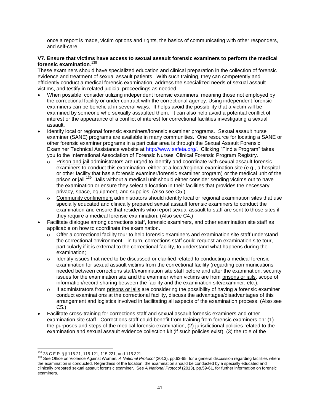once a report is made, victim options and rights, the basics of communicating with other responders, and self-care.

#### **V7. Ensure that victims have access to sexual assault forensic examiners to perform the medical forensic examination**. 138

These examiners should have specialized education and clinical preparation in the collection of forensic evidence and treatment of sexual assault patients. With such training, they can competently and efficiently conduct a medical forensic examination, address the specialized needs of sexual assault victims, and testify in related judicial proceedings as needed.

- When possible, consider utilizing independent forensic examiners, meaning those not employed by the correctional facility or under contract with the correctional agency. Using independent forensic examiners can be beneficial in several ways. It helps avoid the possibility that a victim will be examined by someone who sexually assaulted them. It can also help avoid a potential conflict of interest or the appearance of a conflict of interest for correctional facilities investigating a sexual assault.
- Identify local or regional forensic examiners/forensic examiner programs. Sexual assault nurse examiner (SANE) programs are available in many communities. One resource for locating a SANE or other forensic examiner programs in a particular area is through the Sexual Assault Forensic Examiner Technical Assistance website at [http://www.safeta.org/.](http://www.safeta.org/) Clicking "Find a Program" takes you to the International Association of Forensic Nurses' Clinical Forensic Program Registry.
	- Prison and jail administrators are urged to identify and coordinate with sexual assault forensic examiners to conduct this examination, either at a local/regional examination site (e.g., a hospital or other facility that has a forensic examiner/forensic examiner program) or the medical unit of the prison or jail.<sup>139</sup> Jails without a medical unit should either consider sending victims out to have the examination or ensure they select a location in their facilities that provides the necessary privacy, space, equipment, and supplies. (Also see C5.)
	- Community confinement administrators should identify local or regional examination sites that use specially educated and clinically prepared sexual assault forensic examiners to conduct the examination and ensure that residents who report sexual assault to staff are sent to those sites if they require a medical forensic examination. (Also see C4.)
- Facilitate dialogue among corrections staff, forensic examiners, and other examination site staff as applicable on how to coordinate the examination.
	- Offer a correctional facility tour to help forensic examiners and examination site staff understand the correctional environment—in turn, corrections staff could request an examination site tour, particularly if it is external to the correctional facility, to understand what happens during the examination;
	- Identify issues that need to be discussed or clarified related to conducting a medical forensic examination for sexual assault victims from the correctional facility (regarding communications needed between corrections staff/examination site staff before and after the examination, security issues for the examination site and the examiner when victims are from prisons or jails, scope of information/record sharing between the facility and the examination site/examiner, etc.).
	- $\circ$  If administrators from prisons or jails are considering the possibility of having a forensic examiner conduct examinations at the correctional facility, discuss the advantages/disadvantages of this arrangement and logistics involved in facilitating all aspects of the examination process. (Also see C5.)
- Facilitate cross-training for corrections staff and sexual assault forensic examiners and other examination site staff. Corrections staff could benefit from training from forensic examiners on: (1) the purposes and steps of the medical forensic examination, (2) jurisdictional policies related to the examination and sexual assault evidence collection kit (if such policies exist), (3) the role of the

 $\overline{\phantom{a}}$ <sup>138</sup> 28 C.F.R. §§ 115.21, 115.121, 115.221, and 115.321.

<sup>139</sup> See Office on Violence Against Women, *A National Protocol* (2013), pp.63-65, for a general discussion regarding facilities where the examination is conducted. Regardless of the location, the examination should be conducted by a specially educated and clinically prepared sexual assault forensic examiner. See *A National Protocol* (2013), pp.59-61, for further information on forensic examiners.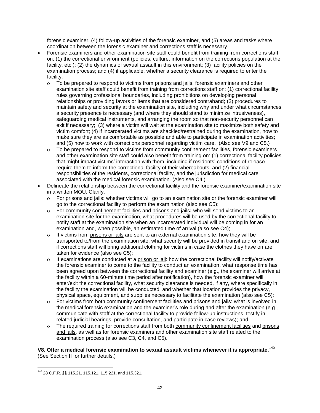forensic examiner, (4) follow-up activities of the forensic examiner, and (5) areas and tasks where coordination between the forensic examiner and corrections staff is necessary.

- Forensic examiners and other examination site staff could benefit from training from corrections staff on: (1) the correctional environment (policies, culture, information on the corrections population at the facility, etc.); (2) the dynamics of sexual assault in this environment; (3) facility policies on the examination process; and (4) if applicable, whether a security clearance is required to enter the facility.
	- To be prepared to respond to victims from prisons and jails, forensic examiners and other examination site staff could benefit from training from corrections staff on: (1) correctional facility rules governing professional boundaries, including prohibitions on developing personal relationships or providing favors or items that are considered contraband; (2) procedures to maintain safety and security at the examination site, including why and under what circumstances a security presence is necessary (and where they should stand to minimize intrusiveness), safeguarding medical instruments, and arranging the room so that non-security personnel can exit if necessary; (3) where a victim will wait at the examination site to maximize both safety and victim comfort; (4) if incarcerated victims are shackled/restrained during the examination, how to make sure they are as comfortable as possible and able to participate in examination activities; and (5) how to work with corrections personnel regarding victim care. (Also see V9 and C5.)
	- To be prepared to respond to victims from community confinement facilities, forensic examiners and other examination site staff could also benefit from training on: (1) correctional facility policies that might impact victims' interaction with them, including if residents' conditions of release require them to inform the correctional facility of their whereabouts; and (2) financial responsibilities of the residents, correctional facility, and the jurisdiction for medical care associated with the medical forensic examination. (Also see C4.)
- Delineate the relationship between the correctional facility and the forensic examiner/examination site in a written MOU. Clarify:
	- For prisons and jails: whether victims will go to an examination site or the forensic examiner will go to the correctional facility to perform the examination (also see C5);
	- For community confinement facilities and prisons and jails**:** who will send victims to an examination site for the examination, what procedures will be used by the correctional facility to notify staff at the examination site when an incarcerated individual will be coming in for an examination and, when possible, an estimated time of arrival (also see C4);
	- If victims from prisons or jails are sent to an external examination site: how they will be transported to/from the examination site, what security will be provided in transit and on site, and if corrections staff will bring additional clothing for victims in case the clothes they have on are taken for evidence (also see C5);
	- If examinations are conducted at a prison or jail: how the correctional facility will notify/activate the forensic examiner to come to the facility to conduct an examination, what response time has been agreed upon between the correctional facility and examiner (e.g., the examiner will arrive at the facility within a 60-minute time period after notification), how the forensic examiner will enter/exit the correctional facility, what security clearance is needed, if any, where specifically in the facility the examination will be conducted, and whether that location provides the privacy, physical space, equipment, and supplies necessary to facilitate the examination (also see C5);
	- For victims from both community confinement facilities and prisons and jails: what is involved in the medical forensic examination and the examiner's role during and after the examination (e.g., communicate with staff at the correctional facility to provide follow-up instructions, testify in related judicial hearings, provide consultation, and participate in case reviews); and
	- The required training for corrections staff from both community confinement facilities and prisons and jails, as well as for forensic examiners and other examination site staff related to the examination process (also see C3, C4, and C5).

**V8. Offer a medical forensic examination to sexual assault victims whenever it is appropriate**. 140 (See Section II for further details.)

<sup>140</sup> 28 C.F.R. §§ 115.21, 115.121, 115.221, and 115.321.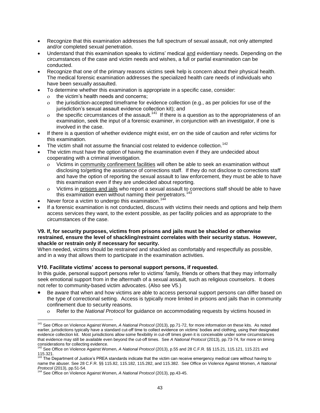- Recognize that this examination addresses the full spectrum of sexual assault, not only attempted and/or completed sexual penetration.
- Understand that this examination speaks to victims' medical and evidentiary needs. Depending on the circumstances of the case and victim needs and wishes, a full or partial examination can be conducted.
- Recognize that one of the primary reasons victims seek help is concern about their physical health. The medical forensic examination addresses the specialized health care needs of individuals who have been sexually assaulted.
- To determine whether this examination is appropriate in a specific case, consider:
	- o the victim's health needs and concerns;
	- the jurisdiction-accepted timeframe for evidence collection (e.g., as per policies for use of the iurisdiction's sexual assault evidence collection kit); and
	- o the specific circumstances of the assault.<sup>141</sup> If there is a question as to the appropriateness of an examination, seek the input of a forensic examiner, in conjunction with an investigator, if one is involved in the case.
- If there is a question of whether evidence might exist, err on the side of caution and refer victims for this examination.
- The victim shall not assume the financial cost related to evidence collection.<sup>142</sup>
- The victim must have the option of having the examination even if they are undecided about cooperating with a criminal investigation.
	- Victims in community confinement facilities will often be able to seek an examination without disclosing to/getting the assistance of corrections staff. If they do not disclose to corrections staff and have the option of reporting the sexual assault to law enforcement, they must be able to have this examination even if they are undecided about reporting.
	- Victims in prisons and jails who report a sexual assault to corrections staff should be able to have this examination even without naming their perpetrators.<sup>143</sup>
- Never force a victim to undergo this examination.<sup>144</sup>
- If a forensic examination is not conducted, discuss with victims their needs and options and help them access services they want, to the extent possible, as per facility policies and as appropriate to the circumstances of the case.

#### **V9. If, for security purposes, victims from prisons and jails must be shackled or otherwise restrained, ensure the level of shackling/restraint correlates with their security status. However, shackle or restrain only if necessary for security.**

When needed, victims should be restrained and shackled as comfortably and respectfully as possible, and in a way that allows them to participate in the examination activities.

#### **V10. Facilitate victims' access to personal support persons, if requested.**

In this guide, personal support persons refer to victims' family, friends or others that they may informally seek emotional support from in the aftermath of a sexual assault, such as religious counselors. It does not refer to community-based victim advocates. (Also see V5.)

- Be aware that when and how victims are able to access personal support persons can differ based on the type of correctional setting.Access is typically more limited in prisons and jails than in community confinement due to security reasons.
	- Refer to the *National Protocol* for guidance on accommodating requests by victims housed in

 $\overline{\phantom{a}}$ <sup>141</sup> See Office on Violence Against Women, *A National Protocol* (2013), pp.71-72, for more information on these kits. As noted earlier, jurisdictions typically have a standard cut-off time to collect evidence on victims' bodies and clothing, using their designated evidence collection kit. Most jurisdictions allow some flexibility in cut-off times given it is conceivable under some circumstances that evidence may still be available even beyond the cut-off times. See *A National Protocol* (2013), pp.73-74, for more on timing considerations for collecting evidence. <sup>142</sup> See Office on Violence Against Women, *A National Protocol* (2013), p.55 and 28 C.F.R. §§ 115.21, 115.121, 115.221 and

 $115.321.$ 

The Department of Justice's PREA standards indicate that the victim can receive emergency medical care without having to name the abuser. See 28 C.F.R. §§ 115.82, 115.182, 115.282, and 115.382. See Office on Violence Against Women, *A National* 

*Protocol* (2013), pp.51-54. <sup>144</sup> See Office on Violence Against Women, *A National Protocol* (2013), pp.43-45.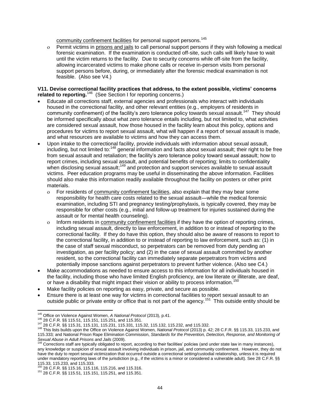community confinement facilities for personal support persons.<sup>145</sup>

 Permit victims in prisons and jails to call personal support persons if they wish following a medical forensic examination. If the examination is conducted off-site, such calls will likely have to wait until the victim returns to the facility. Due to security concerns while off-site from the facility, allowing incarcerated victims to make phone calls or receive in-person visits from personal support persons before, during, or immediately after the forensic medical examination is not feasible. (Also see V4.)

#### **V11. Devise correctional facility practices that address, to the extent possible, victims' concerns related to reporting.**<sup>146</sup> (See Section I for reporting concerns.)

- Educate all corrections staff, external agencies and professionals who interact with individuals housed in the correctional facility, and other relevant entities (e.g., employers of residents in community confinement) of the facility's zero tolerance policy towards sexual assault.<sup>147</sup> They should be informed specifically about what zero tolerance entails including, but not limited to, what activities are considered sexual assault, how those housed in the facility learn about this policy, options and procedures for victims to report sexual assault, what will happen if a report of sexual assault is made, and what resources are available to victims and how they can access them.
- Upon intake to the correctional facility, provide individuals with information about sexual assault, including, but not limited to:<sup>148</sup> general information and facts about sexual assault; their right to be free from sexual assault and retaliation; the facility's zero tolerance policy toward sexual assault; how to report crimes, including sexual assault, and potential benefits of reporting; limits to confidentiality when disclosing sexual assault;<sup>149</sup> and protection and support services available to sexual assault victims. Peer education programs may be useful in disseminating the above information. Facilities should also make this information readily available throughout the facility on posters or other print materials.
	- o For residents of community confinement facilities, also explain that they may bear some responsibility for health care costs related to the sexual assault—while the medical forensic examination, including STI and pregnancy testing/prophylaxis, is typically covered, they may be responsible for other costs (e.g., initial and follow-up treatment for injuries sustained during the assault or for mental health counseling).
	- Inform residents in community confinement facilities if they have the option of reporting crimes, including sexual assault, directly to law enforcement, in addition to or instead of reporting to the correctional facility. If they do have this option, they should also be aware of reasons to report to the correctional facility, in addition to or instead of reporting to law enforcement, such as: (1) in the case of staff sexual misconduct, so perpetrators can be removed from duty pending an investigation, as per facility policy; and (2) in the case of sexual assault committed by another resident, so the correctional facility can immediately separate perpetrators from victims and potentially impose sanctions against perpetrators to prevent further violence. (Also see C4.)
- Make accommodations as needed to ensure access to this information for all individuals housed in the facility, including those who have limited English proficiency, are low literate or illiterate, are deaf, or have a disability that might impact their vision or ability to process information.<sup>150</sup>
- Make facility policies on reporting as easy, private, and secure as possible.
- Ensure there is at least one way for victims in correctional facilities to report sexual assault to an outside public or private entity or office that is not part of the agency.<sup>151</sup> This outside entity should be

 $\overline{\phantom{a}}$ <sup>145</sup> Office on Violence Against Women, *A National Protocol* (2013), p.41.

<sup>146</sup> 28 C.F.R. §§ 115.51, 115.151, 115.251, and 115.351.

<sup>147</sup> 28 C.F.R. §§ 115.31, 115.131, 115.231, 115.331, 115.32, 115.132, 115.232, and 115.332.

<sup>148</sup> This lists builds upon the Office on Violence Against Women*, National Protocol* (2013) p. 42; 28 C.F.R. §§ 115.33, 115.233, and 115.333*;* and National Prison Rape Elimination Commission, *Standards for the Prevention, Detection, Response, and Monitoring of* 

Sexual Abuse in Adult Prisons and Jails (2009).<br><sup>149</sup> Corrections staff are typically obligated to report, according to their facilities' policies (and under state law in many instances), any knowledge or suspicion of sexual assault involving individuals in prison, jail, and community confinement. However, they do not have the duty to report sexual victimization that occurred outside a correctional setting/custodial relationship, unless it is required under mandatory reporting laws of the jurisdiction (e.g., if the victims is a minor or considered a vulnerable adult). See 28 C.F.R. §§ 115.33, 115.233, and 115.333. <sup>150</sup> 28 C.F.R. §§ 115.16, 115.116, 115.216, and 115.316.

<sup>151</sup> 28 C.F.R. §§ 115.51, 115.151, 115.251, and 115.351.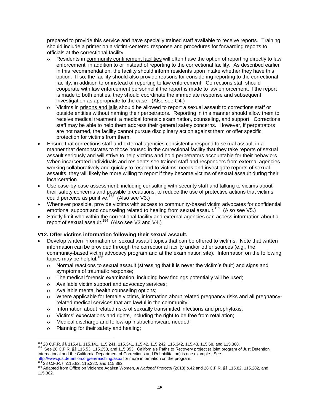prepared to provide this service and have specially trained staff available to receive reports. Training should include a primer on a victim-centered response and procedures for forwarding reports to officials at the correctional facility.

- Residents in community confinement facilities will often have the option of reporting directly to law enforcement, in addition to or instead of reporting to the correctional facility. As described earlier in this recommendation, the facility should inform residents upon intake whether they have this option. If so, the facility should also provide reasons for considering reporting to the correctional facility, in addition to or instead of reporting to law enforcement. Corrections staff should cooperate with law enforcement personnel if the report is made to law enforcement; if the report is made to both entities, they should coordinate the immediate response and subsequent investigation as appropriate to the case. (Also see C4.)
- Victims in prisons and jails should be allowed to report a sexual assault to corrections staff or outside entities without naming their perpetrators. Reporting in this manner should allow them to receive medical treatment, a medical forensic examination, counseling, and support. Corrections staff may be able to help them address their general safety concerns. However, if perpetrators are not named, the facility cannot pursue disciplinary action against them or offer specific protection for victims from them.
- Ensure that corrections staff and external agencies consistently respond to sexual assault in a manner that demonstrates to those housed in the correctional facility that they take reports of sexual assault seriously and will strive to help victims and hold perpetrators accountable for their behaviors. When incarcerated individuals and residents see trained staff and responders from external agencies working collaboratively and quickly to respond to victims' needs and investigate reports of sexual assaults, they will likely be more willing to report if they become victims of sexual assault during their incarceration.
- Use case-by-case assessment, including consulting with security staff and talking to victims about their safety concerns and possible precautions, to reduce the use of protective actions that victims could perceive as punitive.<sup>152</sup> (Also see V3.)
- Whenever possible, provide victims with access to community-based victim advocates for confidential emotional support and counseling related to healing from sexual assault.<sup>153</sup> (Also see V5.)
- Strictly limit who within the correctional facility and external agencies can access information about a report of sexual assault.<sup>154</sup> (Also see V3 and V4.)

#### **V12. Offer victims information following their sexual assault.**

- Develop written information on sexual assault topics that can be offered to victims. Note that written information can be provided through the correctional facility and/or other sources (e.g., the community-based victim advocacy program and at the examination site). Information on the following topics may be helpful:<sup>155</sup>
	- Normal reactions to sexual assault (stressing that it is never the victim's fault) and signs and symptoms of traumatic response;
	- The medical forensic examination, including how findings potentially will be used;
	- Available victim support and advocacy services;
	- Available mental health counseling options;
	- Where applicable for female victims, information about related pregnancy risks and all pregnancyrelated medical services that are lawful in the community;
	- Information about related risks of sexually transmitted infections and prophylaxis;
	- Victims' expectations and rights, including the right to be free from retaliation;
	- Medical discharge and follow-up instructions/care needed;
	- Planning for their safety and healing;

<sup>152</sup> 28 C.F.R. §§ 115.41, 115.141, 115.241, 115.341, 115.42, 115.242, 115.342, 115.43, 115.68, and 115.368. <sup>153</sup> See 28 C.F.R. §§ 115.53, 115.253, and 115.353. California's Paths to Recovery project (a joint program of Just Detention International and the California Department of Corrections and Rehabilitation) is one example. See

<http://www.justdetention.org/en/reaching.aspx> for more information on the program.<br><sup>154</sup> 28 C.F.R. §§115.82, 115.282, and 115.382.

<sup>155</sup> Adapted from Office on Violence Against Women, *A National Protocol* (2013) p.42 and 28 C.F.R. §§ 115.82, 115.282, and 115.382.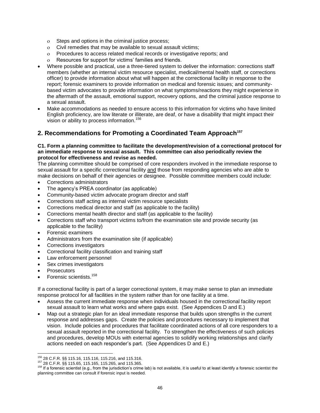- Steps and options in the criminal justice process;
- Civil remedies that may be available to sexual assault victims;
- Procedures to access related medical records or investigative reports; and
- Resources for support for victims' families and friends.
- Where possible and practical, use a three-tiered system to deliver the information: corrections staff members (whether an internal victim resource specialist, medical/mental health staff, or corrections officer) to provide information about what will happen at the correctional facility in response to the report; forensic examiners to provide information on medical and forensic issues; and communitybased victim advocates to provide information on what symptoms/reactions they might experience in the aftermath of the assault, emotional support, recovery options, and the criminal justice response to a sexual assault.
- Make accommodations as needed to ensure access to this information for victims who have limited English proficiency, are low literate or illiterate, are deaf, or have a disability that might impact their vision or ability to process information.<sup>156</sup>

## **2. Recommendations for Promoting a Coordinated Team Approach<sup>157</sup>**

#### **C1. Form a planning committee to facilitate the development/revision of a correctional protocol for an immediate response to sexual assault. This committee can also periodically review the protocol for effectiveness and revise as needed.**

The planning committee should be comprised of core responders involved in the immediate response to sexual assault for a specific correctional facility and those from responding agencies who are able to make decisions on behalf of their agencies or designee. Possible committee members could include:

- Corrections administrators
- The agency's PREA coordinator (as applicable)
- Community-based victim advocate program director and staff
- Corrections staff acting as internal victim resource specialists
- Corrections medical director and staff (as applicable to the facility)
- Corrections mental health director and staff (as applicable to the facility)
- Corrections staff who transport victims to/from the examination site and provide security (as applicable to the facility)
- Forensic examiners
- Administrators from the examination site (if applicable)
- Corrections investigators
- Correctional facility classification and training staff
- Law enforcement personnel
- Sex crimes investigators
- **Prosecutors**

 $\overline{a}$ 

Forensic scientists.<sup>158</sup>

If a correctional facility is part of a larger correctional system, it may make sense to plan an immediate response protocol for all facilities in the system rather than for one facility at a time.

- Assess the current immediate response when individuals housed in the correctional facility report sexual assault to learn what works and where gaps exist. (See Appendices D and E.)
- Map out a strategic plan for an ideal immediate response that builds upon strengths in the current response and addresses gaps. Create the policies and procedures necessary to implement that vision. Include policies and procedures that facilitate coordinated actions of all core responders to a sexual assault reported in the correctional facility. To strengthen the effectiveness of such policies and procedures, develop MOUs with external agencies to solidify working relationships and clarify actions needed on each responder's part. (See Appendices D and E.)

<sup>156</sup> 28 C.F.R. §§ 115.16, 115.116, 115.216, and 115.316.

<sup>157</sup> 28 C.F.R. §§ 115.65, 115.165, 115.265, and 115.365.

<sup>&</sup>lt;sup>158</sup> If a forensic scientist (e.g., from the jurisdiction's crime lab) is not available, it is useful to at least identify a forensic scientist the planning committee can consult if forensic input is needed.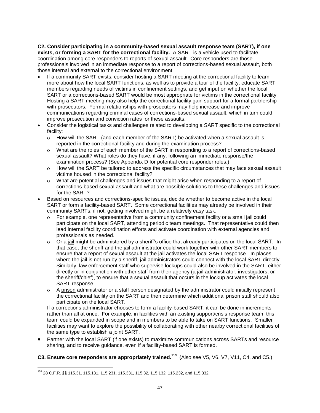**C2. Consider participating in a community-based sexual assault response team (SART), if one exists, or forming a SART for the correctional facility.** A SART is a vehicle used to facilitate coordination among core responders to reports of sexual assault. Core responders are those professionals involved in an immediate response to a report of corrections-based sexual assault, both those internal and external to the correctional environment.

- If a community SART exists, consider hosting a SART meeting at the correctional facility to learn more about how the local SART functions, as well as to provide a tour of the facility, educate SART members regarding needs of victims in confinement settings, and get input on whether the local SART or a corrections-based SART would be most appropriate for victims in the correctional facility. Hosting a SART meeting may also help the correctional facility gain support for a formal partnership with prosecutors. Formal relationships with prosecutors may help increase and improve communications regarding criminal cases of corrections-based sexual assault, which in turn could improve prosecution and conviction rates for these assaults.
- Consider the logistical tasks and challenges related to developing a SART specific to the correctional facility:
	- How will the SART (and each member of the SART) be activated when a sexual assault is reported in the correctional facility and during the examination process?
	- What are the roles of each member of the SART in responding to a report of corrections-based sexual assault? What roles do they have, if any, following an immediate response/the examination process? (See Appendix D for potential core responder roles.)
	- How will the SART be tailored to address the specific circumstances that may face sexual assault victims housed in the correctional facility?
	- What are potential challenges and issues that might arise when responding to a report of corrections-based sexual assault and what are possible solutions to these challenges and issues for the SART?
- Based on resources and corrections-specific issues, decide whether to become active in the local SART or form a facility-based SART. Some correctional facilities may already be involved in their community SARTs; if not, getting involved might be a relatively easy task.
	- For example, one representative from a community confinement facility or a small jail could participate on the local SART, attending periodic team meetings. That representative could then lead internal facility coordination efforts and activate coordination with external agencies and professionals as needed.
	- Or a jail might be administered by a sheriff's office that already participates on the local SART. In that case, the sheriff and the jail administrator could work together with other SART members to ensure that a report of sexual assault at the jail activates the local SART response. In places where the jail is not run by a sheriff, jail administrators could connect with the local SART directly. Similarly, law enforcement staff who supervise lockups could also be involved in the SART, either directly or in conjunction with other staff from their agency (a jail administrator, investigators, or the sheriff/chief), to ensure that a sexual assault that occurs in the lockup activates the local SART response.
	- A prison administrator or a staff person designated by the administrator could initially represent the correctional facility on the SART and then determine which additional prison staff should also participate on the local SART.

If a corrections administrator chooses to form a facility-based SART, it can be done in increments rather than all at once. For example, in facilities with an existing support/crisis response team, this team could be expanded in scope and in members to be able to take on SART functions. Smaller facilities may want to explore the possibility of collaborating with other nearby correctional facilities of the same type to establish a joint SART.

- Partner with the local SART (if one exists) to maximize communications across SARTs and resource sharing, and to receive guidance, even if a facility-based SART is formed.
- **C3. Ensure core responders are appropriately trained.**<sup>159</sup> (Also see V5, V6, V7, V11, C4, and C5.)

 $\overline{\phantom{a}}$ <sup>159</sup> 28 C.F.R. §§ 115.31, 115.131, 115.231, 115.331, 115.32, 115.132, 115.232, and 115.332.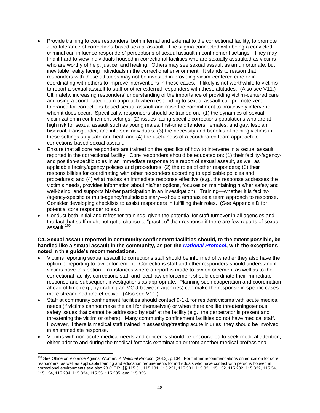- Provide training to core responders, both internal and external to the correctional facility, to promote zero-tolerance of corrections-based sexual assault. The stigma connected with being a convicted criminal can influence responders' perceptions of sexual assault in confinement settings. They may find it hard to view individuals housed in correctional facilities who are sexually assaulted as victims who are worthy of help, justice, and healing. Others may see sexual assault as an unfortunate, but inevitable reality facing individuals in the correctional environment. It stands to reason that responders with these attitudes may not be invested in providing victim-centered care or in coordinating with others to improve interventions in these cases. It likely is not worthwhile to victims to report a sexual assault to staff or other external responders with these attitudes. (Also see V11.) Ultimately, increasing responders' understanding of the importance of providing victim-centered care and using a coordinated team approach when responding to sexual assault can promote zero tolerance for corrections-based sexual assault and raise the commitment to proactively intervene when it does occur. Specifically, responders should be trained on: (1) the dynamics of sexual victimization in confinement settings; (2) issues facing specific corrections populations who are at high risk for sexual assault such as young males, first-time offenders, females, and gay, lesbian, bisexual, transgender, and intersex individuals; (3) the necessity and benefits of helping victims in these settings stay safe and heal; and (4) the usefulness of a coordinated team approach to corrections-based sexual assault.
- Ensure that all core responders are trained on the specifics of how to intervene in a sexual assault reported in the correctional facility.Core responders should be educated on: (1) their facility-/agencyand position-specific roles in an immediate response to a report of sexual assault, as well as applicable facility/agency policies and procedures; (2) the roles of other responders; (3) their responsibilities for coordinating with other responders according to applicable policies and procedures; and (4) what makes an immediate response effective (e.g., the response addresses the victim's needs, provides information about his/her options, focuses on maintaining his/her safety and well-being, and supports his/her participation in an investigation). Training—whether it is facility- /agency-specific or multi-agency/multidisciplinary—should emphasize a team approach to response. Consider developing checklists to assist responders in fulfilling their roles. (See Appendix D for potential core responder roles.)
- Conduct both initial and refresher trainings, given the potential for staff turnover in all agencies and the fact that staff might not get a chance to "practice" their response if there are few reports of sexual assault.<sup>160</sup>

#### **C4. Sexual assault reported in community confinement facilities should, to the extent possible, be handled like a sexual assault in the community, as per the** *[National Protocol](https://www.ncjrs.gov/pdffiles1/ovw/241903.pdf)***, with the exceptions noted in this guide's recommendations.**

- Victims reporting sexual assault to corrections staff should be informed of whether they also have the option of reporting to law enforcement. Corrections staff and other responders should understand if victims have this option. In instances where a report is made to law enforcement as well as to the correctional facility, corrections staff and local law enforcement should coordinate their immediate response and subsequent investigations as appropriate. Planning such cooperation and coordination ahead of time (e.g., by crafting an MOU between agencies) can make the response in specific cases more streamlined and effective. (Also see V11.)
- Staff at community confinement facilities should contact 9-1-1 for resident victims with acute medical needs (if victims cannot make the call for themselves) or when there are life threatening/serious safety issues that cannot be addressed by staff at the facility (e.g., the perpetrator is present and threatening the victim or others). Many community confinement facilities do not have medical staff. However, if there is medical staff trained in assessing/treating acute injuries, they should be involved in an immediate response.
- Victims with non-acute medical needs and concerns should be encouraged to seek medical attention, either prior to and during the medical forensic examination or from another medical professional.

 $\overline{a}$ 

<sup>160</sup> See Office on Violence Against Women, *A National Protocol* (2013), p.134. For further recommendations on education for core responders, as well as applicable training and education requirements for individuals who have contact with persons housed in correctional environments see also 28 C.F.R. §§ 115.31, 115.131, 115.231, 115.331, 115.32, 115.132, 115.232, 115.332, 115.34, 115.134, 115.234, 115.334, 115.35, 115.235, and 115.335.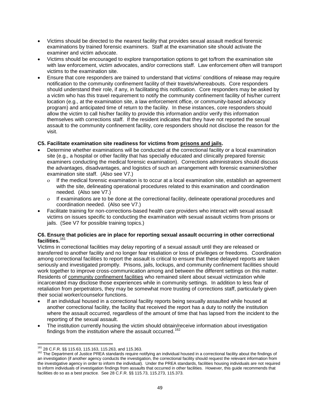- Victims should be directed to the nearest facility that provides sexual assault medical forensic examinations by trained forensic examiners. Staff at the examination site should activate the examiner and victim advocate.
- Victims should be encouraged to explore transportation options to get to/from the examination site with law enforcement, victim advocates, and/or corrections staff. Law enforcement often will transport victims to the examination site.
- Ensure that core responders are trained to understand that victims' conditions of release may require notification to the community confinement facility of their travels/whereabouts. Core responders should understand their role, if any, in facilitating this notification. Core responders may be asked by a victim who has this travel requirement to notify the community confinement facility of his/her current location (e.g., at the examination site, a law enforcement office, or community-based advocacy program) and anticipated time of return to the facility. In these instances, core responders should allow the victim to call his/her facility to provide this information and/or verify this information themselves with corrections staff. If the resident indicates that they have not reported the sexual assault to the community confinement facility, core responders should not disclose the reason for the visit.

#### **C5. Facilitate examination site readiness for victims from prisons and jails.**

- Determine whether examinations will be conducted at the correctional facility or a local examination site (e.g., a hospital or other facility that has specially educated and clinically prepared forensic examiners conducting the medical forensic examination). Corrections administrators should discuss the advantages, disadvantages, and logistics of such an arrangement with forensic examiners/other examination site staff. (Also see V7.)
	- If the medical forensic examination is to occur at a local examination site, establish an agreement with the site, delineating operational procedures related to this examination and coordination needed. (Also see V7.)
	- If examinations are to be done at the correctional facility, delineate operational procedures and coordination needed. (Also see V7.)
- Facilitate training for non-corrections-based health care providers who interact with sexual assault victims on issues specific to conducting the examination with sexual assault victims from prisons or jails. (See V7 for possible training topics.)

#### **C6. Ensure that policies are in place for reporting sexual assault occurring in other correctional facilities.**<sup>161</sup>

Victims in correctional facilities may delay reporting of a sexual assault until they are released or transferred to another facility and no longer fear retaliation or loss of privileges or freedoms. Coordination among correctional facilities to report the assault is critical to ensure that these delayed reports are taken seriously and investigated promptly. Prisons, jails, lockups, and community confinement facilities should work together to improve cross-communication among and between the different settings on this matter. Residents of community confinement facilities who remained silent about sexual victimization while incarcerated may disclose those experiences while in community settings. In addition to less fear of retaliation from perpetrators, they may be somewhat more trusting of corrections staff, particularly given their social worker/counselor functions.

- If an individual housed in a correctional facility reports being sexually assaulted while housed at another correctional facility, the facility that received the report has a duty to notify the institution where the assault occurred, regardless of the amount of time that has lapsed from the incident to the reporting of the sexual assault.
- The institution currently housing the victim should obtain/receive information about investigation findings from the institution where the assault occurred.<sup>162</sup>

 $\overline{a}$ <sup>161</sup> 28 C.F.R. §§ 115.63, 115.163, 115.263, and 115.363.

<sup>162</sup> The Department of Justice PREA standards require notifying an individual housed in a correctional facility about the findings of an investigation (if another agency conducts the investigation, the correctional facility should request the relevant information from the investigative agency in order to inform the individual). Under the PREA standards, facilities housing individuals are not required to inform individuals of investigation findings from assaults that occurred in other facilities. However, this guide recommends that facilities do so as a best practice. See 28 C.F.R. §§ 115.73, 115.273, 115.373.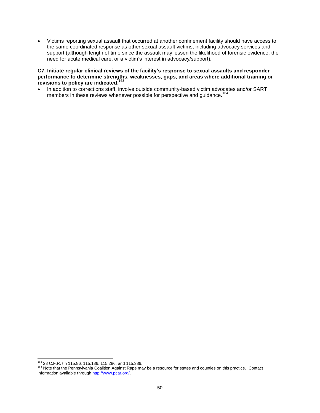Victims reporting sexual assault that occurred at another confinement facility should have access to the same coordinated response as other sexual assault victims, including advocacy services and support (although length of time since the assault may lessen the likelihood of forensic evidence, the need for acute medical care, or a victim's interest in advocacy/support).

#### **C7. Initiate regular clinical reviews of the facility's response to sexual assaults and responder performance to determine strengths, weaknesses, gaps, and areas where additional training or revisions to policy are indicated**. 163

• In addition to corrections staff, involve outside community-based victim advocates and/or SART members in these reviews whenever possible for perspective and guidance.<sup>164</sup>

 $\overline{\phantom{a}}$ <sup>163</sup> 28 C.F.R. §§ 115.86, 115.186, 115.286, and 115.386.

<sup>164</sup> Note that the Pennsylvania Coalition Against Rape may be a resource for states and counties on this practice. Contact information available through [http://www.pcar.org/.](http://www.pcar.org/)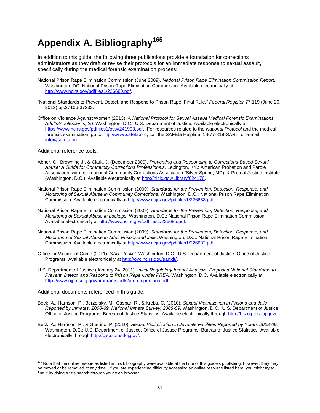# **Appendix A. Bibliography<sup>165</sup>**

In addition to this guide, the following three publications provide a foundation for corrections administrators as they draft or revise their protocols for an immediate response to sexual assault, specifically during the medical forensic examination process:

- National Prison Rape Elimination Commission (June 2009). *National Prison Rape Elimination Commission Report*. Washington, DC: National Prison Rape Elimination Commission. Available electronically at [http://www.ncjrs.gov/pdffiles1/226680.pdf.](http://www.ncjrs.gov/pdffiles1/226680.pdf)
- "National Standards to Prevent, Detect, and Respond to Prison Rape, Final Rule*.*" *Federal Register* 77:119 (June 20, 2012) pp.37106-37232.
- Office on Violence Against Women (2013). *A National Protocol for Sexual Assault Medical Forensic Examinations, Adults/Adolescents, 2d*. Washington, D.C.: U.S. Department of Justice. Available electronically at [https://www.ncjrs.gov/pdffiles1/ovw/241903.pdf.](https://www.ncjrs.gov/pdffiles1/ovw/241903.pdf) For resources related to the *National Protocol* and the medical forensic examination, go t[o http://www.safeta.org,](http://www.safeta.org/) call the SAFEta Helpline: 1-877-819-SART, or e-mail [info@safeta.org.](mailto:info@safeta.org)

Additional reference tools:

- Abner, C., Browning J., & Clark, J. (December 2009). *Preventing and Responding to Corrections-Based Sexual Abuse: A Guide for Community Corrections Professionals*. Lexington, KY.: American Probation and Parole Association, with International Community Corrections Association (Silver Spring, MD), & Pretrial Justice Institute (Washington, D.C.). Available electronically a[t http://nicic.gov/Library/024176.](http://nicic.gov/Library/024176)
- National Prison Rape Elimination Commission (2009). *Standards for the Prevention, Detection, Response, and Monitoring of Sexual Abuse in Community Corrections*. Washington, D.C.: National Prison Rape Elimination Commission. Available electronically a[t http://www.ncjrs.gov/pdffiles1/226683.pdf.](http://www.ncjrs.gov/pdffiles1/226683.pdf)
- National Prison Rape Elimination Commission (2009). *Standards for the Prevention, Detection, Response, and Monitoring of Sexual Abuse in Lockups*. Washington, D.C.: National Prison Rape Elimination Commission. Available electronically at [http://www.ncjrs.gov/pdffiles1/226685.pdf.](http://www.ncjrs.gov/pdffiles1/226685.pdf)
- National Prison Rape Elimination Commission (2009). *Standards for the Prevention, Detection, Response, and Monitoring of Sexual Abuse in Adult Prisons and Jails*. Washington, D.C.: National Prison Rape Elimination Commission. Available electronically a[t http://www.ncjrs.gov/pdffiles1/226682.pdf.](http://www.ncjrs.gov/pdffiles1/226682.pdf)
- Office for Victims of Crime (2011). *SART toolkit.* Washington, D.C.: U.S. Department of Justice, Office of Justice Programs. Available electronically at [http://ovc.ncjrs.gov/sartkit/.](http://ovc.ncjrs.gov/sartkit/)
- U.S. Department of Justice (January 24, 2011). *Initial Regulatory Impact Analysis, Proposed National Standards to Prevent, Detect, and Respond to Prison Rape Under PREA.* Washington, D.C. Available electronically at [http://www.ojp.usdoj.gov/programs/pdfs/prea\\_nprm\\_iria.pdf.](http://www.ojp.usdoj.gov/programs/pdfs/prea_nprm_iria.pdf)

Additional documents referenced in this guide:

- Beck, A., Harrison, P., Berzofsky, M., Caspar, R., & Krebs, C. (2010). *Sexual Victimization in Prisons and Jails Reported by Inmates, 2008-09. National Inmate Survey, 2008-09.* Washington, D.C.: U.S. Department of Justice, Office of Justice Programs, Bureau of Justice Statistics. Available electronically through [http://bjs.ojp.usdoj.gov/.](http://bjs.ojp.usdoj.gov/)
- Beck, A., Harrison, P., & Guerino, P. (2010). *Sexual Victimization in Juvenile Facilities Reported by Youth, 2008-09.*  Washington, D.C.: U.S. Department of Justice, Office of Justice Programs, Bureau of Justice Statistics. Available electronically through [http://bjs.ojp.usdoj.gov/.](http://bjs.ojp.usdoj.gov/)

<sup>&</sup>lt;sup>165</sup> Note that the online resources listed in this bibliography were available at the time of this guide's publishing; however, they may be moved or be removed at any time. If you are experiencing difficulty accessing an online resource listed here, you might try to find it by doing a title search through your web browser.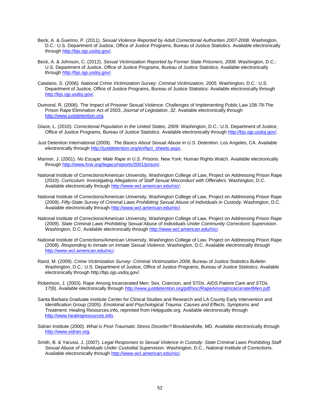- Beck, A. & Guerino, P. (2011). *Sexual Violence Reported by Adult Correctional Authorities 2007-2008.* Washington, D.C.: U.S. Department of Justice, Office of Justice Programs, Bureau of Justice Statistics. Available electronically through [http://bjs.ojp.usdoj.gov/.](http://bjs.ojp.usdoj.gov/)
- Beck, A. & Johnson, C. (2012). *Sexual Victimization Reported by Former State Prisoners, 2008*. Washington, D.C.: U.S. Department of Justice, Office of Justice Programs, Bureau of Justice Statistics. Available electronically through [http://bjs.ojp.usdoj.gov/.](http://bjs.ojp.usdoj.gov/)
- Catalano, S. (2006). *National Crime Victimization Survey: Criminal Victimization, 2005.* Washington, D.C.: U.S. Department of Justice, Office of Justice Programs, Bureau of Justice Statistics. Available electronically through [http://bjs.ojp.usdoj.gov/.](http://bjs.ojp.usdoj.gov/)
- Dumond, R. (2006). The Impact of Prisoner Sexual Violence: Challenges of Implementing Public Law 108-79-The Prison Rape Elimination Act of 2003, *Journal of Legislation*, *32*. Available electronically through [http://www.justdetention.org.](http://www.justdetention.org/)
- Glaze, L. (2010). *Correctional Population in the United States, 2009*. Washington, D.C.: U.S. Department of Justice, Office of Justice Programs, Bureau of Justice Statistics. Available electronically throug[h http://bjs.ojp.usdoj.gov/.](http://bjs.ojp.usdoj.gov/)
- Just Detention International (2009). *The Basics About Sexual Abuse in U.S. Detention*. Los Angeles, CA. Available electronically through [http://justdetention.org/en/fact\\_sheets.aspx.](http://justdetention.org/en/fact_sheets.aspx)
- Mariner, J. (2001). *No Escape: Male Rape in U.S. Prisons.* New York: Human Rights Watch. Available electronically through [http://www.hrw.org/legacy/reports/2001/prison/.](http://www.hrw.org/legacy/reports/2001/prison/)
- National Institute of Corrections/American University, Washington College of Law, Project on Addressing Prison Rape (2010). *Curriculum: Investigating Allegations of Staff Sexual Misconduct with Offenders*. Washington, D.C. Available electronically through [http://www.wcl.american.edu/nic/.](http://www.wcl.american.edu/nic/)
- National Institute of Corrections/American University, Washington College of Law, Project on Addressing Prison Rape (2009). *Fifty-State Survey of Criminal Laws Prohibiting Sexual Abuse of Individuals in Custody.* Washington, D.C. Available electronically through [http://www.wcl.american.edu/nic/.](http://www.wcl.american.edu/nic/)
- National Institute of Corrections/American University, Washington College of Law, Project on Addressing Prison Rape (2009). *State Criminal Laws Prohibiting Sexual Abuse of Individuals Under Community Corrections Supervision.*  Washington, D.C. Available electronically through [http://www.wcl.american.edu/nic/.](http://www.wcl.american.edu/nic/)
- National Institute of Corrections/American University, Washington College of Law, Project on Addressing Prison Rape (2008). *Responding to Inmate on Inmate Sexual Violence*. Washington, D.C. Available electronically through [http://www.wcl.american.edu/nic/.](http://www.wcl.american.edu/nic/)
- Rand, M. (2009). *Crime Victimization Survey: Criminal Victimization 2008*, Bureau of Justice Statistics Bulletin Washington, D.C.: U.S. Department of Justice, Office of Justice Programs, Bureau of Justice Statistics. Available electronically through http://bjs.ojp.usdoj.gov/.
- Robertson, J. (2003). Rape Among Incarcerated Men: Sex, Coercion, and STDs. *AIDS Patient Care and STDs,*  17(8). Available electronically through [http://www.justdetention.org/pdf/soc/RapeAmongIncarceratedMen.pdf.](http://www.justdetention.org/pdf/soc/RapeAmongIncarceratedMen.pdf)
- Santa Barbara Graduate Institute Center for Clinical Studies and Research and LA County Early Intervention and Identification Group (2005). *Emotional and Psychological Trauma: Causes and Effects, Symptoms and Treatment.* Healing Resources.info, reprinted from Helpguide.org. Available electronically through [http://www.healingresources.info.](http://www.healingresources.info/)
- Sidran Institute (2000). *What is Post-Traumatic Stress Disorder?* Brooklandville, MD. Available electronically through [http://www.sidran.org.](http://www.sidran.org/)
- Smith, B. & Yarussi, J. (2007). *Legal Responses to Sexual Violence in Custody: State Criminal Laws Prohibiting Staff Sexual Abuse of Individuals Under Custodial Supervision.* Washington, D.C., National Institute of Corrections. Available electronically through [http://www.wcl.american.edu/nic/.](http://www.wcl.american.edu/nic/)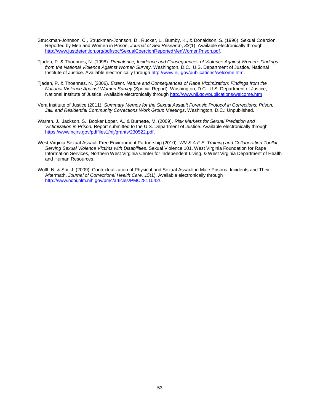- Struckman-Johnson, C., Struckman-Johnson, D., Rucker, L., Bumby, K., & Donaldson, S. (1996). Sexual Coercion Reported by Men and Women in Prison, *Journal of Sex Research*, *33*(1). Available electronically through [http://www.justdetention.org/pdf/soc/SexualCoercionReportedMenWomenPrison.pdf.](http://www.justdetention.org/pdf/soc/SexualCoercionReportedMenWomenPrison.pdf)
- Tjaden, P. & Thoennes, N. (1998). *Prevalence, Incidence and Consequences of Violence Against Women: Findings from the National Violence Against Women Survey.* Washington, D.C.: U.S. Department of Justice, National Institute of Justice. Available electronically through [http://www.nij.gov/publications/welcome.htm.](http://www.nij.gov/publications/welcome.htm)
- Tjaden, P. & Thoennes, N. (2006). *Extent, Nature and Consequences of Rape Victimization: Findings from the National Violence Against Women Survey* (Special Report). Washington, D.C.: U.S. Department of Justice, National Institute of Justice. Available electronically through [http://www.nij.gov/publications/welcome.htm.](http://www.nij.gov/publications/welcome.htm)
- Vera Institute of Justice (2011). *Summary Memos for the Sexual Assault Forensic Protocol in Corrections: Prison, Jail, and Residential Community Corrections Work Group Meetings*. Washington, D.C.: Unpublished.
- Warren, J., Jackson, S., Booker Loper, A., & Burnette, M. (2009). *Risk Markers for Sexual Predation and Victimization in Prison.* Report submitted to the U.S. Department of Justice. Available electronically through [https://www.ncjrs.gov/pdffiles1/nij/grants/230522.pdf.](https://www.ncjrs.gov/pdffiles1/nij/grants/230522.pdf)
- West Virginia Sexual Assault Free Environment Partnership (2010). *WV S.A.F.E. Training and Collaboration Toolkit: Serving Sexual Violence Victims with Disabilities*. Sexual Violence 101. West Virginia Foundation for Rape Information Services, Northern West Virginia Center for Independent Living, & West Virginia Department of Health and Human Resources.
- Wolff, N. & Shi, J. (2009). Contextualization of Physical and Sexual Assault in Male Prisons: Incidents and Their Aftermath. *Journal of Correctional Health Care, 15*(1). Available electronically through [http://www.ncbi.nlm.nih.gov/pmc/articles/PMC2811042/.](http://www.ncbi.nlm.nih.gov/pmc/articles/PMC2811042/)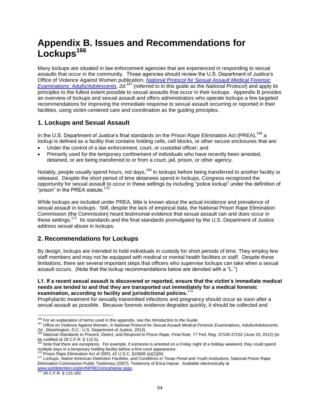# **Appendix B. Issues and Recommendations for Lockups<sup>166</sup>**

Many lockups are situated in law enforcement agencies that are experienced in responding to sexual assaults that occur in the community. Those agencies should review the U.S. Department of Justice's Office of Violence Against Women publication, *[National Protocol for Sexual Assault Medical Forensic](https://www.ncjrs.gov/pdffiles1/ovw/241903.pdf)  [Examinations: Adults/Adolescents,](https://www.ncjrs.gov/pdffiles1/ovw/241903.pdf) 2d.*<sup>167</sup> (referred to in this guide as the *National Protocol*) and apply its principles to the fullest extent possible to sexual assaults that occur in their lockups. Appendix B provides an overview of lockups and sexual assault and offers administrators who operate lockups a few targeted recommendations for improving the immediate response to sexual assault occurring or reported in their facilities, using victim-centered care and coordination as the guiding principles.

## **1. Lockups and Sexual Assault**

In the U.S. Department of Justice's final standards on the Prison Rape Elimination Act (PREA),<sup>168</sup> a lockup is defined as a facility that contains holding cells, cell blocks, or other secure enclosures that are:

- Under the control of a law enforcement, court, or custodial officer; and
- Primarily used for the temporary confinement of individuals who have recently been arrested, detained, or are being transferred to or from a court, jail, prison, or other agency.

Notably, people usually spend hours, not days,<sup>169</sup> in lockups before being transferred to another facility or released. Despite the short period of time detainees spend in lockups, Congress recognized the opportunity for sexual assault to occur in these settings by including "police lockup" under the definition of "prison" in the PREA statute. $170$ 

While lockups are included under PREA, little is known about the actual incidence and prevalence of sexual assault in lockups. Still, despite the lack of empirical data, the National Prison Rape Elimination Commission (the Commission) heard testimonial evidence that sexual assault can and does occur in these settings.<sup>171</sup> Its standards and the final standards promulgated by the U.S. Department of Justice address sexual abuse in lockups.

## **2. Recommendations for Lockups**

By design, lockups are intended to hold individuals in custody for short periods of time. They employ few staff members and may not be equipped with medical or mental health facilities or staff. Despite these limitations, there are several important steps that officers who supervise lockups can take when a sexual assault occurs. (Note that the lockup recommendations below are denoted with a "L.")

#### **L1. If a recent sexual assault is discovered or reported, ensure that the victim's immediate medical needs are tended to and that they are transported out immediately for a medical forensic examination, according to facility and jurisdictional policies.** 172

Prophylactic treatment for sexually transmitted infections and pregnancy should occur as soon after a sexual assault as possible. Because forensic evidence degrades quickly, it should be collected and

 $10$  Prison Rape Elimination Act of 2003, 42 U.S.C. §15606 (e)(2)(M).

 $\overline{\phantom{a}}$ <sup>166</sup> For an explanation of terms used in this appendix, see the *Introduction to the Guide*.

<sup>167</sup> Office on Violence Against Women, *A National Protocol for Sexual Assault Medical Forensic Examinations, Adults/Adolescents,* 

*<sup>2</sup>d.*, (Washington, D.C.: U.S. Department of Justice, 2013). <sup>168</sup> *National Standards to Prevent, Detect, and Respond to Prison Rape, Final Rule,* 77 Fed. Reg. 37106-37232 (June 20, 2012) (to

be codified at 28 C.F.R. § 115.5).<br><sup>169</sup> Note that there are exceptions. For example, if someone is arrested on a Friday night of a holiday weekend, they could spend multiple days in a temporary holding facility before a first court appearance.

<sup>171</sup> *Lockups, Native American Detention Facilities, and Conditions in Texas Penal and Youth Institutions,* National Prison Rape Elimination Commission Public Testimony (2007), Testimony of Erica Hejnar. Available electronically at [www.justdetention.org/en/NPREC/ericahejnar.aspx.](http://www.justdetention.org/en/NPREC/ericahejnar.aspx)<br><sup>172</sup> 28 C.F.R. § 115.182.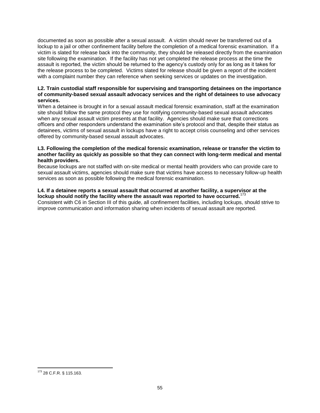documented as soon as possible after a sexual assault. A victim should never be transferred out of a lockup to a jail or other confinement facility before the completion of a medical forensic examination. If a victim is slated for release back into the community, they should be released directly from the examination site following the examination. If the facility has not yet completed the release process at the time the assault is reported, the victim should be returned to the agency's custody only for as long as it takes for the release process to be completed. Victims slated for release should be given a report of the incident with a complaint number they can reference when seeking services or updates on the investigation.

#### **L2. Train custodial staff responsible for supervising and transporting detainees on the importance of community-based sexual assault advocacy services and the right of detainees to use advocacy services.**

When a detainee is brought in for a sexual assault medical forensic examination, staff at the examination site should follow the same protocol they use for notifying community-based sexual assault advocates when any sexual assault victim presents at that facility. Agencies should make sure that corrections officers and other responders understand the examination site's protocol and that, despite their status as detainees, victims of sexual assault in lockups have a right to accept crisis counseling and other services offered by community-based sexual assault advocates.

#### **L3. Following the completion of the medical forensic examination, release or transfer the victim to another facility as quickly as possible so that they can connect with long-term medical and mental health providers.**

Because lockups are not staffed with on-site medical or mental health providers who can provide care to sexual assault victims, agencies should make sure that victims have access to necessary follow-up health services as soon as possible following the medical forensic examination.

#### **L4. If a detainee reports a sexual assault that occurred at another facility, a supervisor at the**  lockup should notify the facility where the assault was reported to have occurred.<sup>17</sup>

Consistent with C6 in Section III of this guide, all confinement facilities, including lockups, should strive to improve communication and information sharing when incidents of sexual assault are reported.

<sup>173 28</sup> C.F.R. § 115.163.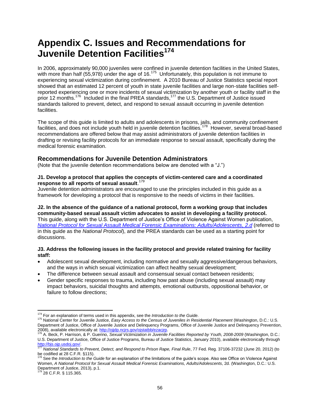# **Appendix C. Issues and Recommendations for Juvenile Detention Facilities<sup>174</sup>**

In 2006, approximately 90,000 juveniles were confined in juvenile detention facilities in the United States, with more than half (55,978) under the age of 16.<sup>175</sup> Unfortunately, this population is not immune to experiencing sexual victimization during confinement. A 2010 Bureau of Justice Statistics special report showed that an estimated 12 percent of youth in state juvenile facilities and large non-state facilities selfreported experiencing one or more incidents of sexual victimization by another youth or facility staff in the prior 12 months.<sup>176</sup> Included in the final PREA standards,<sup>177</sup> the U.S. Department of Justice issued standards tailored to prevent, detect, and respond to sexual assault occurring in juvenile detention facilities.

The scope of this guide is limited to adults and adolescents in prisons, jails, and community confinement facilities, and does not include youth held in juvenile detention facilities.<sup>178</sup> However, several broad-based recommendations are offered below that may assist administrators of juvenile detention facilities in drafting or revising facility protocols for an immediate response to sexual assault, specifically during the medical forensic examination.

### **Recommendations for Juvenile Detention Administrators**

(Note that the juvenile detention recommendations below are denoted with a "J.")

#### **J1. Develop a protocol that applies the concepts of victim-centered care and a coordinated response to all reports of sexual assault**. 179

Juvenile detention administrators are encouraged to use the principles included in this guide as a framework for developing a protocol that is responsive to the needs of victims in their facilities.

**J2. In the absence of the guidance of a national protocol, form a working group that includes community-based sexual assault victim advocates to assist in developing a facility protocol.**  This guide, along with the U.S. Department of Justice's Office of Violence Against Women publication, *[National Protocol for Sexual Assault Medical Forensic Examinations: Adults/Adolescents, 2.d](https://www.ncjrs.gov/pdffiles1/ovw/241903.pdf)* (referred to in this guide as the *National Protocol*), and the PREA standards can be used as a starting point for discussions.

#### **J3. Address the following issues in the facility protocol and provide related training for facility staff:**

- Adolescent sexual development, including normative and sexually aggressive/dangerous behaviors, and the ways in which sexual victimization can affect healthy sexual development;
- The difference between sexual assault and consensual sexual contact between residents;
- Gender specific responses to trauma, including how past abuse (including sexual assault) may impact behaviors, suicidal thoughts and attempts, emotional outbursts, oppositional behavior, or failure to follow directions;

28 C.F.R. § 115.365.

 $\overline{\phantom{a}}$ <sup>174</sup> For an explanation of terms used in this appendix, see the *Introduction to the Guide*.

<sup>175</sup> National Center for Juvenile Justice, *Easy Access to the Census of Juveniles in Residential Placement* (Washington, D.C.: U.S. Department of Justice, Office of Juvenile Justice and Delinquency Programs, Office of Juvenile Justice and Delinquency Prevention,

<sup>2008),</sup> available electronically at: <u>http://ojjdp.ncjrs.gov/ojstatbb/ezacjrp</u>.<br><sup>176</sup> A. Beck, P. Harrison, & P. Guerino, *Sexual Victimization in Juvenile Facilities Reported by Youth, 2008-2009* (Washington, D.C.: U.S. Department of Justice, Office of Justice Programs, Bureau of Justice Statistics, January 2010), available electronically through <mark>http://bjs.ojp.usdoj.gov/</mark>.<br><sup>177</sup> National Standards to Prevent, Detect, and Respond to Prison Rape, Final Rule, 77 Fed. Reg. 37106-37232 (June 20, 2012) (to

be codified at 28 C.F.R. §115).

<sup>178</sup> See the *Introduction to the Guide* for an explanation of the limitations of the guide's scope. Also see Office on Violence Against Women, *A National Protocol for Sexual Assault Medical Forensic Examinations, Adults/Adolescents*, 2d. (Washington, D.C.: U.S. Department of Justice, 2013), p.1.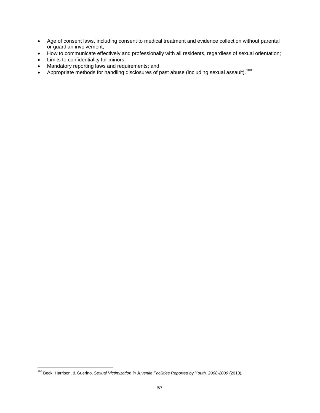- Age of consent laws, including consent to medical treatment and evidence collection without parental or guardian involvement;
- How to communicate effectively and professionally with all residents, regardless of sexual orientation;
- Limits to confidentiality for minors;
- Mandatory reporting laws and requirements; and
- Appropriate methods for handling disclosures of past abuse (including sexual assault).<sup>180</sup>

 $\overline{\phantom{a}}$ <sup>180</sup> Beck, Harrison, & Guerino, *Sexual Victimization in Juvenile Facilities Reported by Youth, 2008-2009* (2010)*.*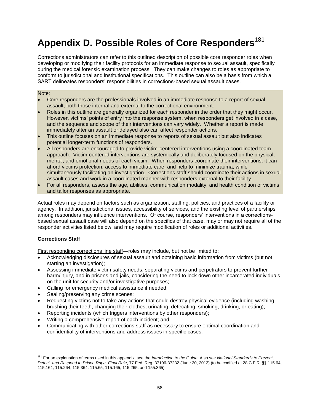# **Appendix D. Possible Roles of Core Responders**<sup>181</sup>

Corrections administrators can refer to this outlined description of possible core responder roles when developing or modifying their facility protocols for an immediate response to sexual assault, specifically during the medical forensic examination process. They can make changes to roles as appropriate to conform to jurisdictional and institutional specifications. This outline can also be a basis from which a SART delineates responders' responsibilities in corrections-based sexual assault cases.

#### Note:

- Core responders are the professionals involved in an immediate response to a report of sexual assault, both those internal and external to the correctional environment.
- Roles in this outline are generally organized for each responder in the order that they might occur. However, victims' points of entry into the response system, when responders get involved in a case, and the sequence and scope of their interventions can vary widely. Whether a report is made immediately after an assault or delayed also can affect responder actions.
- This outline focuses on an immediate response to reports of sexual assault but also indicates potential longer-term functions of responders.
- All responders are encouraged to provide victim-centered interventions using a coordinated team approach. Victim-centered interventions are systemically and deliberately focused on the physical, mental, and emotional needs of each victim. When responders coordinate their interventions, it can afford victims protection, access to immediate care, and help to minimize trauma, while simultaneously facilitating an investigation. Corrections staff should coordinate their actions in sexual assault cases and work in a coordinated manner with responders external to their facility.
- For all responders, assess the age, abilities, communication modality, and health condition of victims and tailor responses as appropriate.

Actual roles may depend on factors such as organization, staffing, policies, and practices of a facility or agency. In addition, jurisdictional issues, accessibility of services, and the existing level of partnerships among responders may influence interventions. Of course, responders' interventions in a correctionsbased sexual assault case will also depend on the specifics of that case, may or may not require all of the responder activities listed below, and may require modification of roles or additional activities.

#### **Corrections Staff**

First responding corrections line staff—roles may include, but not be limited to:

- Acknowledging disclosures of sexual assault and obtaining basic information from victims (but not starting an investigation);
- Assessing immediate victim safety needs, separating victims and perpetrators to prevent further harm/injury, and in prisons and jails, considering the need to lock down other incarcerated individuals on the unit for security and/or investigative purposes;
- Calling for emergency medical assistance if needed;
- Sealing/preserving any crime scenes;
- Requesting victims not to take any actions that could destroy physical evidence (including washing, brushing their teeth, changing their clothes, urinating, defecating, smoking, drinking, or eating);
- Reporting incidents (which triggers interventions by other responders);
- Writing a comprehensive report of each incident; and
- Communicating with other corrections staff as necessary to ensure optimal coordination and confidentiality of interventions and address issues in specific cases.

 $\overline{a}$ <sup>181</sup> For an explanation of terms used in this appendix, see the *Introduction to the Guide*. Also see *National Standards to Prevent, Detect, and Respond to Prison Rape, Final Rule*, 77 Fed. Reg. 37106-37232 (June 20, 2012) (to be codified at 28 C.F.R. §§ 115.64, 115.164, 115.264, 115.364, 115.65, 115.165, 115.265, and 155.365).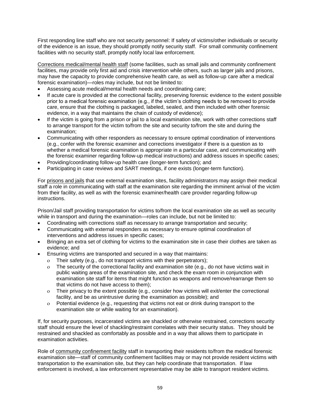First responding line staff who are not security personnel: If safety of victims/other individuals or security of the evidence is an issue, they should promptly notify security staff. For small community confinement facilities with no security staff, promptly notify local law enforcement.

Corrections medical/mental health staff (some facilities, such as small jails and community confinement facilities, may provide only first aid and crisis intervention while others, such as larger jails and prisons, may have the capacity to provide comprehensive health care, as well as follow-up care after a medical forensic examination)—roles may include, but not be limited to:

- Assessing acute medical/mental health needs and coordinating care;
- If acute care is provided at the correctional facility, preserving forensic evidence to the extent possible prior to a medical forensic examination (e.g., if the victim's clothing needs to be removed to provide care, ensure that the clothing is packaged, labeled, sealed, and then included with other forensic evidence, in a way that maintains the chain of custody of evidence);
- If the victim is going from a prison or jail to a local examination site, work with other corrections staff to arrange transport for the victim to/from the site and security to/from the site and during the examination;
- Communicating with other responders as necessary to ensure optimal coordination of interventions (e.g., confer with the forensic examiner and corrections investigator if there is a question as to whether a medical forensic examination is appropriate in a particular case, and communicating with the forensic examiner regarding follow-up medical instructions) and address issues in specific cases;
- Providing/coordinating follow-up health care (longer-term function); and
- Participating in case reviews and SART meetings, if one exists (longer-term function).

For prisons and jails that use external examination sites, facility administrators may assign their medical staff a role in communicating with staff at the examination site regarding the imminent arrival of the victim from their facility, as well as with the forensic examiner/health care provider regarding follow-up instructions.

Prison/Jail staff providing transportation for victims to/from the local examination site as well as security while in transport and during the examination—roles can include, but not be limited to:

- Coordinating with corrections staff as necessary to arrange transportation and security;
- Communicating with external responders as necessary to ensure optimal coordination of interventions and address issues in specific cases;
- Bringing an extra set of clothing for victims to the examination site in case their clothes are taken as evidence; and
- Ensuring victims are transported and secured in a way that maintains:
	- Their safety (e.g., do not transport victims with their perpetrators);
	- The security of the correctional facility and examination site (e.g., do not have victims wait in public waiting areas of the examination site, and check the exam room in conjunction with examination site staff for items that might function as weapons and remove/rearrange them so that victims do not have access to them);
	- Their privacy to the extent possible (e.g., consider how victims will exit/enter the correctional facility, and be as unintrusive during the examination as possible); and
	- Potential evidence (e.g., requesting that victims not eat or drink during transport to the examination site or while waiting for an examination).

If, for security purposes, incarcerated victims are shackled or otherwise restrained, corrections security staff should ensure the level of shackling/restraint correlates with their security status. They should be restrained and shackled as comfortably as possible and in a way that allows them to participate in examination activities.

Role of community confinement facility staff in transporting their residents to/from the medical forensic examination site—staff of community confinement facilities may or may not provide resident victims with transportation to the examination site, but they can help coordinate that transportation. If law enforcement is involved, a law enforcement representative may be able to transport resident victims.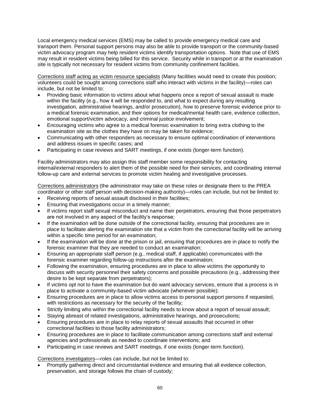Local emergency medical services (EMS) may be called to provide emergency medical care and transport them. Personal support persons may also be able to provide transport or the community-based victim advocacy program may help resident victims identify transportation options. Note that use of EMS may result in resident victims being billed for this service. Security while in transport or at the examination site is typically not necessary for resident victims from community confinement facilities.

Corrections staff acting as victim resource specialists (Many facilities would need to create this position; volunteers could be sought among corrections staff who interact with victims in the facility)—roles can include, but not be limited to:

- Providing basic information to victims about what happens once a report of sexual assault is made within the facility (e.g., how it will be responded to, and what to expect during any resulting investigation, administrative hearings, and/or prosecution), how to preserve forensic evidence prior to a medical forensic examination, and their options for medical/mental health care, evidence collection, emotional support/victim advocacy, and criminal justice involvement;
- Encouraging victims who agree to a medical forensic examination to bring extra clothing to the examination site as the clothes they have on may be taken for evidence;
- Communicating with other responders as necessary to ensure optimal coordination of interventions and address issues in specific cases; and
- Participating in case reviews and SART meetings, if one exists (longer-term function).

Facility administrators may also assign this staff member some responsibility for contacting internal/external responders to alert them of the possible need for their services, and coordinating internal follow-up care and external services to promote victim healing and investigative processes.

Corrections administrators (the administrator may take on these roles or designate them to the PREA coordinator or other staff person with decision-making authority)—roles can include, but not be limited to:

- Receiving reports of sexual assault disclosed in their facilities;
- Ensuring that investigations occur in a timely manner;
- If victims report staff sexual misconduct and name their perpetrators, ensuring that those perpetrators are not involved in any aspect of the facility's response;
- If the examination will be done outside of the correctional facility, ensuring that procedures are in place to facilitate alerting the examination site that a victim from the correctional facility will be arriving within a specific time period for an examination;
- If the examination will be done at the prison or jail, ensuring that procedures are in place to notify the forensic examiner that they are needed to conduct an examination;
- Ensuring an appropriate staff person (e.g., medical staff, if applicable) communicates with the forensic examiner regarding follow-up instructions after the examination;
- Following the examination, ensuring procedures are in place to allow victims the opportunity to discuss with security personnel their safety concerns and possible precautions (e.g., addressing their desire to be kept separate from perpetrators);
- If victims opt not to have the examination but do want advocacy services, ensure that a process is in place to activate a community-based victim advocate (whenever possible);
- Ensuring procedures are in place to allow victims access to personal support persons if requested, with restrictions as necessary for the security of the facility;
- Strictly limiting who within the correctional facility needs to know about a report of sexual assault;
- Staying abreast of related investigations, administrative hearings, and prosecutions;
- Ensuring procedures are in place to relay reports of sexual assaults that occurred in other correctional facilities to those facility administrators;
- Ensuring procedures are in place to facilitate communication among corrections staff and external agencies and professionals as needed to coordinate interventions; and
- Participating in case reviews and SART meetings, if one exists (longer-term function).

Corrections investigators—roles can include, but not be limited to:

 Promptly gathering direct and circumstantial evidence and ensuring that all evidence collection, preservation, and storage follows the chain of custody;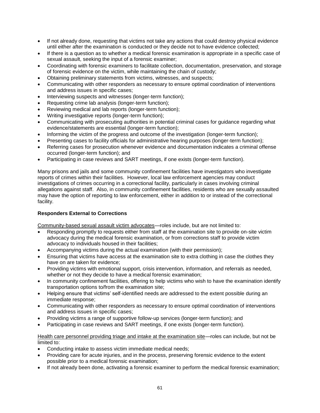- If not already done, requesting that victims not take any actions that could destroy physical evidence until either after the examination is conducted or they decide not to have evidence collected;
- If there is a question as to whether a medical forensic examination is appropriate in a specific case of sexual assault, seeking the input of a forensic examiner;
- Coordinating with forensic examiners to facilitate collection, documentation, preservation, and storage of forensic evidence on the victim, while maintaining the chain of custody;
- Obtaining preliminary statements from victims, witnesses, and suspects;
- Communicating with other responders as necessary to ensure optimal coordination of interventions and address issues in specific cases;
- Interviewing suspects and witnesses (longer-term function);
- Requesting crime lab analysis (longer-term function);
- Reviewing medical and lab reports (longer-term function);
- Writing investigative reports (longer-term function);
- Communicating with prosecuting authorities in potential criminal cases for guidance regarding what evidence/statements are essential (longer-term function);
- Informing the victim of the progress and outcome of the investigation (longer-term function);
- Presenting cases to facility officials for administrative hearing purposes (longer-term function);
- Referring cases for prosecution whenever evidence and documentation indicates a criminal offense occurred (longer-term function); and
- Participating in case reviews and SART meetings, if one exists (longer-term function).

Many prisons and jails and some community confinement facilities have investigators who investigate reports of crimes within their facilities. However, local law enforcement agencies may conduct investigations of crimes occurring in a correctional facility, particularly in cases involving criminal allegations against staff. Also, in community confinement facilities, residents who are sexually assaulted may have the option of reporting to law enforcement, either in addition to or instead of the correctional facility.

#### **Responders External to Corrections**

Community-based sexual assault victim advocates—roles include, but are not limited to:

- Responding promptly to requests either from staff at the examination site to provide on-site victim advocacy during the medical forensic examination, or from corrections staff to provide victim advocacy to individuals housed in their facilities;
- Accompanying victims during the actual examination (with their permission);
- Ensuring that victims have access at the examination site to extra clothing in case the clothes they have on are taken for evidence;
- Providing victims with emotional support, crisis intervention, information, and referrals as needed, whether or not they decide to have a medical forensic examination;
- In community confinement facilities, offering to help victims who wish to have the examination identify transportation options to/from the examination site;
- Helping ensure that victims' self-identified needs are addressed to the extent possible during an immediate response;
- Communicating with other responders as necessary to ensure optimal coordination of interventions and address issues in specific cases;
- Providing victims a range of supportive follow-up services (longer-term function); and
- Participating in case reviews and SART meetings, if one exists (longer-term function).

Health care personnel providing triage and intake at the examination site—roles can include, but not be limited to:

- Conducting intake to assess victim immediate medical needs;
- Providing care for acute injuries, and in the process, preserving forensic evidence to the extent possible prior to a medical forensic examination;
- If not already been done, activating a forensic examiner to perform the medical forensic examination;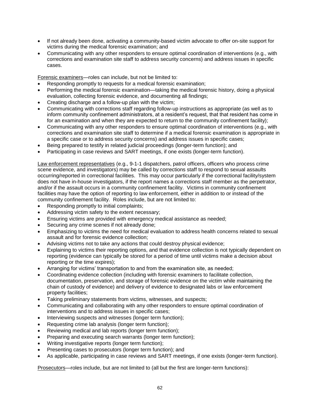- If not already been done, activating a community-based victim advocate to offer on-site support for victims during the medical forensic examination; and
- Communicating with any other responders to ensure optimal coordination of interventions (e.g., with corrections and examination site staff to address security concerns) and address issues in specific cases.

Forensic examiners—roles can include, but not be limited to:

- Responding promptly to requests for a medical forensic examination;
- Performing the medical forensic examination—taking the medical forensic history, doing a physical evaluation, collecting forensic evidence, and documenting all findings;
- Creating discharge and a follow-up plan with the victim;
- Communicating with corrections staff regarding follow-up instructions as appropriate (as well as to inform community confinement administrators, at a resident's request, that that resident has come in for an examination and when they are expected to return to the community confinement facility);
- Communicating with any other responders to ensure optimal coordination of interventions (e.g., with corrections and examination site staff to determine if a medical forensic examination is appropriate in a specific case or to address security concerns) and address issues in specific cases;
- Being prepared to testify in related judicial proceedings (longer-term function); and
- Participating in case reviews and SART meetings, if one exists (longer-term function).

Law enforcement representatives (e.g., 9-1-1 dispatchers, patrol officers, officers who process crime scene evidence, and investigators) may be called by corrections staff to respond to sexual assaults occurring/reported in correctional facilities. This may occur particularly if the correctional facility/system does not have in-house investigators, if the report names a corrections staff member as the perpetrator, and/or if the assault occurs in a community confinement facility. Victims in community confinement facilities may have the option of reporting to law enforcement, either in addition to or instead of the community confinement facility. Roles include, but are not limited to:

- Responding promptly to initial complaints;
- Addressing victim safety to the extent necessary;
- Ensuring victims are provided with emergency medical assistance as needed;
- Securing any crime scenes if not already done;
- Emphasizing to victims the need for medical evaluation to address health concerns related to sexual assault and for forensic evidence collection;
- Advising victims not to take any actions that could destroy physical evidence;
- Explaining to victims their reporting options, and that evidence collection is not typically dependent on reporting (evidence can typically be stored for a period of time until victims make a decision about reporting or the time expires);
- Arranging for victims' transportation to and from the examination site, as needed;
- Coordinating evidence collection (including with forensic examiners to facilitate collection, documentation, preservation, and storage of forensic evidence on the victim while maintaining the chain of custody of evidence) and delivery of evidence to designated labs or law enforcement property facilities;
- Taking preliminary statements from victims, witnesses, and suspects;
- Communicating and collaborating with any other responders to ensure optimal coordination of interventions and to address issues in specific cases;
- Interviewing suspects and witnesses (longer term function);
- Requesting crime lab analysis (longer term function);
- Reviewing medical and lab reports (longer term function);
- Preparing and executing search warrants (longer term function);
- Writing investigative reports (longer term function);
- Presenting cases to prosecutors (longer term function); and
- As applicable, participating in case reviews and SART meetings, if one exists (longer-term function).

Prosecutors—roles include, but are not limited to (all but the first are longer-term functions):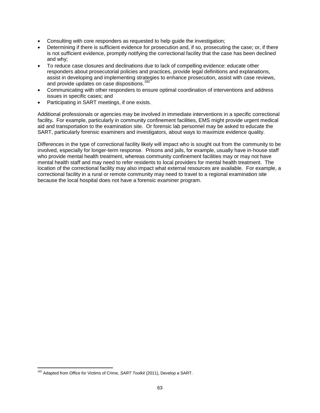- Consulting with core responders as requested to help guide the investigation;
- Determining if there is sufficient evidence for prosecution and, if so, prosecuting the case; or, if there is not sufficient evidence, promptly notifying the correctional facility that the case has been declined and why;
- To reduce case closures and declinations due to lack of compelling evidence: educate other responders about prosecutorial policies and practices, provide legal definitions and explanations, assist in developing and implementing strategies to enhance prosecution, assist with case reviews, and provide updates on case dispositions.<sup>182</sup>
- Communicating with other responders to ensure optimal coordination of interventions and address issues in specific cases; and
- Participating in SART meetings, if one exists.

Additional professionals or agencies may be involved in immediate interventions in a specific correctional facility**.** For example, particularly in community confinement facilities, EMS might provide urgent medical aid and transportation to the examination site. Or forensic lab personnel may be asked to educate the SART, particularly forensic examiners and investigators, about ways to maximize evidence quality.

Differences in the type of correctional facility likely will impact who is sought out from the community to be involved, especially for longer-term response. Prisons and jails, for example, usually have in-house staff who provide mental health treatment, whereas community confinement facilities may or may not have mental health staff and may need to refer residents to local providers for mental health treatment. The location of the correctional facility may also impact what external resources are available. For example, a correctional facility in a rural or remote community may need to travel to a regional examination site because the local hospital does not have a forensic examiner program.

 $\overline{\phantom{a}}$ <sup>182</sup> Adapted from Office for Victims of Crime, *SART Toolkit* (2011), Develop a SART.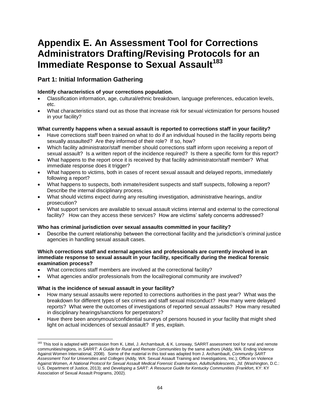# **Appendix E. An Assessment Tool for Corrections Administrators Drafting/Revising Protocols for an Immediate Response to Sexual Assault<sup>183</sup>**

## **Part 1: Initial Information Gathering**

#### **Identify characteristics of your corrections population.**

- Classification information, age, cultural/ethnic breakdown, language preferences, education levels, etc.
- What characteristics stand out as those that increase risk for sexual victimization for persons housed in your facility?

#### **What currently happens when a sexual assault is reported to corrections staff in your facility?**

- Have corrections staff been trained on what to do if an individual housed in the facility reports being sexually assaulted? Are they informed of their role? If so, how?
- Which facility administrator/staff member should corrections staff inform upon receiving a report of sexual assault? Is a written report of the incidence required? Is there a specific form for this report?
- What happens to the report once it is received by that facility administrator/staff member? What immediate response does it trigger?
- What happens to victims, both in cases of recent sexual assault and delayed reports, immediately following a report?
- What happens to suspects, both inmate/resident suspects and staff suspects, following a report? Describe the internal disciplinary process.
- What should victims expect during any resulting investigation, administrative hearings, and/or prosecution?
- What support services are available to sexual assault victims internal and external to the correctional facility? How can they access these services? How are victims' safety concerns addressed?

#### **Who has criminal jurisdiction over sexual assaults committed in your facility?**

 Describe the current relationship between the correctional facility and the jurisdiction's criminal justice agencies in handling sexual assault cases.

#### **Which corrections staff and external agencies and professionals are currently involved in an immediate response to sexual assault in your facility, specifically during the medical forensic examination process?**

- What corrections staff members are involved at the correctional facility?
- What agencies and/or professionals from the local/regional community are involved?

#### **What is the incidence of sexual assault in your facility?**

- How many sexual assaults were reported to corrections authorities in the past year? What was the breakdown for different types of sex crimes and staff sexual misconduct? How many were delayed reports? What were the outcomes of investigations of reported sexual assaults? How many resulted in disciplinary hearings/sanctions for perpetrators?
- Have there been anonymous/confidential surveys of persons housed in your facility that might shed light on actual incidences of sexual assault? If yes, explain.

 $\overline{\phantom{a}}$ <sup>183</sup> This tool is adapted with permission from K. Littel, J. Archambault, & K. Lonsway, SARRT assessment tool for rural and remote communities/regions, in *SARRT: A Guide for Rural and Remote Communities* by the same authors (Addy, WA: Ending Violence Against Women International, 2008). Some of the material in this tool was adapted from J. Archambault, *Community SART Assessment Tool for Universities and Colleges* (Addy, WA: Sexual Assault Training and Investigations, Inc.); Office on Violence Against Women, *A National Protocol for Sexual Assault Medical Forensic Examination, Adults/Adolescents, 2d.* (Washington, D.C.: U.S. Department of Justice, 2013); and *Developing a SART: A Resource Guide for Kentucky Communities* (Frankfort, KY: KY Association of Sexual Assault Programs, 2002).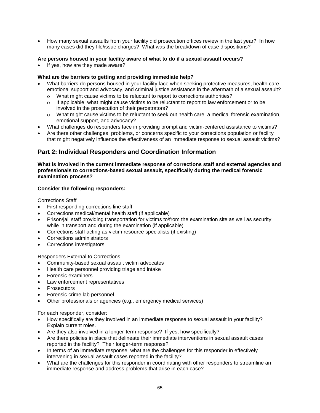How many sexual assaults from your facility did prosecution offices review in the last year? In how many cases did they file/issue charges? What was the breakdown of case dispositions?

#### **Are persons housed in your facility aware of what to do if a sexual assault occurs?**

If yes, how are they made aware?

#### **What are the barriers to getting and providing immediate help?**

- What barriers do persons housed in your facility face when seeking protective measures, health care, emotional support and advocacy, and criminal justice assistance in the aftermath of a sexual assault?
	- What might cause victims to be reluctant to report to corrections authorities?
	- If applicable, what might cause victims to be reluctant to report to law enforcement or to be involved in the prosecution of their perpetrators?
	- What might cause victims to be reluctant to seek out health care, a medical forensic examination, emotional support, and advocacy?
- What challenges do responders face in providing prompt and victim-centered assistance to victims?
- Are there other challenges, problems, or concerns specific to your corrections population or facility that might negatively influence the effectiveness of an immediate response to sexual assault victims?

## **Part 2: Individual Responders and Coordination Information**

#### **What is involved in the current immediate response of corrections staff and external agencies and professionals to corrections-based sexual assault, specifically during the medical forensic examination process?**

#### **Consider the following responders:**

#### Corrections Staff

- First responding corrections line staff
- Corrections medical/mental health staff (if applicable)
- Prison/jail staff providing transportation for victims to/from the examination site as well as security while in transport and during the examination (if applicable)
- Corrections staff acting as victim resource specialists (if existing)
- Corrections administrators
- Corrections investigators

#### Responders External to Corrections

- Community-based sexual assault victim advocates
- Health care personnel providing triage and intake
- Forensic examiners
- Law enforcement representatives
- **Prosecutors**
- Forensic crime lab personnel
- Other professionals or agencies (e.g., emergency medical services)

For each responder, consider:

- How specifically are they involved in an immediate response to sexual assault in your facility? Explain current roles.
- Are they also involved in a longer-term response? If yes, how specifically?
- Are there policies in place that delineate their immediate interventions in sexual assault cases reported in the facility? Their longer-term response?
- In terms of an immediate response, what are the challenges for this responder in effectively intervening in sexual assault cases reported in the facility?
- What are the challenges for this responder in coordinating with other responders to streamline an immediate response and address problems that arise in each case?